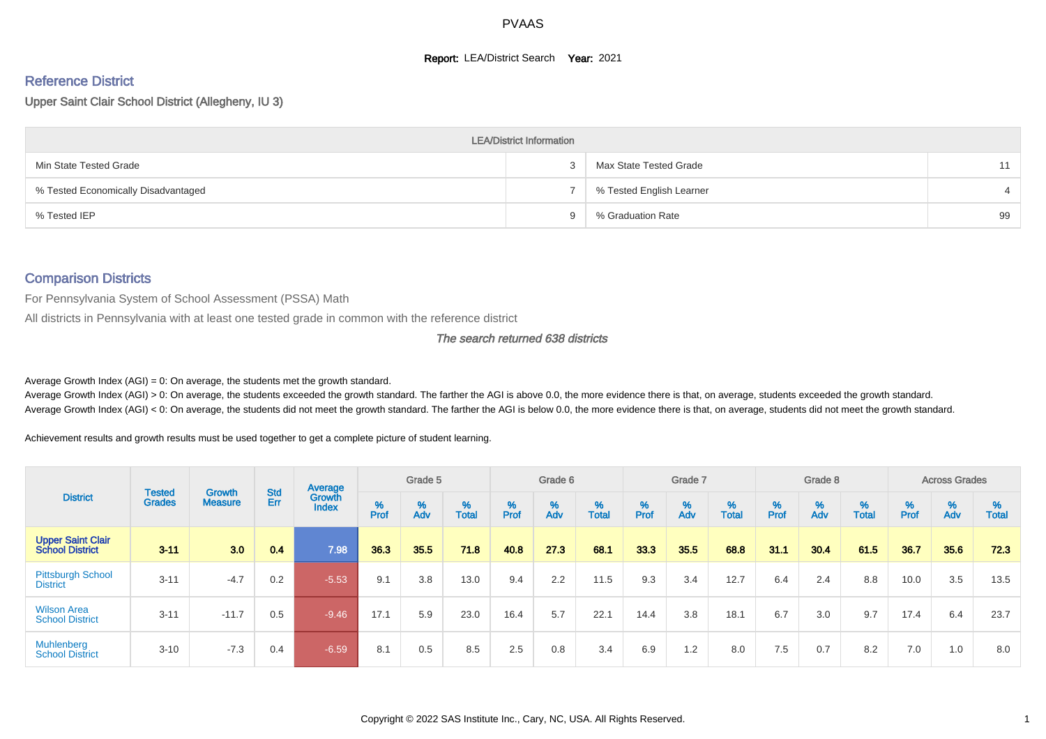#### **Report: LEA/District Search Year: 2021**

# Reference District

Upper Saint Clair School District (Allegheny, IU 3)

|                                     | <b>LEA/District Information</b> |                          |    |
|-------------------------------------|---------------------------------|--------------------------|----|
| Min State Tested Grade              |                                 | Max State Tested Grade   | 11 |
| % Tested Economically Disadvantaged |                                 | % Tested English Learner |    |
| % Tested IEP                        | u                               | % Graduation Rate        | 99 |

#### Comparison Districts

For Pennsylvania System of School Assessment (PSSA) Math

All districts in Pennsylvania with at least one tested grade in common with the reference district

#### The search returned 638 districts

Average Growth Index  $(AGI) = 0$ : On average, the students met the growth standard.

Average Growth Index (AGI) > 0: On average, the students exceeded the growth standard. The farther the AGI is above 0.0, the more evidence there is that, on average, students exceeded the growth standard. Average Growth Index (AGI) < 0: On average, the students did not meet the growth standard. The farther the AGI is below 0.0, the more evidence there is that, on average, students did not meet the growth standard.

Achievement results and growth results must be used together to get a complete picture of student learning.

|                                                    |                         |                                 |            | Average                       |           | Grade 5  |                   |                    | Grade 6  |                   |          | Grade 7  |                   |           | Grade 8  |                   |        | <b>Across Grades</b> |                   |
|----------------------------------------------------|-------------------------|---------------------------------|------------|-------------------------------|-----------|----------|-------------------|--------------------|----------|-------------------|----------|----------|-------------------|-----------|----------|-------------------|--------|----------------------|-------------------|
| <b>District</b>                                    | Tested<br><b>Grades</b> | <b>Growth</b><br><b>Measure</b> | Std<br>Err | <b>Growth</b><br><b>Index</b> | %<br>Prof | %<br>Adv | %<br><b>Total</b> | $% P_{\text{ref}}$ | %<br>Adv | %<br><b>Total</b> | $%$ Prof | %<br>Adv | %<br><b>Total</b> | %<br>Prof | %<br>Adv | %<br><b>Total</b> | % Pref | $\frac{\%}{\%}$      | %<br><b>Total</b> |
| <b>Upper Saint Clair</b><br><b>School District</b> | $3 - 11$                | 3.0                             | 0.4        | 7.98                          | 36.3      | 35.5     | 71.8              | 40.8               | 27.3     | 68.1              | 33.3     | 35.5     | 68.8              | 31.1      | 30.4     | 61.5              | 36.7   | 35.6                 | 72.3              |
| <b>Pittsburgh School</b><br><b>District</b>        | $3 - 11$                | $-4.7$                          | 0.2        | $-5.53$                       | 9.1       | 3.8      | 13.0              | 9.4                | 2.2      | 11.5              | 9.3      | 3.4      | 12.7              | 6.4       | 2.4      | 8.8               | 10.0   | 3.5                  | 13.5              |
| <b>Wilson Area</b><br><b>School District</b>       | $3 - 11$                | $-11.7$                         | 0.5        | $-9.46$                       | 17.1      | 5.9      | 23.0              | 16.4               | 5.7      | 22.1              | 14.4     | 3.8      | 18.1              | 6.7       | 3.0      | 9.7               | 17.4   | 6.4                  | 23.7              |
| <b>Muhlenberg</b><br><b>School District</b>        | $3 - 10$                | $-7.3$                          | 0.4        | $-6.59/$                      | 8.1       | 0.5      | 8.5               | 2.5                | 0.8      | 3.4               | 6.9      | 1.2      | 8.0               | 7.5       | 0.7      | 8.2               | 7.0    | 1.0                  | 8.0               |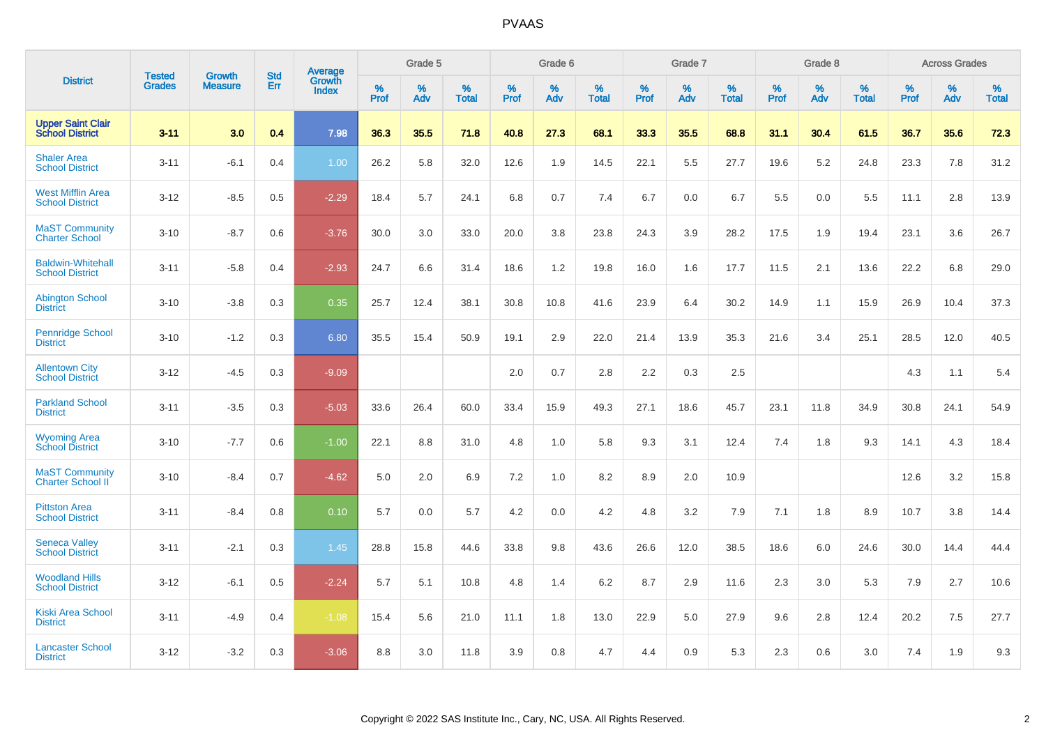|                                                    | <b>Tested</b> | <b>Growth</b>  | <b>Std</b> | Average         |              | Grade 5  |                      |              | Grade 6  |                   |              | Grade 7  |                   |              | Grade 8  |                      |           | <b>Across Grades</b> |                      |
|----------------------------------------------------|---------------|----------------|------------|-----------------|--------------|----------|----------------------|--------------|----------|-------------------|--------------|----------|-------------------|--------------|----------|----------------------|-----------|----------------------|----------------------|
| <b>District</b>                                    | <b>Grades</b> | <b>Measure</b> | Err        | Growth<br>Index | $\%$<br>Prof | %<br>Adv | $\%$<br><b>Total</b> | $\%$<br>Prof | %<br>Adv | %<br><b>Total</b> | $\%$<br>Prof | %<br>Adv | %<br><b>Total</b> | $\%$<br>Prof | %<br>Adv | $\%$<br><b>Total</b> | %<br>Prof | %<br>Adv             | $\%$<br><b>Total</b> |
| <b>Upper Saint Clair</b><br><b>School District</b> | $3 - 11$      | 3.0            | 0.4        | 7.98            | 36.3         | 35.5     | 71.8                 | 40.8         | 27.3     | 68.1              | 33.3         | 35.5     | 68.8              | 31.1         | 30.4     | 61.5                 | 36.7      | 35.6                 | 72.3                 |
| <b>Shaler Area</b><br><b>School District</b>       | $3 - 11$      | $-6.1$         | 0.4        | 1.00            | 26.2         | 5.8      | 32.0                 | 12.6         | 1.9      | 14.5              | 22.1         | 5.5      | 27.7              | 19.6         | 5.2      | 24.8                 | 23.3      | 7.8                  | 31.2                 |
| <b>West Mifflin Area</b><br><b>School District</b> | $3 - 12$      | $-8.5$         | 0.5        | $-2.29$         | 18.4         | 5.7      | 24.1                 | 6.8          | 0.7      | 7.4               | 6.7          | 0.0      | 6.7               | 5.5          | 0.0      | 5.5                  | 11.1      | 2.8                  | 13.9                 |
| <b>MaST Community</b><br><b>Charter School</b>     | $3 - 10$      | $-8.7$         | 0.6        | $-3.76$         | 30.0         | 3.0      | 33.0                 | 20.0         | 3.8      | 23.8              | 24.3         | 3.9      | 28.2              | 17.5         | 1.9      | 19.4                 | 23.1      | 3.6                  | 26.7                 |
| <b>Baldwin-Whitehall</b><br><b>School District</b> | $3 - 11$      | $-5.8$         | 0.4        | $-2.93$         | 24.7         | 6.6      | 31.4                 | 18.6         | 1.2      | 19.8              | 16.0         | 1.6      | 17.7              | 11.5         | 2.1      | 13.6                 | 22.2      | 6.8                  | 29.0                 |
| <b>Abington School</b><br><b>District</b>          | $3 - 10$      | $-3.8$         | 0.3        | 0.35            | 25.7         | 12.4     | 38.1                 | 30.8         | 10.8     | 41.6              | 23.9         | 6.4      | 30.2              | 14.9         | 1.1      | 15.9                 | 26.9      | 10.4                 | 37.3                 |
| <b>Pennridge School</b><br><b>District</b>         | $3 - 10$      | $-1.2$         | 0.3        | 6.80            | 35.5         | 15.4     | 50.9                 | 19.1         | 2.9      | 22.0              | 21.4         | 13.9     | 35.3              | 21.6         | 3.4      | 25.1                 | 28.5      | 12.0                 | 40.5                 |
| <b>Allentown City</b><br><b>School District</b>    | $3 - 12$      | $-4.5$         | 0.3        | $-9.09$         |              |          |                      | 2.0          | 0.7      | 2.8               | 2.2          | 0.3      | 2.5               |              |          |                      | 4.3       | 1.1                  | 5.4                  |
| <b>Parkland School</b><br><b>District</b>          | $3 - 11$      | $-3.5$         | 0.3        | $-5.03$         | 33.6         | 26.4     | 60.0                 | 33.4         | 15.9     | 49.3              | 27.1         | 18.6     | 45.7              | 23.1         | 11.8     | 34.9                 | 30.8      | 24.1                 | 54.9                 |
| <b>Wyoming Area</b><br><b>School District</b>      | $3 - 10$      | $-7.7$         | 0.6        | $-1.00$         | 22.1         | 8.8      | 31.0                 | 4.8          | 1.0      | 5.8               | 9.3          | 3.1      | 12.4              | 7.4          | 1.8      | 9.3                  | 14.1      | 4.3                  | 18.4                 |
| <b>MaST Community</b><br><b>Charter School II</b>  | $3 - 10$      | $-8.4$         | 0.7        | $-4.62$         | 5.0          | 2.0      | 6.9                  | 7.2          | 1.0      | 8.2               | 8.9          | 2.0      | 10.9              |              |          |                      | 12.6      | 3.2                  | 15.8                 |
| <b>Pittston Area</b><br><b>School District</b>     | $3 - 11$      | $-8.4$         | 0.8        | 0.10            | 5.7          | 0.0      | 5.7                  | 4.2          | 0.0      | 4.2               | 4.8          | 3.2      | 7.9               | 7.1          | 1.8      | 8.9                  | 10.7      | 3.8                  | 14.4                 |
| <b>Seneca Valley</b><br><b>School District</b>     | $3 - 11$      | $-2.1$         | 0.3        | 1.45            | 28.8         | 15.8     | 44.6                 | 33.8         | 9.8      | 43.6              | 26.6         | 12.0     | 38.5              | 18.6         | 6.0      | 24.6                 | 30.0      | 14.4                 | 44.4                 |
| <b>Woodland Hills</b><br><b>School District</b>    | $3 - 12$      | $-6.1$         | 0.5        | $-2.24$         | 5.7          | 5.1      | 10.8                 | 4.8          | 1.4      | 6.2               | 8.7          | 2.9      | 11.6              | 2.3          | 3.0      | 5.3                  | 7.9       | 2.7                  | 10.6                 |
| <b>Kiski Area School</b><br><b>District</b>        | $3 - 11$      | $-4.9$         | 0.4        | $-1.08$         | 15.4         | 5.6      | 21.0                 | 11.1         | 1.8      | 13.0              | 22.9         | 5.0      | 27.9              | 9.6          | 2.8      | 12.4                 | 20.2      | 7.5                  | 27.7                 |
| <b>Lancaster School</b><br><b>District</b>         | $3 - 12$      | $-3.2$         | 0.3        | $-3.06$         | 8.8          | 3.0      | 11.8                 | 3.9          | 0.8      | 4.7               | 4.4          | 0.9      | 5.3               | 2.3          | 0.6      | 3.0                  | 7.4       | 1.9                  | $9.3\,$              |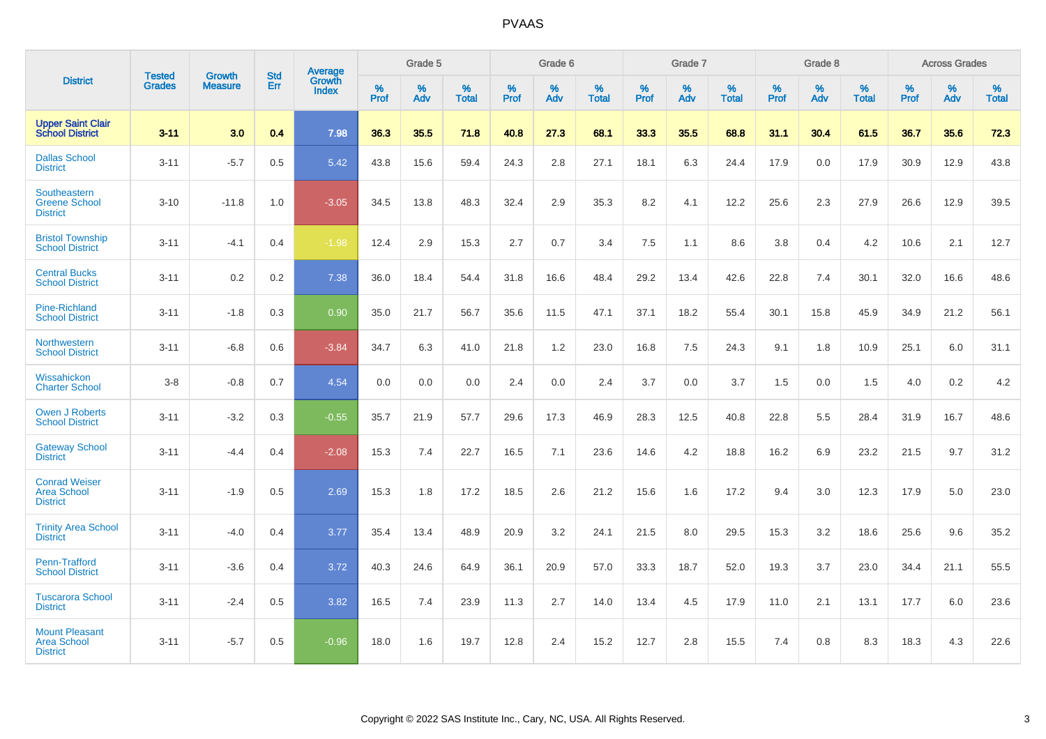|                                                                |                                |                          | <b>Std</b> | Average                |           | Grade 5  |                   |           | Grade 6  |                   |           | Grade 7  |                   |           | Grade 8  |                   |           | <b>Across Grades</b> |                   |
|----------------------------------------------------------------|--------------------------------|--------------------------|------------|------------------------|-----------|----------|-------------------|-----------|----------|-------------------|-----------|----------|-------------------|-----------|----------|-------------------|-----------|----------------------|-------------------|
| <b>District</b>                                                | <b>Tested</b><br><b>Grades</b> | Growth<br><b>Measure</b> | Err        | Growth<br><b>Index</b> | %<br>Prof | %<br>Adv | %<br><b>Total</b> | %<br>Prof | %<br>Adv | %<br><b>Total</b> | %<br>Prof | %<br>Adv | %<br><b>Total</b> | %<br>Prof | %<br>Adv | %<br><b>Total</b> | %<br>Prof | %<br>Adv             | %<br><b>Total</b> |
| <b>Upper Saint Clair</b><br><b>School District</b>             | $3 - 11$                       | 3.0                      | 0.4        | 7.98                   | 36.3      | 35.5     | 71.8              | 40.8      | 27.3     | 68.1              | 33.3      | 35.5     | 68.8              | 31.1      | 30.4     | 61.5              | 36.7      | 35.6                 | 72.3              |
| <b>Dallas School</b><br><b>District</b>                        | $3 - 11$                       | $-5.7$                   | 0.5        | 5.42                   | 43.8      | 15.6     | 59.4              | 24.3      | 2.8      | 27.1              | 18.1      | 6.3      | 24.4              | 17.9      | 0.0      | 17.9              | 30.9      | 12.9                 | 43.8              |
| Southeastern<br><b>Greene School</b><br><b>District</b>        | $3 - 10$                       | $-11.8$                  | 1.0        | $-3.05$                | 34.5      | 13.8     | 48.3              | 32.4      | 2.9      | 35.3              | 8.2       | 4.1      | 12.2              | 25.6      | 2.3      | 27.9              | 26.6      | 12.9                 | 39.5              |
| <b>Bristol Township</b><br><b>School District</b>              | $3 - 11$                       | $-4.1$                   | 0.4        | $-1.98$                | 12.4      | 2.9      | 15.3              | 2.7       | 0.7      | 3.4               | 7.5       | 1.1      | 8.6               | 3.8       | 0.4      | 4.2               | 10.6      | 2.1                  | 12.7              |
| <b>Central Bucks</b><br><b>School District</b>                 | $3 - 11$                       | 0.2                      | 0.2        | 7.38                   | 36.0      | 18.4     | 54.4              | 31.8      | 16.6     | 48.4              | 29.2      | 13.4     | 42.6              | 22.8      | 7.4      | 30.1              | 32.0      | 16.6                 | 48.6              |
| <b>Pine-Richland</b><br><b>School District</b>                 | $3 - 11$                       | $-1.8$                   | 0.3        | 0.90                   | 35.0      | 21.7     | 56.7              | 35.6      | 11.5     | 47.1              | 37.1      | 18.2     | 55.4              | 30.1      | 15.8     | 45.9              | 34.9      | 21.2                 | 56.1              |
| Northwestern<br><b>School District</b>                         | $3 - 11$                       | $-6.8$                   | 0.6        | $-3.84$                | 34.7      | 6.3      | 41.0              | 21.8      | 1.2      | 23.0              | 16.8      | 7.5      | 24.3              | 9.1       | 1.8      | 10.9              | 25.1      | 6.0                  | 31.1              |
| Wissahickon<br><b>Charter School</b>                           | $3-8$                          | $-0.8$                   | 0.7        | 4.54                   | 0.0       | 0.0      | 0.0               | 2.4       | 0.0      | 2.4               | 3.7       | 0.0      | 3.7               | 1.5       | 0.0      | 1.5               | 4.0       | 0.2                  | 4.2               |
| <b>Owen J Roberts</b><br><b>School District</b>                | $3 - 11$                       | $-3.2$                   | 0.3        | $-0.55$                | 35.7      | 21.9     | 57.7              | 29.6      | 17.3     | 46.9              | 28.3      | 12.5     | 40.8              | 22.8      | 5.5      | 28.4              | 31.9      | 16.7                 | 48.6              |
| <b>Gateway School</b><br><b>District</b>                       | $3 - 11$                       | $-4.4$                   | 0.4        | $-2.08$                | 15.3      | 7.4      | 22.7              | 16.5      | 7.1      | 23.6              | 14.6      | 4.2      | 18.8              | 16.2      | 6.9      | 23.2              | 21.5      | 9.7                  | 31.2              |
| <b>Conrad Weiser</b><br><b>Area School</b><br><b>District</b>  | $3 - 11$                       | $-1.9$                   | 0.5        | 2.69                   | 15.3      | 1.8      | 17.2              | 18.5      | 2.6      | 21.2              | 15.6      | 1.6      | 17.2              | 9.4       | 3.0      | 12.3              | 17.9      | 5.0                  | 23.0              |
| <b>Trinity Area School</b><br><b>District</b>                  | $3 - 11$                       | $-4.0$                   | 0.4        | 3.77                   | 35.4      | 13.4     | 48.9              | 20.9      | 3.2      | 24.1              | 21.5      | 8.0      | 29.5              | 15.3      | 3.2      | 18.6              | 25.6      | 9.6                  | 35.2              |
| Penn-Trafford<br><b>School District</b>                        | $3 - 11$                       | $-3.6$                   | 0.4        | 3.72                   | 40.3      | 24.6     | 64.9              | 36.1      | 20.9     | 57.0              | 33.3      | 18.7     | 52.0              | 19.3      | 3.7      | 23.0              | 34.4      | 21.1                 | 55.5              |
| <b>Tuscarora School</b><br><b>District</b>                     | $3 - 11$                       | $-2.4$                   | 0.5        | 3.82                   | 16.5      | 7.4      | 23.9              | 11.3      | 2.7      | 14.0              | 13.4      | 4.5      | 17.9              | 11.0      | 2.1      | 13.1              | 17.7      | 6.0                  | 23.6              |
| <b>Mount Pleasant</b><br><b>Area School</b><br><b>District</b> | $3 - 11$                       | $-5.7$                   | 0.5        | $-0.96$                | 18.0      | 1.6      | 19.7              | 12.8      | 2.4      | 15.2              | 12.7      | 2.8      | 15.5              | 7.4       | 0.8      | 8.3               | 18.3      | 4.3                  | 22.6              |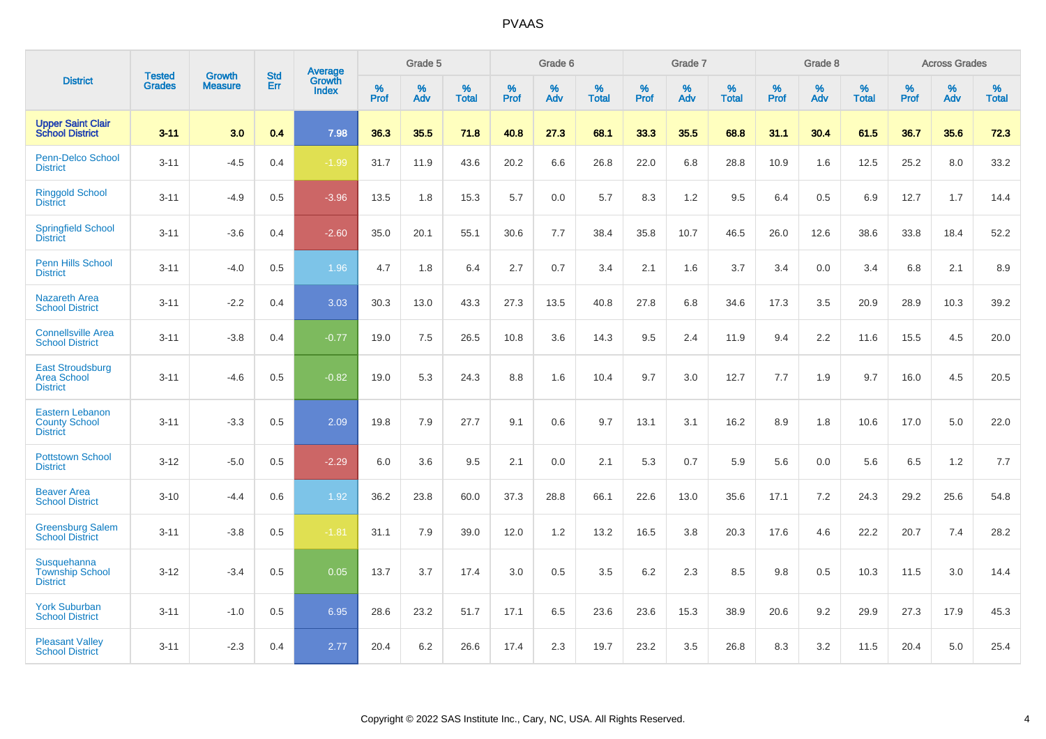|                                                                   |                                |                                 | <b>Std</b> | Average                       |           | Grade 5  |                   |           | Grade 6  |                   |           | Grade 7  |                   |           | Grade 8  |                   |           | <b>Across Grades</b> |                   |
|-------------------------------------------------------------------|--------------------------------|---------------------------------|------------|-------------------------------|-----------|----------|-------------------|-----------|----------|-------------------|-----------|----------|-------------------|-----------|----------|-------------------|-----------|----------------------|-------------------|
| <b>District</b>                                                   | <b>Tested</b><br><b>Grades</b> | <b>Growth</b><br><b>Measure</b> | Err        | <b>Growth</b><br><b>Index</b> | %<br>Prof | %<br>Adv | %<br><b>Total</b> | %<br>Prof | %<br>Adv | %<br><b>Total</b> | %<br>Prof | %<br>Adv | %<br><b>Total</b> | %<br>Prof | %<br>Adv | %<br><b>Total</b> | %<br>Prof | %<br>Adv             | %<br><b>Total</b> |
| <b>Upper Saint Clair</b><br><b>School District</b>                | $3 - 11$                       | 3.0                             | 0.4        | 7.98                          | 36.3      | 35.5     | 71.8              | 40.8      | 27.3     | 68.1              | 33.3      | 35.5     | 68.8              | 31.1      | 30.4     | 61.5              | 36.7      | 35.6                 | 72.3              |
| Penn-Delco School<br><b>District</b>                              | $3 - 11$                       | $-4.5$                          | 0.4        | $-1.99$                       | 31.7      | 11.9     | 43.6              | 20.2      | 6.6      | 26.8              | 22.0      | 6.8      | 28.8              | 10.9      | 1.6      | 12.5              | 25.2      | 8.0                  | 33.2              |
| <b>Ringgold School</b><br><b>District</b>                         | $3 - 11$                       | $-4.9$                          | 0.5        | $-3.96$                       | 13.5      | 1.8      | 15.3              | 5.7       | 0.0      | 5.7               | 8.3       | 1.2      | 9.5               | 6.4       | 0.5      | 6.9               | 12.7      | 1.7                  | 14.4              |
| <b>Springfield School</b><br><b>District</b>                      | $3 - 11$                       | $-3.6$                          | 0.4        | $-2.60$                       | 35.0      | 20.1     | 55.1              | 30.6      | 7.7      | 38.4              | 35.8      | 10.7     | 46.5              | 26.0      | 12.6     | 38.6              | 33.8      | 18.4                 | 52.2              |
| Penn Hills School<br><b>District</b>                              | $3 - 11$                       | $-4.0$                          | 0.5        | 1.96                          | 4.7       | 1.8      | 6.4               | 2.7       | 0.7      | 3.4               | 2.1       | 1.6      | 3.7               | 3.4       | 0.0      | 3.4               | 6.8       | 2.1                  | 8.9               |
| <b>Nazareth Area</b><br><b>School District</b>                    | $3 - 11$                       | $-2.2$                          | 0.4        | 3.03                          | 30.3      | 13.0     | 43.3              | 27.3      | 13.5     | 40.8              | 27.8      | 6.8      | 34.6              | 17.3      | 3.5      | 20.9              | 28.9      | 10.3                 | 39.2              |
| <b>Connellsville Area</b><br><b>School District</b>               | $3 - 11$                       | $-3.8$                          | 0.4        | $-0.77$                       | 19.0      | 7.5      | 26.5              | 10.8      | 3.6      | 14.3              | 9.5       | 2.4      | 11.9              | 9.4       | 2.2      | 11.6              | 15.5      | 4.5                  | 20.0              |
| <b>East Stroudsburg</b><br><b>Area School</b><br><b>District</b>  | $3 - 11$                       | $-4.6$                          | 0.5        | $-0.82$                       | 19.0      | 5.3      | 24.3              | 8.8       | 1.6      | 10.4              | 9.7       | 3.0      | 12.7              | 7.7       | 1.9      | 9.7               | 16.0      | 4.5                  | 20.5              |
| <b>Eastern Lebanon</b><br><b>County School</b><br><b>District</b> | $3 - 11$                       | $-3.3$                          | 0.5        | 2.09                          | 19.8      | 7.9      | 27.7              | 9.1       | 0.6      | 9.7               | 13.1      | 3.1      | 16.2              | 8.9       | 1.8      | 10.6              | 17.0      | 5.0                  | 22.0              |
| <b>Pottstown School</b><br><b>District</b>                        | $3 - 12$                       | $-5.0$                          | 0.5        | $-2.29$                       | 6.0       | 3.6      | 9.5               | 2.1       | 0.0      | 2.1               | 5.3       | 0.7      | 5.9               | 5.6       | 0.0      | 5.6               | 6.5       | 1.2                  | 7.7               |
| <b>Beaver Area</b><br><b>School District</b>                      | $3 - 10$                       | $-4.4$                          | 0.6        | 1.92                          | 36.2      | 23.8     | 60.0              | 37.3      | 28.8     | 66.1              | 22.6      | 13.0     | 35.6              | 17.1      | 7.2      | 24.3              | 29.2      | 25.6                 | 54.8              |
| <b>Greensburg Salem</b><br><b>School District</b>                 | $3 - 11$                       | $-3.8$                          | 0.5        | $-1.81$                       | 31.1      | 7.9      | 39.0              | 12.0      | 1.2      | 13.2              | 16.5      | 3.8      | 20.3              | 17.6      | 4.6      | 22.2              | 20.7      | 7.4                  | 28.2              |
| Susquehanna<br><b>Township School</b><br><b>District</b>          | $3 - 12$                       | $-3.4$                          | 0.5        | 0.05                          | 13.7      | 3.7      | 17.4              | 3.0       | 0.5      | 3.5               | 6.2       | 2.3      | 8.5               | 9.8       | 0.5      | 10.3              | 11.5      | 3.0                  | 14.4              |
| <b>York Suburban</b><br><b>School District</b>                    | $3 - 11$                       | $-1.0$                          | 0.5        | 6.95                          | 28.6      | 23.2     | 51.7              | 17.1      | 6.5      | 23.6              | 23.6      | 15.3     | 38.9              | 20.6      | 9.2      | 29.9              | 27.3      | 17.9                 | 45.3              |
| <b>Pleasant Valley</b><br><b>School District</b>                  | $3 - 11$                       | $-2.3$                          | 0.4        | 2.77                          | 20.4      | 6.2      | 26.6              | 17.4      | 2.3      | 19.7              | 23.2      | 3.5      | 26.8              | 8.3       | 3.2      | 11.5              | 20.4      | 5.0                  | 25.4              |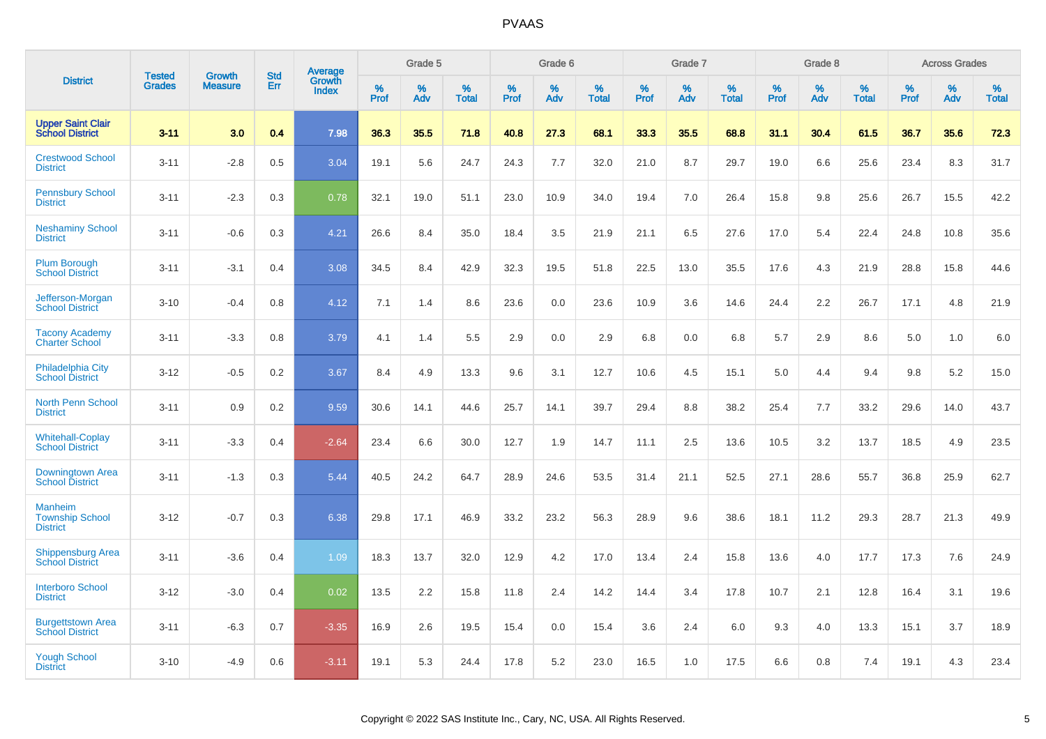|                                                      |                                | <b>Growth</b>  | <b>Std</b> | Average                |              | Grade 5     |                      |              | Grade 6     |                      |              | Grade 7     |                      |              | Grade 8     |                      |                     | <b>Across Grades</b> |                      |
|------------------------------------------------------|--------------------------------|----------------|------------|------------------------|--------------|-------------|----------------------|--------------|-------------|----------------------|--------------|-------------|----------------------|--------------|-------------|----------------------|---------------------|----------------------|----------------------|
| <b>District</b>                                      | <b>Tested</b><br><b>Grades</b> | <b>Measure</b> | Err        | Growth<br><b>Index</b> | $\%$<br>Prof | $\%$<br>Adv | $\%$<br><b>Total</b> | $\%$<br>Prof | $\%$<br>Adv | $\%$<br><b>Total</b> | $\%$<br>Prof | $\%$<br>Adv | $\%$<br><b>Total</b> | $\%$<br>Prof | $\%$<br>Adv | $\%$<br><b>Total</b> | $\%$<br><b>Prof</b> | $\%$<br>Adv          | $\%$<br><b>Total</b> |
| <b>Upper Saint Clair</b><br><b>School District</b>   | $3 - 11$                       | 3.0            | 0.4        | 7.98                   | 36.3         | 35.5        | 71.8                 | 40.8         | 27.3        | 68.1                 | 33.3         | 35.5        | 68.8                 | 31.1         | 30.4        | 61.5                 | 36.7                | 35.6                 | 72.3                 |
| <b>Crestwood School</b><br><b>District</b>           | $3 - 11$                       | $-2.8$         | 0.5        | 3.04                   | 19.1         | 5.6         | 24.7                 | 24.3         | 7.7         | 32.0                 | 21.0         | 8.7         | 29.7                 | 19.0         | 6.6         | 25.6                 | 23.4                | 8.3                  | 31.7                 |
| <b>Pennsbury School</b><br><b>District</b>           | $3 - 11$                       | $-2.3$         | 0.3        | 0.78                   | 32.1         | 19.0        | 51.1                 | 23.0         | 10.9        | 34.0                 | 19.4         | 7.0         | 26.4                 | 15.8         | 9.8         | 25.6                 | 26.7                | 15.5                 | 42.2                 |
| <b>Neshaminy School</b><br><b>District</b>           | $3 - 11$                       | $-0.6$         | 0.3        | 4.21                   | 26.6         | 8.4         | 35.0                 | 18.4         | 3.5         | 21.9                 | 21.1         | 6.5         | 27.6                 | 17.0         | 5.4         | 22.4                 | 24.8                | 10.8                 | 35.6                 |
| <b>Plum Borough</b><br><b>School District</b>        | $3 - 11$                       | $-3.1$         | 0.4        | 3.08                   | 34.5         | 8.4         | 42.9                 | 32.3         | 19.5        | 51.8                 | 22.5         | 13.0        | 35.5                 | 17.6         | 4.3         | 21.9                 | 28.8                | 15.8                 | 44.6                 |
| Jefferson-Morgan<br><b>School District</b>           | $3 - 10$                       | $-0.4$         | 0.8        | 4.12                   | 7.1          | 1.4         | 8.6                  | 23.6         | 0.0         | 23.6                 | 10.9         | 3.6         | 14.6                 | 24.4         | 2.2         | 26.7                 | 17.1                | 4.8                  | 21.9                 |
| <b>Tacony Academy</b><br><b>Charter School</b>       | $3 - 11$                       | $-3.3$         | 0.8        | 3.79                   | 4.1          | 1.4         | 5.5                  | 2.9          | 0.0         | 2.9                  | 6.8          | 0.0         | 6.8                  | 5.7          | 2.9         | 8.6                  | 5.0                 | 1.0                  | $6.0\,$              |
| <b>Philadelphia City</b><br><b>School District</b>   | $3 - 12$                       | $-0.5$         | 0.2        | 3.67                   | 8.4          | 4.9         | 13.3                 | 9.6          | 3.1         | 12.7                 | 10.6         | 4.5         | 15.1                 | 5.0          | 4.4         | 9.4                  | 9.8                 | 5.2                  | 15.0                 |
| <b>North Penn School</b><br><b>District</b>          | $3 - 11$                       | 0.9            | 0.2        | 9.59                   | 30.6         | 14.1        | 44.6                 | 25.7         | 14.1        | 39.7                 | 29.4         | 8.8         | 38.2                 | 25.4         | 7.7         | 33.2                 | 29.6                | 14.0                 | 43.7                 |
| <b>Whitehall-Coplay</b><br><b>School District</b>    | $3 - 11$                       | $-3.3$         | 0.4        | $-2.64$                | 23.4         | 6.6         | 30.0                 | 12.7         | 1.9         | 14.7                 | 11.1         | 2.5         | 13.6                 | 10.5         | 3.2         | 13.7                 | 18.5                | 4.9                  | 23.5                 |
| Downingtown Area<br><b>School District</b>           | $3 - 11$                       | $-1.3$         | 0.3        | 5.44                   | 40.5         | 24.2        | 64.7                 | 28.9         | 24.6        | 53.5                 | 31.4         | 21.1        | 52.5                 | 27.1         | 28.6        | 55.7                 | 36.8                | 25.9                 | 62.7                 |
| Manheim<br><b>Township School</b><br><b>District</b> | $3 - 12$                       | $-0.7$         | 0.3        | 6.38                   | 29.8         | 17.1        | 46.9                 | 33.2         | 23.2        | 56.3                 | 28.9         | 9.6         | 38.6                 | 18.1         | 11.2        | 29.3                 | 28.7                | 21.3                 | 49.9                 |
| <b>Shippensburg Area</b><br><b>School District</b>   | $3 - 11$                       | $-3.6$         | 0.4        | 1.09                   | 18.3         | 13.7        | 32.0                 | 12.9         | 4.2         | 17.0                 | 13.4         | 2.4         | 15.8                 | 13.6         | 4.0         | 17.7                 | 17.3                | 7.6                  | 24.9                 |
| <b>Interboro School</b><br><b>District</b>           | $3 - 12$                       | $-3.0$         | 0.4        | 0.02                   | 13.5         | 2.2         | 15.8                 | 11.8         | 2.4         | 14.2                 | 14.4         | 3.4         | 17.8                 | 10.7         | 2.1         | 12.8                 | 16.4                | 3.1                  | 19.6                 |
| <b>Burgettstown Area</b><br><b>School District</b>   | $3 - 11$                       | $-6.3$         | 0.7        | $-3.35$                | 16.9         | 2.6         | 19.5                 | 15.4         | 0.0         | 15.4                 | 3.6          | 2.4         | 6.0                  | 9.3          | 4.0         | 13.3                 | 15.1                | 3.7                  | 18.9                 |
| <b>Yough School</b><br><b>District</b>               | $3 - 10$                       | $-4.9$         | 0.6        | $-3.11$                | 19.1         | 5.3         | 24.4                 | 17.8         | 5.2         | 23.0                 | 16.5         | 1.0         | 17.5                 | 6.6          | 0.8         | 7.4                  | 19.1                | 4.3                  | 23.4                 |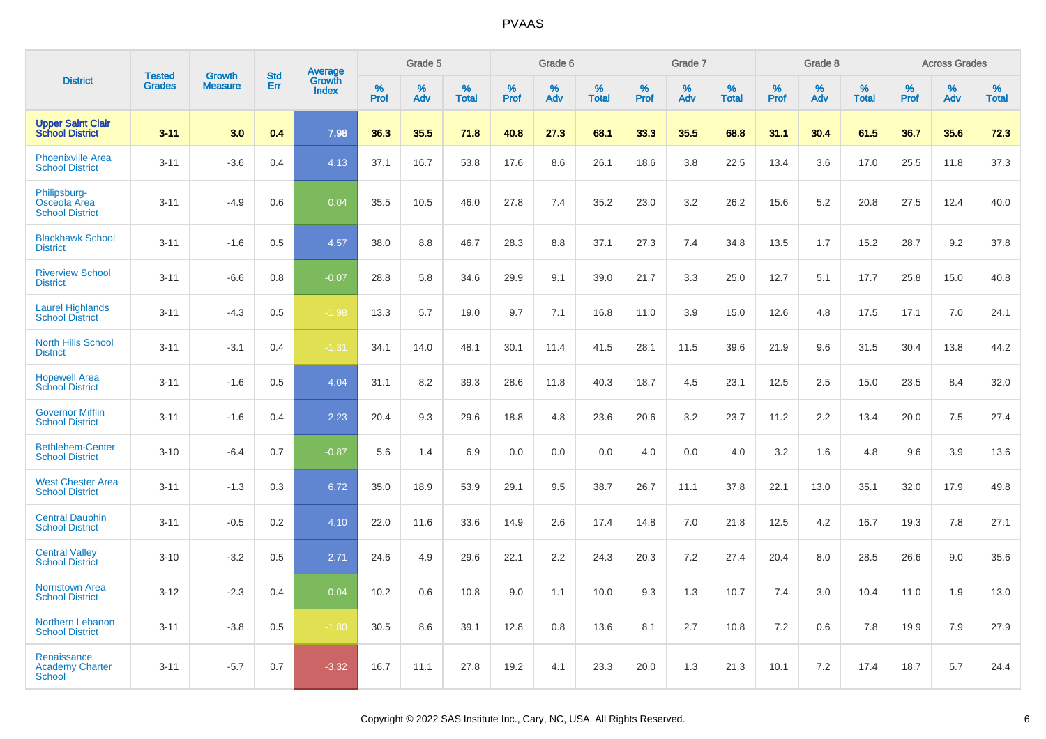|                                                        |                                |                                 | <b>Std</b> | Average                |                     | Grade 5  |                      |              | Grade 6  |                      |              | Grade 7  |                      |                     | Grade 8  |                      |                     | <b>Across Grades</b> |                      |
|--------------------------------------------------------|--------------------------------|---------------------------------|------------|------------------------|---------------------|----------|----------------------|--------------|----------|----------------------|--------------|----------|----------------------|---------------------|----------|----------------------|---------------------|----------------------|----------------------|
| <b>District</b>                                        | <b>Tested</b><br><b>Grades</b> | <b>Growth</b><br><b>Measure</b> | <b>Err</b> | Growth<br><b>Index</b> | $\%$<br><b>Prof</b> | %<br>Adv | $\%$<br><b>Total</b> | $\%$<br>Prof | %<br>Adv | $\%$<br><b>Total</b> | $\%$<br>Prof | %<br>Adv | $\%$<br><b>Total</b> | $\%$<br><b>Prof</b> | %<br>Adv | $\%$<br><b>Total</b> | $\%$<br><b>Prof</b> | $\%$<br>Adv          | $\%$<br><b>Total</b> |
| <b>Upper Saint Clair</b><br><b>School District</b>     | $3 - 11$                       | 3.0                             | 0.4        | 7.98                   | 36.3                | 35.5     | 71.8                 | 40.8         | 27.3     | 68.1                 | 33.3         | 35.5     | 68.8                 | 31.1                | 30.4     | 61.5                 | 36.7                | 35.6                 | 72.3                 |
| <b>Phoenixville Area</b><br><b>School District</b>     | $3 - 11$                       | $-3.6$                          | 0.4        | 4.13                   | 37.1                | 16.7     | 53.8                 | 17.6         | 8.6      | 26.1                 | 18.6         | 3.8      | 22.5                 | 13.4                | 3.6      | 17.0                 | 25.5                | 11.8                 | 37.3                 |
| Philipsburg-<br>Osceola Area<br><b>School District</b> | $3 - 11$                       | $-4.9$                          | 0.6        | 0.04                   | 35.5                | 10.5     | 46.0                 | 27.8         | 7.4      | 35.2                 | 23.0         | 3.2      | 26.2                 | 15.6                | 5.2      | 20.8                 | 27.5                | 12.4                 | 40.0                 |
| <b>Blackhawk School</b><br><b>District</b>             | $3 - 11$                       | $-1.6$                          | 0.5        | 4.57                   | 38.0                | 8.8      | 46.7                 | 28.3         | 8.8      | 37.1                 | 27.3         | 7.4      | 34.8                 | 13.5                | 1.7      | 15.2                 | 28.7                | 9.2                  | 37.8                 |
| <b>Riverview School</b><br><b>District</b>             | $3 - 11$                       | $-6.6$                          | 0.8        | $-0.07$                | 28.8                | 5.8      | 34.6                 | 29.9         | 9.1      | 39.0                 | 21.7         | 3.3      | 25.0                 | 12.7                | 5.1      | 17.7                 | 25.8                | 15.0                 | 40.8                 |
| <b>Laurel Highlands</b><br><b>School District</b>      | $3 - 11$                       | $-4.3$                          | 0.5        | $-1.98$                | 13.3                | 5.7      | 19.0                 | 9.7          | 7.1      | 16.8                 | 11.0         | 3.9      | 15.0                 | 12.6                | 4.8      | 17.5                 | 17.1                | 7.0                  | 24.1                 |
| <b>North Hills School</b><br><b>District</b>           | $3 - 11$                       | $-3.1$                          | 0.4        | $-1.31$                | 34.1                | 14.0     | 48.1                 | 30.1         | 11.4     | 41.5                 | 28.1         | 11.5     | 39.6                 | 21.9                | 9.6      | 31.5                 | 30.4                | 13.8                 | 44.2                 |
| <b>Hopewell Area</b><br><b>School District</b>         | $3 - 11$                       | $-1.6$                          | 0.5        | 4.04                   | 31.1                | 8.2      | 39.3                 | 28.6         | 11.8     | 40.3                 | 18.7         | 4.5      | 23.1                 | 12.5                | 2.5      | 15.0                 | 23.5                | 8.4                  | 32.0                 |
| <b>Governor Mifflin</b><br><b>School District</b>      | $3 - 11$                       | $-1.6$                          | 0.4        | 2.23                   | 20.4                | 9.3      | 29.6                 | 18.8         | 4.8      | 23.6                 | 20.6         | 3.2      | 23.7                 | 11.2                | 2.2      | 13.4                 | 20.0                | 7.5                  | 27.4                 |
| <b>Bethlehem-Center</b><br><b>School District</b>      | $3 - 10$                       | $-6.4$                          | 0.7        | $-0.87$                | 5.6                 | 1.4      | 6.9                  | 0.0          | 0.0      | 0.0                  | 4.0          | 0.0      | 4.0                  | 3.2                 | 1.6      | 4.8                  | 9.6                 | 3.9                  | 13.6                 |
| <b>West Chester Area</b><br><b>School District</b>     | $3 - 11$                       | $-1.3$                          | 0.3        | 6.72                   | 35.0                | 18.9     | 53.9                 | 29.1         | 9.5      | 38.7                 | 26.7         | 11.1     | 37.8                 | 22.1                | 13.0     | 35.1                 | 32.0                | 17.9                 | 49.8                 |
| <b>Central Dauphin</b><br><b>School District</b>       | $3 - 11$                       | $-0.5$                          | 0.2        | 4.10                   | 22.0                | 11.6     | 33.6                 | 14.9         | 2.6      | 17.4                 | 14.8         | 7.0      | 21.8                 | 12.5                | 4.2      | 16.7                 | 19.3                | 7.8                  | 27.1                 |
| <b>Central Valley</b><br><b>School District</b>        | $3 - 10$                       | $-3.2$                          | 0.5        | 2.71                   | 24.6                | 4.9      | 29.6                 | 22.1         | 2.2      | 24.3                 | 20.3         | 7.2      | 27.4                 | 20.4                | 8.0      | 28.5                 | 26.6                | 9.0                  | 35.6                 |
| <b>Norristown Area</b><br><b>School District</b>       | $3 - 12$                       | $-2.3$                          | 0.4        | 0.04                   | 10.2                | 0.6      | 10.8                 | 9.0          | 1.1      | 10.0                 | 9.3          | 1.3      | 10.7                 | 7.4                 | 3.0      | 10.4                 | 11.0                | 1.9                  | 13.0                 |
| Northern Lebanon<br><b>School District</b>             | $3 - 11$                       | $-3.8$                          | 0.5        | $-1.80$                | 30.5                | 8.6      | 39.1                 | 12.8         | 0.8      | 13.6                 | 8.1          | 2.7      | 10.8                 | 7.2                 | 0.6      | 7.8                  | 19.9                | 7.9                  | 27.9                 |
| Renaissance<br><b>Academy Charter</b><br><b>School</b> | $3 - 11$                       | $-5.7$                          | 0.7        | $-3.32$                | 16.7                | 11.1     | 27.8                 | 19.2         | 4.1      | 23.3                 | 20.0         | 1.3      | 21.3                 | 10.1                | 7.2      | 17.4                 | 18.7                | 5.7                  | 24.4                 |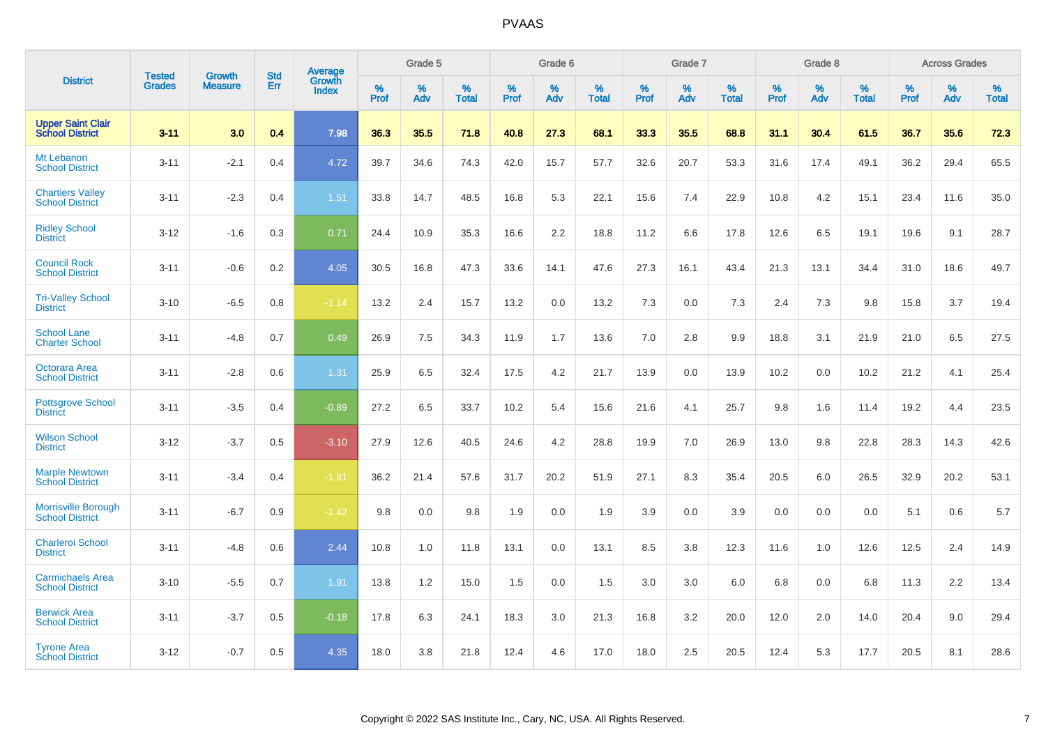|                                                      |                                |                                 | <b>Std</b> | Average                |           | Grade 5  |                   |           | Grade 6  |                   |              | Grade 7  |                   |           | Grade 8  |                   |           | <b>Across Grades</b> |            |
|------------------------------------------------------|--------------------------------|---------------------------------|------------|------------------------|-----------|----------|-------------------|-----------|----------|-------------------|--------------|----------|-------------------|-----------|----------|-------------------|-----------|----------------------|------------|
| <b>District</b>                                      | <b>Tested</b><br><b>Grades</b> | <b>Growth</b><br><b>Measure</b> | Err        | Growth<br><b>Index</b> | %<br>Prof | %<br>Adv | %<br><b>Total</b> | %<br>Prof | %<br>Adv | %<br><b>Total</b> | $\%$<br>Prof | %<br>Adv | %<br><b>Total</b> | %<br>Prof | %<br>Adv | %<br><b>Total</b> | %<br>Prof | %<br>Adv             | %<br>Total |
| <b>Upper Saint Clair</b><br><b>School District</b>   | $3 - 11$                       | 3.0                             | 0.4        | 7.98                   | 36.3      | 35.5     | 71.8              | 40.8      | 27.3     | 68.1              | 33.3         | 35.5     | 68.8              | 31.1      | 30.4     | 61.5              | 36.7      | 35.6                 | 72.3       |
| Mt Lebanon<br><b>School District</b>                 | $3 - 11$                       | $-2.1$                          | 0.4        | 4.72                   | 39.7      | 34.6     | 74.3              | 42.0      | 15.7     | 57.7              | 32.6         | 20.7     | 53.3              | 31.6      | 17.4     | 49.1              | 36.2      | 29.4                 | 65.5       |
| <b>Chartiers Valley</b><br><b>School District</b>    | $3 - 11$                       | $-2.3$                          | 0.4        | 1.51                   | 33.8      | 14.7     | 48.5              | 16.8      | 5.3      | 22.1              | 15.6         | 7.4      | 22.9              | 10.8      | 4.2      | 15.1              | 23.4      | 11.6                 | 35.0       |
| <b>Ridley School</b><br><b>District</b>              | $3 - 12$                       | $-1.6$                          | 0.3        | 0.71                   | 24.4      | 10.9     | 35.3              | 16.6      | 2.2      | 18.8              | 11.2         | 6.6      | 17.8              | 12.6      | 6.5      | 19.1              | 19.6      | 9.1                  | 28.7       |
| <b>Council Rock</b><br><b>School District</b>        | $3 - 11$                       | $-0.6$                          | 0.2        | 4.05                   | 30.5      | 16.8     | 47.3              | 33.6      | 14.1     | 47.6              | 27.3         | 16.1     | 43.4              | 21.3      | 13.1     | 34.4              | 31.0      | 18.6                 | 49.7       |
| <b>Tri-Valley School</b><br><b>District</b>          | $3 - 10$                       | $-6.5$                          | 0.8        | $-1.14$                | 13.2      | 2.4      | 15.7              | 13.2      | 0.0      | 13.2              | 7.3          | 0.0      | 7.3               | 2.4       | 7.3      | 9.8               | 15.8      | 3.7                  | 19.4       |
| <b>School Lane</b><br><b>Charter School</b>          | $3 - 11$                       | $-4.8$                          | 0.7        | 0.49                   | 26.9      | 7.5      | 34.3              | 11.9      | 1.7      | 13.6              | 7.0          | 2.8      | 9.9               | 18.8      | 3.1      | 21.9              | 21.0      | 6.5                  | 27.5       |
| Octorara Area<br><b>School District</b>              | $3 - 11$                       | $-2.8$                          | 0.6        | 1.31                   | 25.9      | 6.5      | 32.4              | 17.5      | 4.2      | 21.7              | 13.9         | 0.0      | 13.9              | 10.2      | 0.0      | 10.2              | 21.2      | 4.1                  | 25.4       |
| <b>Pottsgrove School</b><br><b>District</b>          | $3 - 11$                       | $-3.5$                          | 0.4        | $-0.89$                | 27.2      | 6.5      | 33.7              | 10.2      | 5.4      | 15.6              | 21.6         | 4.1      | 25.7              | 9.8       | 1.6      | 11.4              | 19.2      | 4.4                  | 23.5       |
| <b>Wilson School</b><br><b>District</b>              | $3 - 12$                       | $-3.7$                          | 0.5        | $-3.10$                | 27.9      | 12.6     | 40.5              | 24.6      | 4.2      | 28.8              | 19.9         | 7.0      | 26.9              | 13.0      | 9.8      | 22.8              | 28.3      | 14.3                 | 42.6       |
| <b>Marple Newtown</b><br><b>School District</b>      | $3 - 11$                       | $-3.4$                          | 0.4        | $-1.81$                | 36.2      | 21.4     | 57.6              | 31.7      | 20.2     | 51.9              | 27.1         | 8.3      | 35.4              | 20.5      | 6.0      | 26.5              | 32.9      | 20.2                 | 53.1       |
| <b>Morrisville Borough</b><br><b>School District</b> | $3 - 11$                       | $-6.7$                          | 0.9        | $-1.42$                | 9.8       | 0.0      | 9.8               | 1.9       | 0.0      | 1.9               | 3.9          | 0.0      | 3.9               | 0.0       | 0.0      | 0.0               | 5.1       | 0.6                  | 5.7        |
| <b>Charleroi School</b><br><b>District</b>           | $3 - 11$                       | $-4.8$                          | 0.6        | 2.44                   | 10.8      | 1.0      | 11.8              | 13.1      | 0.0      | 13.1              | 8.5          | 3.8      | 12.3              | 11.6      | 1.0      | 12.6              | 12.5      | 2.4                  | 14.9       |
| <b>Carmichaels Area</b><br><b>School District</b>    | $3 - 10$                       | $-5.5$                          | 0.7        | 1.91                   | 13.8      | 1.2      | 15.0              | 1.5       | 0.0      | 1.5               | 3.0          | 3.0      | 6.0               | 6.8       | 0.0      | 6.8               | 11.3      | 2.2                  | 13.4       |
| <b>Berwick Area</b><br><b>School District</b>        | $3 - 11$                       | $-3.7$                          | 0.5        | $-0.18$                | 17.8      | 6.3      | 24.1              | 18.3      | 3.0      | 21.3              | 16.8         | 3.2      | 20.0              | 12.0      | 2.0      | 14.0              | 20.4      | 9.0                  | 29.4       |
| <b>Tyrone Area</b><br><b>School District</b>         | $3 - 12$                       | $-0.7$                          | 0.5        | 4.35                   | 18.0      | 3.8      | 21.8              | 12.4      | 4.6      | 17.0              | 18.0         | 2.5      | 20.5              | 12.4      | 5.3      | 17.7              | 20.5      | 8.1                  | 28.6       |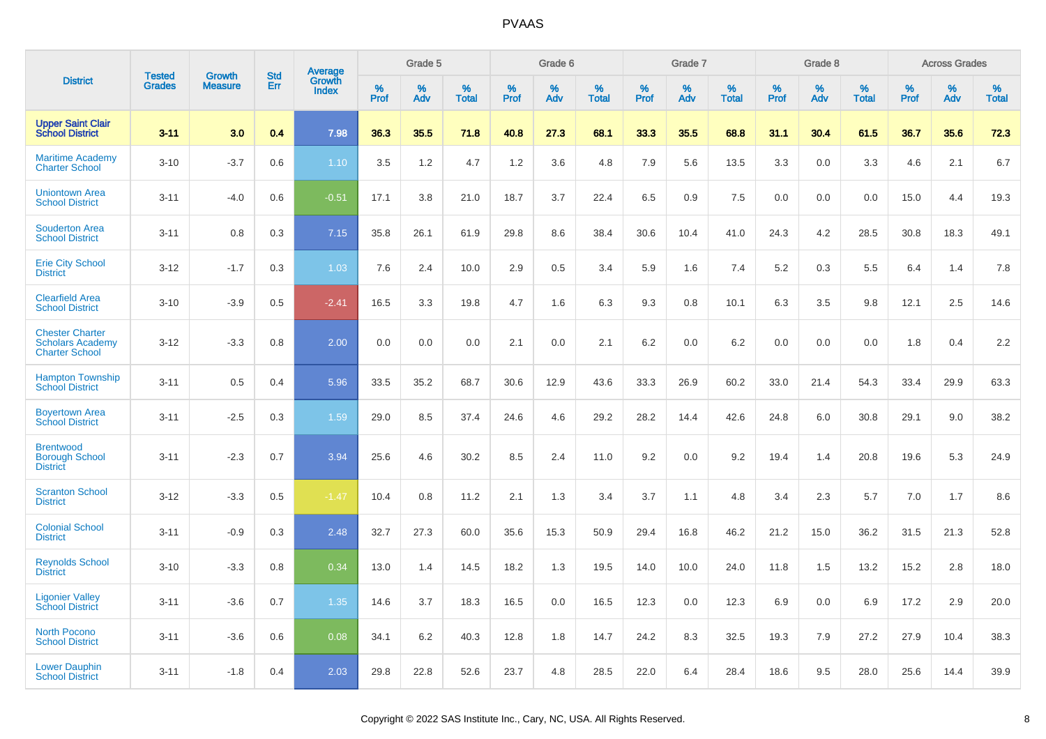|                                                                            | <b>Tested</b> | <b>Growth</b>  | <b>Std</b> | Average                |              | Grade 5  |                   |              | Grade 6  |                   |              | Grade 7  |                   |              | Grade 8  |                   |              | <b>Across Grades</b> |                   |
|----------------------------------------------------------------------------|---------------|----------------|------------|------------------------|--------------|----------|-------------------|--------------|----------|-------------------|--------------|----------|-------------------|--------------|----------|-------------------|--------------|----------------------|-------------------|
| <b>District</b>                                                            | <b>Grades</b> | <b>Measure</b> | Err        | Growth<br><b>Index</b> | $\%$<br>Prof | %<br>Adv | %<br><b>Total</b> | $\%$<br>Prof | %<br>Adv | %<br><b>Total</b> | $\%$<br>Prof | %<br>Adv | %<br><b>Total</b> | $\%$<br>Prof | %<br>Adv | %<br><b>Total</b> | $\%$<br>Prof | %<br>Adv             | %<br><b>Total</b> |
| <b>Upper Saint Clair<br/>School District</b>                               | $3 - 11$      | 3.0            | 0.4        | 7.98                   | 36.3         | 35.5     | 71.8              | 40.8         | 27.3     | 68.1              | 33.3         | 35.5     | 68.8              | 31.1         | 30.4     | 61.5              | 36.7         | 35.6                 | 72.3              |
| <b>Maritime Academy</b><br><b>Charter School</b>                           | $3 - 10$      | $-3.7$         | 0.6        | 1.10                   | 3.5          | 1.2      | 4.7               | 1.2          | 3.6      | 4.8               | 7.9          | 5.6      | 13.5              | 3.3          | 0.0      | 3.3               | 4.6          | 2.1                  | 6.7               |
| <b>Uniontown Area</b><br><b>School District</b>                            | $3 - 11$      | $-4.0$         | 0.6        | $-0.51$                | 17.1         | 3.8      | 21.0              | 18.7         | 3.7      | 22.4              | 6.5          | 0.9      | 7.5               | 0.0          | 0.0      | 0.0               | 15.0         | 4.4                  | 19.3              |
| <b>Souderton Area</b><br><b>School District</b>                            | $3 - 11$      | 0.8            | 0.3        | 7.15                   | 35.8         | 26.1     | 61.9              | 29.8         | 8.6      | 38.4              | 30.6         | 10.4     | 41.0              | 24.3         | 4.2      | 28.5              | 30.8         | 18.3                 | 49.1              |
| <b>Erie City School</b><br><b>District</b>                                 | $3 - 12$      | $-1.7$         | 0.3        | 1.03                   | 7.6          | 2.4      | 10.0              | 2.9          | 0.5      | 3.4               | 5.9          | 1.6      | 7.4               | 5.2          | 0.3      | 5.5               | 6.4          | 1.4                  | 7.8               |
| <b>Clearfield Area</b><br><b>School District</b>                           | $3 - 10$      | $-3.9$         | 0.5        | $-2.41$                | 16.5         | 3.3      | 19.8              | 4.7          | 1.6      | 6.3               | 9.3          | 0.8      | 10.1              | 6.3          | 3.5      | 9.8               | 12.1         | 2.5                  | 14.6              |
| <b>Chester Charter</b><br><b>Scholars Academy</b><br><b>Charter School</b> | $3 - 12$      | $-3.3$         | 0.8        | 2.00                   | 0.0          | 0.0      | 0.0               | 2.1          | 0.0      | 2.1               | 6.2          | 0.0      | 6.2               | 0.0          | 0.0      | 0.0               | 1.8          | 0.4                  | 2.2               |
| <b>Hampton Township</b><br><b>School District</b>                          | $3 - 11$      | 0.5            | 0.4        | 5.96                   | 33.5         | 35.2     | 68.7              | 30.6         | 12.9     | 43.6              | 33.3         | 26.9     | 60.2              | 33.0         | 21.4     | 54.3              | 33.4         | 29.9                 | 63.3              |
| <b>Boyertown Area</b><br><b>School District</b>                            | $3 - 11$      | $-2.5$         | 0.3        | 1.59                   | 29.0         | 8.5      | 37.4              | 24.6         | 4.6      | 29.2              | 28.2         | 14.4     | 42.6              | 24.8         | 6.0      | 30.8              | 29.1         | 9.0                  | 38.2              |
| <b>Brentwood</b><br><b>Borough School</b><br><b>District</b>               | $3 - 11$      | $-2.3$         | 0.7        | 3.94                   | 25.6         | 4.6      | 30.2              | 8.5          | 2.4      | 11.0              | 9.2          | 0.0      | 9.2               | 19.4         | 1.4      | 20.8              | 19.6         | 5.3                  | 24.9              |
| <b>Scranton School</b><br><b>District</b>                                  | $3 - 12$      | $-3.3$         | 0.5        | $-1.47$                | 10.4         | 0.8      | 11.2              | 2.1          | 1.3      | 3.4               | 3.7          | 1.1      | 4.8               | 3.4          | 2.3      | 5.7               | 7.0          | 1.7                  | 8.6               |
| <b>Colonial School</b><br><b>District</b>                                  | $3 - 11$      | $-0.9$         | 0.3        | 2.48                   | 32.7         | 27.3     | 60.0              | 35.6         | 15.3     | 50.9              | 29.4         | 16.8     | 46.2              | 21.2         | 15.0     | 36.2              | 31.5         | 21.3                 | 52.8              |
| <b>Reynolds School</b><br><b>District</b>                                  | $3 - 10$      | $-3.3$         | 0.8        | 0.34                   | 13.0         | 1.4      | 14.5              | 18.2         | 1.3      | 19.5              | 14.0         | 10.0     | 24.0              | 11.8         | 1.5      | 13.2              | 15.2         | 2.8                  | 18.0              |
| <b>Ligonier Valley</b><br><b>School District</b>                           | $3 - 11$      | $-3.6$         | 0.7        | 1.35                   | 14.6         | 3.7      | 18.3              | 16.5         | 0.0      | 16.5              | 12.3         | 0.0      | 12.3              | 6.9          | 0.0      | 6.9               | 17.2         | 2.9                  | 20.0              |
| <b>North Pocono</b><br><b>School District</b>                              | $3 - 11$      | $-3.6$         | 0.6        | 0.08                   | 34.1         | 6.2      | 40.3              | 12.8         | 1.8      | 14.7              | 24.2         | 8.3      | 32.5              | 19.3         | 7.9      | 27.2              | 27.9         | 10.4                 | 38.3              |
| <b>Lower Dauphin</b><br><b>School District</b>                             | $3 - 11$      | $-1.8$         | 0.4        | 2.03                   | 29.8         | 22.8     | 52.6              | 23.7         | 4.8      | 28.5              | 22.0         | 6.4      | 28.4              | 18.6         | 9.5      | 28.0              | 25.6         | 14.4                 | 39.9              |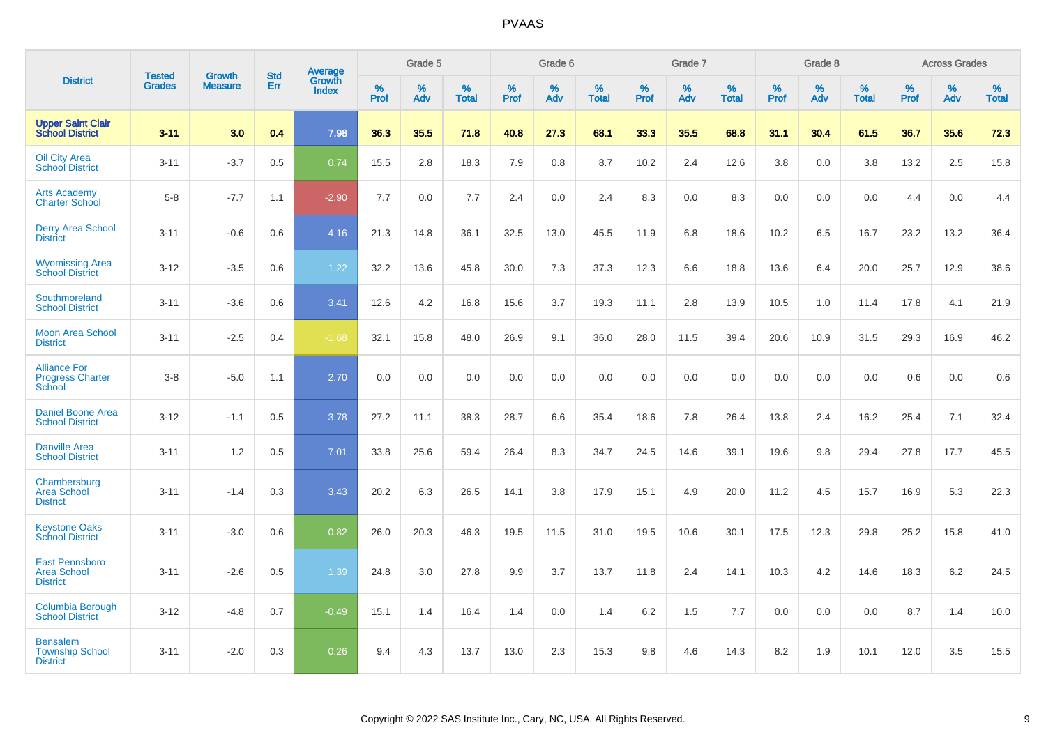|                                                                |                                |                          | <b>Std</b> | Average                |           | Grade 5  |                   |           | Grade 6  |                   |           | Grade 7  |                      |           | Grade 8  |                   |           | <b>Across Grades</b> |                   |
|----------------------------------------------------------------|--------------------------------|--------------------------|------------|------------------------|-----------|----------|-------------------|-----------|----------|-------------------|-----------|----------|----------------------|-----------|----------|-------------------|-----------|----------------------|-------------------|
| <b>District</b>                                                | <b>Tested</b><br><b>Grades</b> | Growth<br><b>Measure</b> | Err        | Growth<br><b>Index</b> | %<br>Prof | %<br>Adv | %<br><b>Total</b> | %<br>Prof | %<br>Adv | %<br><b>Total</b> | %<br>Prof | %<br>Adv | $\%$<br><b>Total</b> | %<br>Prof | %<br>Adv | %<br><b>Total</b> | %<br>Prof | %<br>Adv             | %<br><b>Total</b> |
| <b>Upper Saint Clair</b><br><b>School District</b>             | $3 - 11$                       | 3.0                      | 0.4        | 7.98                   | 36.3      | 35.5     | 71.8              | 40.8      | 27.3     | 68.1              | 33.3      | 35.5     | 68.8                 | 31.1      | 30.4     | 61.5              | 36.7      | 35.6                 | 72.3              |
| <b>Oil City Area</b><br><b>School District</b>                 | $3 - 11$                       | $-3.7$                   | 0.5        | 0.74                   | 15.5      | 2.8      | 18.3              | 7.9       | 0.8      | 8.7               | 10.2      | 2.4      | 12.6                 | 3.8       | 0.0      | 3.8               | 13.2      | 2.5                  | 15.8              |
| <b>Arts Academy</b><br><b>Charter School</b>                   | $5 - 8$                        | $-7.7$                   | 1.1        | $-2.90$                | 7.7       | 0.0      | 7.7               | 2.4       | 0.0      | 2.4               | 8.3       | 0.0      | 8.3                  | 0.0       | 0.0      | 0.0               | 4.4       | 0.0                  | 4.4               |
| <b>Derry Area School</b><br><b>District</b>                    | $3 - 11$                       | $-0.6$                   | 0.6        | 4.16                   | 21.3      | 14.8     | 36.1              | 32.5      | 13.0     | 45.5              | 11.9      | 6.8      | 18.6                 | 10.2      | 6.5      | 16.7              | 23.2      | 13.2                 | 36.4              |
| <b>Wyomissing Area</b><br><b>School District</b>               | $3 - 12$                       | $-3.5$                   | 0.6        | 1.22                   | 32.2      | 13.6     | 45.8              | 30.0      | 7.3      | 37.3              | 12.3      | 6.6      | 18.8                 | 13.6      | 6.4      | 20.0              | 25.7      | 12.9                 | 38.6              |
| Southmoreland<br><b>School District</b>                        | $3 - 11$                       | $-3.6$                   | 0.6        | 3.41                   | 12.6      | 4.2      | 16.8              | 15.6      | 3.7      | 19.3              | 11.1      | 2.8      | 13.9                 | 10.5      | 1.0      | 11.4              | 17.8      | 4.1                  | 21.9              |
| <b>Moon Area School</b><br><b>District</b>                     | $3 - 11$                       | $-2.5$                   | 0.4        | $-1.68$                | 32.1      | 15.8     | 48.0              | 26.9      | 9.1      | 36.0              | 28.0      | 11.5     | 39.4                 | 20.6      | 10.9     | 31.5              | 29.3      | 16.9                 | 46.2              |
| <b>Alliance For</b><br><b>Progress Charter</b><br>School       | $3 - 8$                        | $-5.0$                   | 1.1        | 2.70                   | 0.0       | 0.0      | 0.0               | 0.0       | 0.0      | 0.0               | 0.0       | 0.0      | 0.0                  | 0.0       | 0.0      | 0.0               | 0.6       | 0.0                  | 0.6               |
| <b>Daniel Boone Area</b><br><b>School District</b>             | $3 - 12$                       | $-1.1$                   | 0.5        | 3.78                   | 27.2      | 11.1     | 38.3              | 28.7      | 6.6      | 35.4              | 18.6      | 7.8      | 26.4                 | 13.8      | 2.4      | 16.2              | 25.4      | 7.1                  | 32.4              |
| <b>Danville Area</b><br><b>School District</b>                 | $3 - 11$                       | 1.2                      | 0.5        | 7.01                   | 33.8      | 25.6     | 59.4              | 26.4      | 8.3      | 34.7              | 24.5      | 14.6     | 39.1                 | 19.6      | 9.8      | 29.4              | 27.8      | 17.7                 | 45.5              |
| Chambersburg<br><b>Area School</b><br><b>District</b>          | $3 - 11$                       | $-1.4$                   | 0.3        | 3.43                   | 20.2      | 6.3      | 26.5              | 14.1      | 3.8      | 17.9              | 15.1      | 4.9      | 20.0                 | 11.2      | 4.5      | 15.7              | 16.9      | 5.3                  | 22.3              |
| <b>Keystone Oaks</b><br><b>School District</b>                 | $3 - 11$                       | $-3.0$                   | 0.6        | 0.82                   | 26.0      | 20.3     | 46.3              | 19.5      | 11.5     | 31.0              | 19.5      | 10.6     | 30.1                 | 17.5      | 12.3     | 29.8              | 25.2      | 15.8                 | 41.0              |
| <b>East Pennsboro</b><br><b>Area School</b><br><b>District</b> | $3 - 11$                       | $-2.6$                   | 0.5        | 1.39                   | 24.8      | 3.0      | 27.8              | 9.9       | 3.7      | 13.7              | 11.8      | 2.4      | 14.1                 | 10.3      | 4.2      | 14.6              | 18.3      | $6.2\,$              | 24.5              |
| Columbia Borough<br><b>School District</b>                     | $3 - 12$                       | $-4.8$                   | 0.7        | $-0.49$                | 15.1      | 1.4      | 16.4              | 1.4       | 0.0      | 1.4               | 6.2       | 1.5      | 7.7                  | 0.0       | 0.0      | 0.0               | 8.7       | 1.4                  | 10.0              |
| <b>Bensalem</b><br><b>Township School</b><br><b>District</b>   | $3 - 11$                       | $-2.0$                   | 0.3        | 0.26                   | 9.4       | 4.3      | 13.7              | 13.0      | 2.3      | 15.3              | 9.8       | 4.6      | 14.3                 | 8.2       | 1.9      | 10.1              | 12.0      | 3.5                  | 15.5              |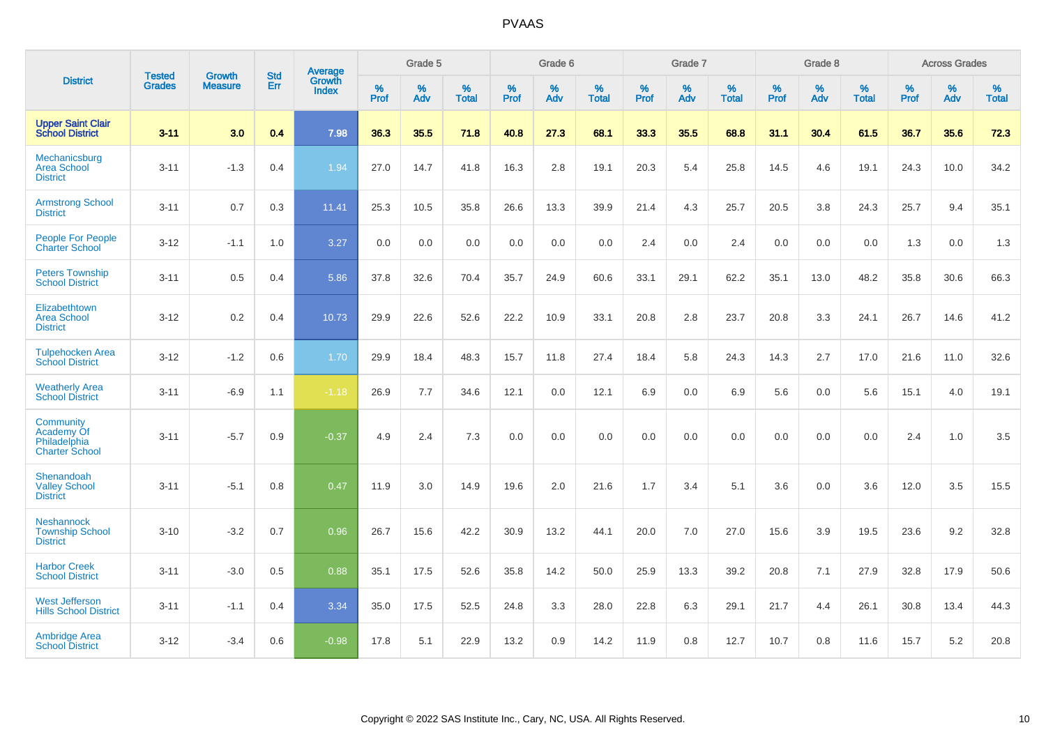|                                                                  |                                |                                 | <b>Std</b> | Average                       |              | Grade 5  |                   |           | Grade 6  |                   |           | Grade 7  |                   |           | Grade 8  |                   |           | <b>Across Grades</b> |                   |
|------------------------------------------------------------------|--------------------------------|---------------------------------|------------|-------------------------------|--------------|----------|-------------------|-----------|----------|-------------------|-----------|----------|-------------------|-----------|----------|-------------------|-----------|----------------------|-------------------|
| <b>District</b>                                                  | <b>Tested</b><br><b>Grades</b> | <b>Growth</b><br><b>Measure</b> | <b>Err</b> | <b>Growth</b><br><b>Index</b> | $\%$<br>Prof | %<br>Adv | %<br><b>Total</b> | %<br>Prof | %<br>Adv | %<br><b>Total</b> | %<br>Prof | %<br>Adv | %<br><b>Total</b> | %<br>Prof | %<br>Adv | %<br><b>Total</b> | %<br>Prof | %<br>Adv             | %<br><b>Total</b> |
| <b>Upper Saint Clair</b><br><b>School District</b>               | $3 - 11$                       | 3.0                             | 0.4        | 7.98                          | 36.3         | 35.5     | 71.8              | 40.8      | 27.3     | 68.1              | 33.3      | 35.5     | 68.8              | 31.1      | 30.4     | 61.5              | 36.7      | 35.6                 | 72.3              |
| Mechanicsburg<br><b>Area School</b><br><b>District</b>           | $3 - 11$                       | $-1.3$                          | 0.4        | 1.94                          | 27.0         | 14.7     | 41.8              | 16.3      | 2.8      | 19.1              | 20.3      | 5.4      | 25.8              | 14.5      | 4.6      | 19.1              | 24.3      | 10.0                 | 34.2              |
| <b>Armstrong School</b><br><b>District</b>                       | $3 - 11$                       | 0.7                             | 0.3        | 11.41                         | 25.3         | 10.5     | 35.8              | 26.6      | 13.3     | 39.9              | 21.4      | 4.3      | 25.7              | 20.5      | 3.8      | 24.3              | 25.7      | 9.4                  | 35.1              |
| <b>People For People</b><br><b>Charter School</b>                | $3 - 12$                       | $-1.1$                          | 1.0        | 3.27                          | 0.0          | 0.0      | 0.0               | 0.0       | 0.0      | 0.0               | 2.4       | 0.0      | 2.4               | 0.0       | 0.0      | 0.0               | 1.3       | 0.0                  | 1.3               |
| <b>Peters Township</b><br><b>School District</b>                 | $3 - 11$                       | 0.5                             | 0.4        | 5.86                          | 37.8         | 32.6     | 70.4              | 35.7      | 24.9     | 60.6              | 33.1      | 29.1     | 62.2              | 35.1      | 13.0     | 48.2              | 35.8      | 30.6                 | 66.3              |
| Elizabethtown<br><b>Area School</b><br><b>District</b>           | $3 - 12$                       | 0.2                             | 0.4        | 10.73                         | 29.9         | 22.6     | 52.6              | 22.2      | 10.9     | 33.1              | 20.8      | 2.8      | 23.7              | 20.8      | 3.3      | 24.1              | 26.7      | 14.6                 | 41.2              |
| <b>Tulpehocken Area</b><br><b>School District</b>                | $3 - 12$                       | $-1.2$                          | 0.6        | 1.70                          | 29.9         | 18.4     | 48.3              | 15.7      | 11.8     | 27.4              | 18.4      | 5.8      | 24.3              | 14.3      | 2.7      | 17.0              | 21.6      | 11.0                 | 32.6              |
| <b>Weatherly Area</b><br><b>School District</b>                  | $3 - 11$                       | $-6.9$                          | 1.1        | $-1.18$                       | 26.9         | 7.7      | 34.6              | 12.1      | 0.0      | 12.1              | 6.9       | $0.0\,$  | 6.9               | 5.6       | $0.0\,$  | 5.6               | 15.1      | 4.0                  | 19.1              |
| Community<br>Academy Of<br>Philadelphia<br><b>Charter School</b> | $3 - 11$                       | $-5.7$                          | 0.9        | $-0.37$                       | 4.9          | 2.4      | 7.3               | 0.0       | 0.0      | 0.0               | 0.0       | 0.0      | 0.0               | 0.0       | 0.0      | 0.0               | 2.4       | 1.0                  | 3.5               |
| Shenandoah<br><b>Valley School</b><br><b>District</b>            | $3 - 11$                       | $-5.1$                          | 0.8        | 0.47                          | 11.9         | 3.0      | 14.9              | 19.6      | 2.0      | 21.6              | 1.7       | 3.4      | 5.1               | 3.6       | 0.0      | 3.6               | 12.0      | 3.5                  | 15.5              |
| <b>Neshannock</b><br><b>Township School</b><br><b>District</b>   | $3 - 10$                       | $-3.2$                          | 0.7        | 0.96                          | 26.7         | 15.6     | 42.2              | 30.9      | 13.2     | 44.1              | 20.0      | 7.0      | 27.0              | 15.6      | 3.9      | 19.5              | 23.6      | 9.2                  | 32.8              |
| <b>Harbor Creek</b><br><b>School District</b>                    | $3 - 11$                       | $-3.0$                          | 0.5        | 0.88                          | 35.1         | 17.5     | 52.6              | 35.8      | 14.2     | 50.0              | 25.9      | 13.3     | 39.2              | 20.8      | 7.1      | 27.9              | 32.8      | 17.9                 | 50.6              |
| <b>West Jefferson</b><br><b>Hills School District</b>            | $3 - 11$                       | $-1.1$                          | 0.4        | 3.34                          | 35.0         | 17.5     | 52.5              | 24.8      | 3.3      | 28.0              | 22.8      | 6.3      | 29.1              | 21.7      | 4.4      | 26.1              | 30.8      | 13.4                 | 44.3              |
| <b>Ambridge Area</b><br><b>School District</b>                   | $3 - 12$                       | $-3.4$                          | 0.6        | $-0.98$                       | 17.8         | 5.1      | 22.9              | 13.2      | 0.9      | 14.2              | 11.9      | 0.8      | 12.7              | 10.7      | 0.8      | 11.6              | 15.7      | 5.2                  | 20.8              |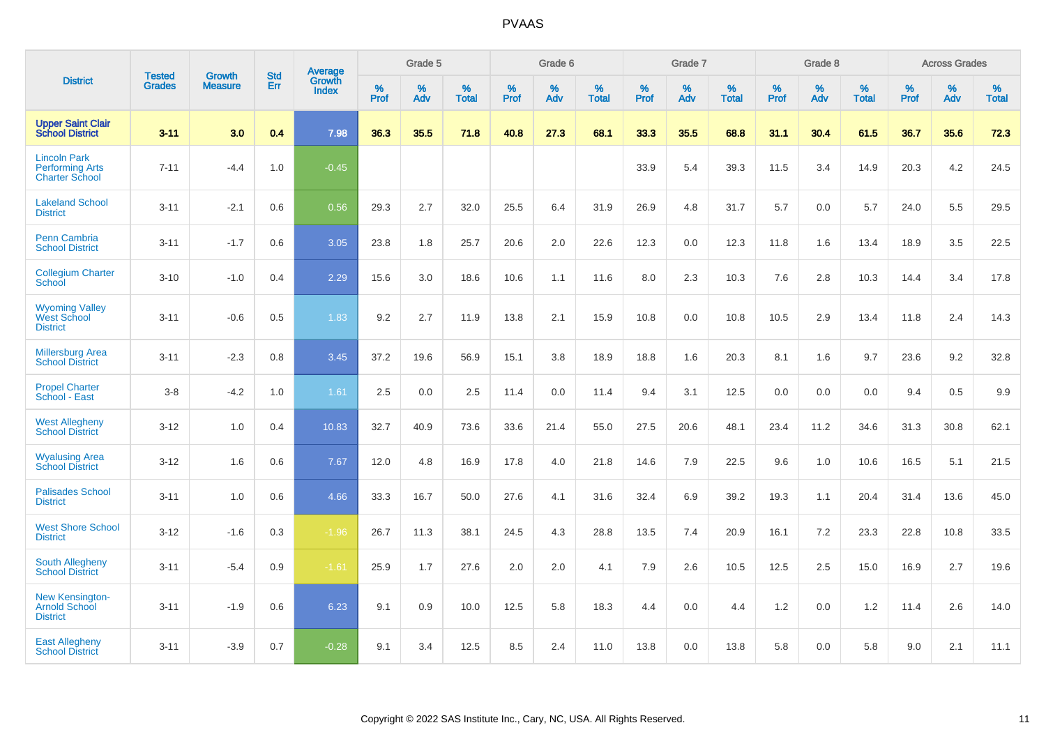|                                                                        | <b>Tested</b> | <b>Growth</b>  | <b>Std</b> | Average                       |           | Grade 5  |                   |           | Grade 6  |                   |           | Grade 7  |                   |           | Grade 8  |                   |           | <b>Across Grades</b> |                   |
|------------------------------------------------------------------------|---------------|----------------|------------|-------------------------------|-----------|----------|-------------------|-----------|----------|-------------------|-----------|----------|-------------------|-----------|----------|-------------------|-----------|----------------------|-------------------|
| <b>District</b>                                                        | <b>Grades</b> | <b>Measure</b> | Err        | <b>Growth</b><br><b>Index</b> | %<br>Prof | %<br>Adv | %<br><b>Total</b> | %<br>Prof | %<br>Adv | %<br><b>Total</b> | %<br>Prof | %<br>Adv | %<br><b>Total</b> | %<br>Prof | %<br>Adv | %<br><b>Total</b> | %<br>Prof | %<br>Adv             | %<br><b>Total</b> |
| <b>Upper Saint Clair</b><br><b>School District</b>                     | $3 - 11$      | 3.0            | 0.4        | 7.98                          | 36.3      | 35.5     | 71.8              | 40.8      | 27.3     | 68.1              | 33.3      | 35.5     | 68.8              | 31.1      | 30.4     | 61.5              | 36.7      | 35.6                 | 72.3              |
| <b>Lincoln Park</b><br><b>Performing Arts</b><br><b>Charter School</b> | $7 - 11$      | $-4.4$         | 1.0        | $-0.45$                       |           |          |                   |           |          |                   | 33.9      | 5.4      | 39.3              | 11.5      | 3.4      | 14.9              | 20.3      | 4.2                  | 24.5              |
| <b>Lakeland School</b><br><b>District</b>                              | $3 - 11$      | $-2.1$         | 0.6        | 0.56                          | 29.3      | 2.7      | 32.0              | 25.5      | 6.4      | 31.9              | 26.9      | 4.8      | 31.7              | 5.7       | 0.0      | 5.7               | 24.0      | 5.5                  | 29.5              |
| <b>Penn Cambria</b><br><b>School District</b>                          | $3 - 11$      | $-1.7$         | 0.6        | 3.05                          | 23.8      | 1.8      | 25.7              | 20.6      | 2.0      | 22.6              | 12.3      | 0.0      | 12.3              | 11.8      | 1.6      | 13.4              | 18.9      | 3.5                  | 22.5              |
| <b>Collegium Charter</b><br>School                                     | $3 - 10$      | $-1.0$         | 0.4        | 2.29                          | 15.6      | 3.0      | 18.6              | 10.6      | 1.1      | 11.6              | 8.0       | 2.3      | 10.3              | 7.6       | 2.8      | 10.3              | 14.4      | 3.4                  | 17.8              |
| <b>Wyoming Valley</b><br>West School<br><b>District</b>                | $3 - 11$      | $-0.6$         | 0.5        | 1.83                          | 9.2       | 2.7      | 11.9              | 13.8      | 2.1      | 15.9              | 10.8      | 0.0      | 10.8              | 10.5      | 2.9      | 13.4              | 11.8      | 2.4                  | 14.3              |
| <b>Millersburg Area</b><br><b>School District</b>                      | $3 - 11$      | $-2.3$         | 0.8        | 3.45                          | 37.2      | 19.6     | 56.9              | 15.1      | 3.8      | 18.9              | 18.8      | 1.6      | 20.3              | 8.1       | 1.6      | 9.7               | 23.6      | 9.2                  | 32.8              |
| <b>Propel Charter</b><br>School - East                                 | $3 - 8$       | $-4.2$         | 1.0        | 1.61                          | 2.5       | 0.0      | 2.5               | 11.4      | 0.0      | 11.4              | 9.4       | 3.1      | 12.5              | 0.0       | 0.0      | 0.0               | 9.4       | 0.5                  | 9.9               |
| <b>West Allegheny</b><br><b>School District</b>                        | $3 - 12$      | 1.0            | 0.4        | 10.83                         | 32.7      | 40.9     | 73.6              | 33.6      | 21.4     | 55.0              | 27.5      | 20.6     | 48.1              | 23.4      | 11.2     | 34.6              | 31.3      | 30.8                 | 62.1              |
| <b>Wyalusing Area</b><br><b>School District</b>                        | $3 - 12$      | 1.6            | 0.6        | 7.67                          | 12.0      | 4.8      | 16.9              | 17.8      | 4.0      | 21.8              | 14.6      | 7.9      | 22.5              | 9.6       | 1.0      | 10.6              | 16.5      | 5.1                  | 21.5              |
| <b>Palisades School</b><br><b>District</b>                             | $3 - 11$      | 1.0            | 0.6        | 4.66                          | 33.3      | 16.7     | 50.0              | 27.6      | 4.1      | 31.6              | 32.4      | 6.9      | 39.2              | 19.3      | 1.1      | 20.4              | 31.4      | 13.6                 | 45.0              |
| <b>West Shore School</b><br><b>District</b>                            | $3 - 12$      | $-1.6$         | 0.3        | $-1.96$                       | 26.7      | 11.3     | 38.1              | 24.5      | 4.3      | 28.8              | 13.5      | 7.4      | 20.9              | 16.1      | 7.2      | 23.3              | 22.8      | 10.8                 | 33.5              |
| <b>South Allegheny</b><br><b>School District</b>                       | $3 - 11$      | $-5.4$         | 0.9        | $-1.61$                       | 25.9      | 1.7      | 27.6              | 2.0       | 2.0      | 4.1               | 7.9       | 2.6      | 10.5              | 12.5      | 2.5      | 15.0              | 16.9      | 2.7                  | 19.6              |
| <b>New Kensington-</b><br><b>Arnold School</b><br><b>District</b>      | $3 - 11$      | $-1.9$         | 0.6        | 6.23                          | 9.1       | 0.9      | 10.0              | 12.5      | 5.8      | 18.3              | 4.4       | 0.0      | 4.4               | 1.2       | 0.0      | 1.2               | 11.4      | 2.6                  | 14.0              |
| <b>East Allegheny</b><br><b>School District</b>                        | $3 - 11$      | $-3.9$         | 0.7        | $-0.28$                       | 9.1       | 3.4      | 12.5              | 8.5       | 2.4      | 11.0              | 13.8      | 0.0      | 13.8              | 5.8       | 0.0      | 5.8               | 9.0       | 2.1                  | 11.1              |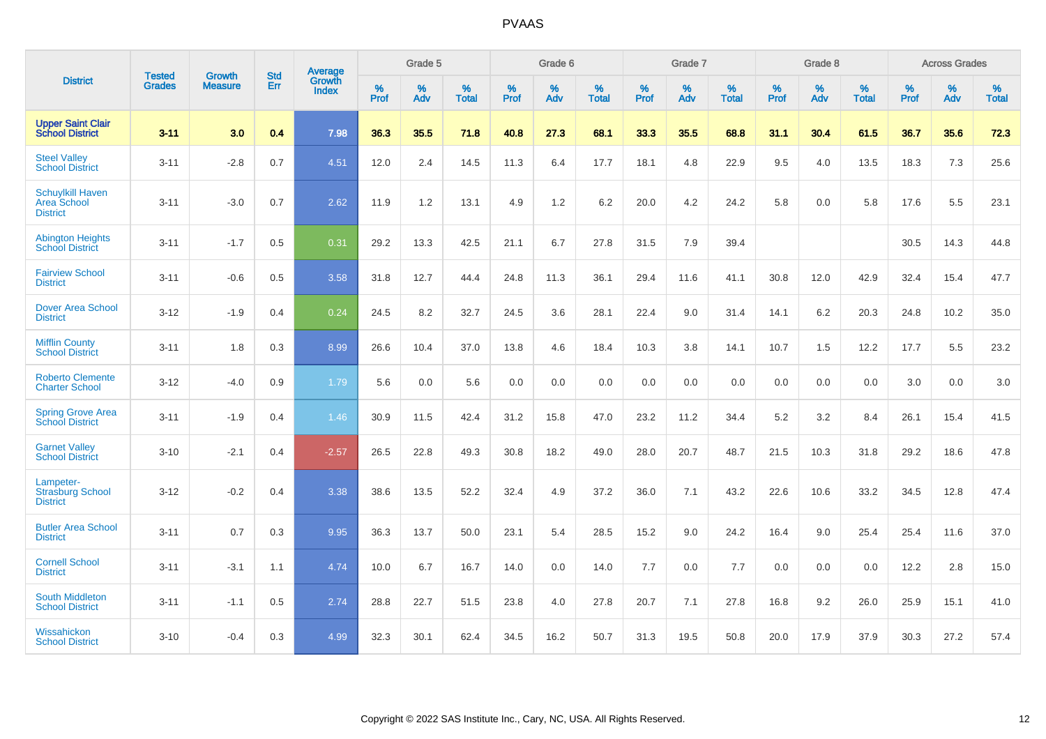|                                                           | <b>Tested</b> | <b>Growth</b>  | <b>Std</b> | Average                |                     | Grade 5  |                   |                     | Grade 6  |                   |              | Grade 7  |                   |                     | Grade 8  |                   |                     | <b>Across Grades</b> |                   |
|-----------------------------------------------------------|---------------|----------------|------------|------------------------|---------------------|----------|-------------------|---------------------|----------|-------------------|--------------|----------|-------------------|---------------------|----------|-------------------|---------------------|----------------------|-------------------|
| <b>District</b>                                           | <b>Grades</b> | <b>Measure</b> | Err        | Growth<br><b>Index</b> | $\%$<br><b>Prof</b> | %<br>Adv | %<br><b>Total</b> | $\%$<br><b>Prof</b> | %<br>Adv | %<br><b>Total</b> | $\%$<br>Prof | %<br>Adv | %<br><b>Total</b> | $\%$<br><b>Prof</b> | %<br>Adv | %<br><b>Total</b> | $\%$<br><b>Prof</b> | %<br>Adv             | %<br><b>Total</b> |
| <b>Upper Saint Clair</b><br><b>School District</b>        | $3 - 11$      | 3.0            | 0.4        | 7.98                   | 36.3                | 35.5     | 71.8              | 40.8                | 27.3     | 68.1              | 33.3         | 35.5     | 68.8              | 31.1                | 30.4     | 61.5              | 36.7                | 35.6                 | 72.3              |
| <b>Steel Valley</b><br><b>School District</b>             | $3 - 11$      | $-2.8$         | 0.7        | 4.51                   | 12.0                | 2.4      | 14.5              | 11.3                | 6.4      | 17.7              | 18.1         | 4.8      | 22.9              | 9.5                 | 4.0      | 13.5              | 18.3                | $7.3$                | 25.6              |
| <b>Schuylkill Haven</b><br>Area School<br><b>District</b> | $3 - 11$      | $-3.0$         | 0.7        | 2.62                   | 11.9                | 1.2      | 13.1              | 4.9                 | 1.2      | 6.2               | 20.0         | 4.2      | 24.2              | 5.8                 | 0.0      | 5.8               | 17.6                | 5.5                  | 23.1              |
| <b>Abington Heights</b><br><b>School District</b>         | $3 - 11$      | $-1.7$         | 0.5        | 0.31                   | 29.2                | 13.3     | 42.5              | 21.1                | 6.7      | 27.8              | 31.5         | 7.9      | 39.4              |                     |          |                   | 30.5                | 14.3                 | 44.8              |
| <b>Fairview School</b><br><b>District</b>                 | $3 - 11$      | $-0.6$         | 0.5        | 3.58                   | 31.8                | 12.7     | 44.4              | 24.8                | 11.3     | 36.1              | 29.4         | 11.6     | 41.1              | 30.8                | 12.0     | 42.9              | 32.4                | 15.4                 | 47.7              |
| <b>Dover Area School</b><br><b>District</b>               | $3 - 12$      | $-1.9$         | 0.4        | 0.24                   | 24.5                | 8.2      | 32.7              | 24.5                | 3.6      | 28.1              | 22.4         | 9.0      | 31.4              | 14.1                | 6.2      | 20.3              | 24.8                | 10.2                 | 35.0              |
| <b>Mifflin County</b><br><b>School District</b>           | $3 - 11$      | 1.8            | 0.3        | 8.99                   | 26.6                | 10.4     | 37.0              | 13.8                | 4.6      | 18.4              | 10.3         | 3.8      | 14.1              | 10.7                | 1.5      | 12.2              | 17.7                | 5.5                  | 23.2              |
| <b>Roberto Clemente</b><br><b>Charter School</b>          | $3 - 12$      | $-4.0$         | 0.9        | 1.79                   | 5.6                 | 0.0      | 5.6               | 0.0                 | 0.0      | 0.0               | 0.0          | 0.0      | 0.0               | 0.0                 | 0.0      | 0.0               | 3.0                 | 0.0                  | 3.0               |
| <b>Spring Grove Area</b><br><b>School District</b>        | $3 - 11$      | $-1.9$         | 0.4        | 1.46                   | 30.9                | 11.5     | 42.4              | 31.2                | 15.8     | 47.0              | 23.2         | 11.2     | 34.4              | 5.2                 | 3.2      | 8.4               | 26.1                | 15.4                 | 41.5              |
| <b>Garnet Valley</b><br><b>School District</b>            | $3 - 10$      | $-2.1$         | 0.4        | $-2.57$                | 26.5                | 22.8     | 49.3              | 30.8                | 18.2     | 49.0              | 28.0         | 20.7     | 48.7              | 21.5                | 10.3     | 31.8              | 29.2                | 18.6                 | 47.8              |
| Lampeter-<br><b>Strasburg School</b><br><b>District</b>   | $3 - 12$      | $-0.2$         | 0.4        | 3.38                   | 38.6                | 13.5     | 52.2              | 32.4                | 4.9      | 37.2              | 36.0         | 7.1      | 43.2              | 22.6                | 10.6     | 33.2              | 34.5                | 12.8                 | 47.4              |
| <b>Butler Area School</b><br><b>District</b>              | $3 - 11$      | 0.7            | 0.3        | 9.95                   | 36.3                | 13.7     | 50.0              | 23.1                | 5.4      | 28.5              | 15.2         | 9.0      | 24.2              | 16.4                | 9.0      | 25.4              | 25.4                | 11.6                 | 37.0              |
| <b>Cornell School</b><br><b>District</b>                  | $3 - 11$      | $-3.1$         | 1.1        | 4.74                   | 10.0                | 6.7      | 16.7              | 14.0                | 0.0      | 14.0              | $7.7$        | 0.0      | 7.7               | 0.0                 | 0.0      | 0.0               | 12.2                | $2.8\,$              | 15.0              |
| <b>South Middleton</b><br><b>School District</b>          | $3 - 11$      | $-1.1$         | 0.5        | 2.74                   | 28.8                | 22.7     | 51.5              | 23.8                | 4.0      | 27.8              | 20.7         | 7.1      | 27.8              | 16.8                | 9.2      | 26.0              | 25.9                | 15.1                 | 41.0              |
| Wissahickon<br><b>School District</b>                     | $3 - 10$      | $-0.4$         | 0.3        | 4.99                   | 32.3                | 30.1     | 62.4              | 34.5                | 16.2     | 50.7              | 31.3         | 19.5     | 50.8              | 20.0                | 17.9     | 37.9              | 30.3                | 27.2                 | 57.4              |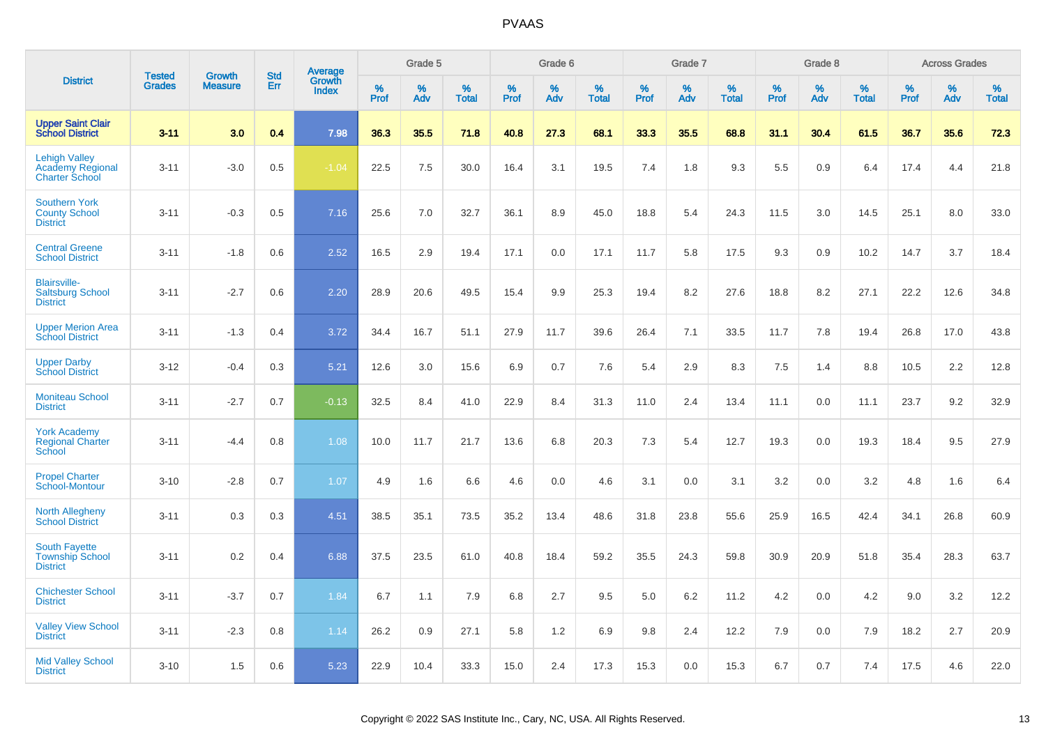|                                                                          |                                |                                 | <b>Std</b> | Average                |                  | Grade 5  |                   |           | Grade 6  |                   |           | Grade 7  |                   |           | Grade 8  |                   |              | <b>Across Grades</b> |                   |
|--------------------------------------------------------------------------|--------------------------------|---------------------------------|------------|------------------------|------------------|----------|-------------------|-----------|----------|-------------------|-----------|----------|-------------------|-----------|----------|-------------------|--------------|----------------------|-------------------|
| <b>District</b>                                                          | <b>Tested</b><br><b>Grades</b> | <b>Growth</b><br><b>Measure</b> | Err        | Growth<br><b>Index</b> | %<br><b>Prof</b> | %<br>Adv | %<br><b>Total</b> | %<br>Prof | %<br>Adv | %<br><b>Total</b> | %<br>Prof | %<br>Adv | %<br><b>Total</b> | %<br>Prof | %<br>Adv | %<br><b>Total</b> | $\%$<br>Prof | %<br>Adv             | %<br><b>Total</b> |
| <b>Upper Saint Clair</b><br><b>School District</b>                       | $3 - 11$                       | 3.0                             | 0.4        | 7.98                   | 36.3             | 35.5     | 71.8              | 40.8      | 27.3     | 68.1              | 33.3      | 35.5     | 68.8              | 31.1      | 30.4     | 61.5              | 36.7         | 35.6                 | 72.3              |
| <b>Lehigh Valley</b><br><b>Academy Regional</b><br><b>Charter School</b> | $3 - 11$                       | $-3.0$                          | 0.5        | $-1.04$                | 22.5             | 7.5      | 30.0              | 16.4      | 3.1      | 19.5              | 7.4       | 1.8      | 9.3               | 5.5       | 0.9      | 6.4               | 17.4         | 4.4                  | 21.8              |
| <b>Southern York</b><br><b>County School</b><br><b>District</b>          | $3 - 11$                       | $-0.3$                          | 0.5        | 7.16                   | 25.6             | 7.0      | 32.7              | 36.1      | 8.9      | 45.0              | 18.8      | 5.4      | 24.3              | 11.5      | 3.0      | 14.5              | 25.1         | 8.0                  | 33.0              |
| <b>Central Greene</b><br><b>School District</b>                          | $3 - 11$                       | $-1.8$                          | 0.6        | 2.52                   | 16.5             | 2.9      | 19.4              | 17.1      | 0.0      | 17.1              | 11.7      | 5.8      | 17.5              | 9.3       | 0.9      | 10.2              | 14.7         | 3.7                  | 18.4              |
| <b>Blairsville-</b><br><b>Saltsburg School</b><br><b>District</b>        | $3 - 11$                       | $-2.7$                          | 0.6        | 2.20                   | 28.9             | 20.6     | 49.5              | 15.4      | 9.9      | 25.3              | 19.4      | 8.2      | 27.6              | 18.8      | 8.2      | 27.1              | 22.2         | 12.6                 | 34.8              |
| <b>Upper Merion Area</b><br><b>School District</b>                       | $3 - 11$                       | $-1.3$                          | 0.4        | 3.72                   | 34.4             | 16.7     | 51.1              | 27.9      | 11.7     | 39.6              | 26.4      | 7.1      | 33.5              | 11.7      | 7.8      | 19.4              | 26.8         | 17.0                 | 43.8              |
| <b>Upper Darby</b><br><b>School District</b>                             | $3 - 12$                       | $-0.4$                          | 0.3        | 5.21                   | 12.6             | 3.0      | 15.6              | 6.9       | 0.7      | 7.6               | 5.4       | 2.9      | 8.3               | 7.5       | 1.4      | 8.8               | 10.5         | 2.2                  | 12.8              |
| <b>Moniteau School</b><br><b>District</b>                                | $3 - 11$                       | $-2.7$                          | 0.7        | $-0.13$                | 32.5             | 8.4      | 41.0              | 22.9      | 8.4      | 31.3              | 11.0      | 2.4      | 13.4              | 11.1      | 0.0      | 11.1              | 23.7         | 9.2                  | 32.9              |
| <b>York Academy</b><br><b>Regional Charter</b><br>School                 | $3 - 11$                       | $-4.4$                          | 0.8        | 1.08                   | 10.0             | 11.7     | 21.7              | 13.6      | 6.8      | 20.3              | 7.3       | 5.4      | 12.7              | 19.3      | 0.0      | 19.3              | 18.4         | 9.5                  | 27.9              |
| <b>Propel Charter</b><br>School-Montour                                  | $3 - 10$                       | $-2.8$                          | 0.7        | 1.07                   | 4.9              | 1.6      | 6.6               | 4.6       | 0.0      | 4.6               | 3.1       | 0.0      | 3.1               | 3.2       | 0.0      | 3.2               | 4.8          | 1.6                  | 6.4               |
| <b>North Allegheny</b><br><b>School District</b>                         | $3 - 11$                       | 0.3                             | 0.3        | 4.51                   | 38.5             | 35.1     | 73.5              | 35.2      | 13.4     | 48.6              | 31.8      | 23.8     | 55.6              | 25.9      | 16.5     | 42.4              | 34.1         | 26.8                 | 60.9              |
| <b>South Fayette</b><br><b>Township School</b><br><b>District</b>        | $3 - 11$                       | 0.2                             | 0.4        | 6.88                   | 37.5             | 23.5     | 61.0              | 40.8      | 18.4     | 59.2              | 35.5      | 24.3     | 59.8              | 30.9      | 20.9     | 51.8              | 35.4         | 28.3                 | 63.7              |
| <b>Chichester School</b><br><b>District</b>                              | $3 - 11$                       | $-3.7$                          | 0.7        | 1.84                   | 6.7              | 1.1      | 7.9               | 6.8       | 2.7      | 9.5               | 5.0       | 6.2      | 11.2              | 4.2       | 0.0      | 4.2               | 9.0          | 3.2                  | 12.2              |
| <b>Valley View School</b><br><b>District</b>                             | $3 - 11$                       | $-2.3$                          | 0.8        | 1.14                   | 26.2             | 0.9      | 27.1              | 5.8       | 1.2      | 6.9               | 9.8       | 2.4      | 12.2              | 7.9       | 0.0      | 7.9               | 18.2         | 2.7                  | 20.9              |
| <b>Mid Valley School</b><br><b>District</b>                              | $3 - 10$                       | 1.5                             | 0.6        | 5.23                   | 22.9             | 10.4     | 33.3              | 15.0      | 2.4      | 17.3              | 15.3      | 0.0      | 15.3              | 6.7       | 0.7      | 7.4               | 17.5         | 4.6                  | 22.0              |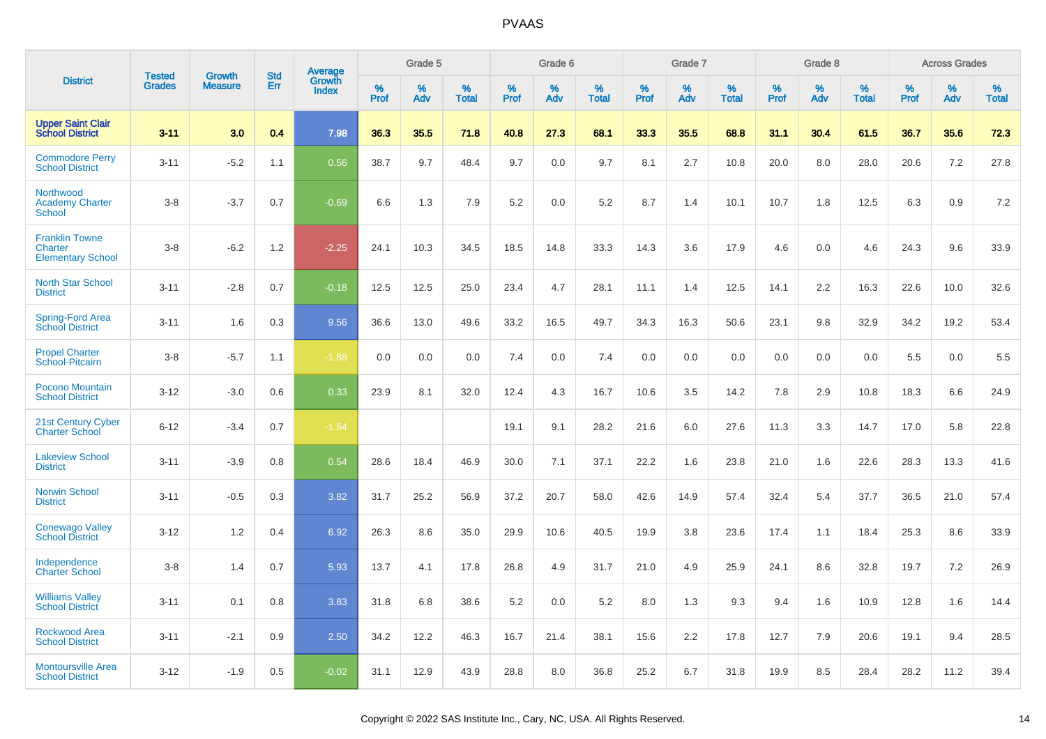|                                                              | <b>Tested</b> |                                 | <b>Std</b> | Average                |              | Grade 5  |                   |              | Grade 6  |                   |              | Grade 7  |                   |              | Grade 8  |                   |              | <b>Across Grades</b> |                   |
|--------------------------------------------------------------|---------------|---------------------------------|------------|------------------------|--------------|----------|-------------------|--------------|----------|-------------------|--------------|----------|-------------------|--------------|----------|-------------------|--------------|----------------------|-------------------|
| <b>District</b>                                              | <b>Grades</b> | <b>Growth</b><br><b>Measure</b> | Err        | Growth<br><b>Index</b> | $\%$<br>Prof | %<br>Adv | %<br><b>Total</b> | $\%$<br>Prof | %<br>Adv | %<br><b>Total</b> | $\%$<br>Prof | %<br>Adv | %<br><b>Total</b> | $\%$<br>Prof | %<br>Adv | %<br><b>Total</b> | $\%$<br>Prof | %<br>Adv             | %<br><b>Total</b> |
| <b>Upper Saint Clair<br/>School District</b>                 | $3 - 11$      | 3.0                             | 0.4        | 7.98                   | 36.3         | 35.5     | 71.8              | 40.8         | 27.3     | 68.1              | 33.3         | 35.5     | 68.8              | 31.1         | 30.4     | 61.5              | 36.7         | 35.6                 | 72.3              |
| <b>Commodore Perry</b><br><b>School District</b>             | $3 - 11$      | $-5.2$                          | 1.1        | 0.56                   | 38.7         | 9.7      | 48.4              | 9.7          | 0.0      | 9.7               | 8.1          | 2.7      | 10.8              | 20.0         | 8.0      | 28.0              | 20.6         | 7.2                  | 27.8              |
| Northwood<br><b>Academy Charter</b><br><b>School</b>         | $3 - 8$       | $-3.7$                          | 0.7        | $-0.69$                | 6.6          | 1.3      | 7.9               | 5.2          | 0.0      | 5.2               | 8.7          | 1.4      | 10.1              | 10.7         | 1.8      | 12.5              | 6.3          | 0.9                  | 7.2               |
| <b>Franklin Towne</b><br>Charter<br><b>Elementary School</b> | $3 - 8$       | $-6.2$                          | 1.2        | $-2.25$                | 24.1         | 10.3     | 34.5              | 18.5         | 14.8     | 33.3              | 14.3         | 3.6      | 17.9              | 4.6          | 0.0      | 4.6               | 24.3         | 9.6                  | 33.9              |
| <b>North Star School</b><br><b>District</b>                  | $3 - 11$      | $-2.8$                          | 0.7        | $-0.18$                | 12.5         | 12.5     | 25.0              | 23.4         | 4.7      | 28.1              | 11.1         | 1.4      | 12.5              | 14.1         | 2.2      | 16.3              | 22.6         | 10.0                 | 32.6              |
| Spring-Ford Area<br><b>School District</b>                   | $3 - 11$      | 1.6                             | 0.3        | 9.56                   | 36.6         | 13.0     | 49.6              | 33.2         | 16.5     | 49.7              | 34.3         | 16.3     | 50.6              | 23.1         | 9.8      | 32.9              | 34.2         | 19.2                 | 53.4              |
| <b>Propel Charter</b><br>School-Pitcairn                     | $3 - 8$       | $-5.7$                          | 1.1        | $-1.88$                | 0.0          | 0.0      | 0.0               | 7.4          | 0.0      | 7.4               | 0.0          | 0.0      | 0.0               | 0.0          | 0.0      | 0.0               | 5.5          | 0.0                  | 5.5               |
| Pocono Mountain<br><b>School District</b>                    | $3 - 12$      | $-3.0$                          | 0.6        | 0.33                   | 23.9         | 8.1      | 32.0              | 12.4         | 4.3      | 16.7              | 10.6         | 3.5      | 14.2              | 7.8          | 2.9      | 10.8              | 18.3         | 6.6                  | 24.9              |
| 21st Century Cyber<br><b>Charter School</b>                  | $6 - 12$      | $-3.4$                          | 0.7        | $-1.54$                |              |          |                   | 19.1         | 9.1      | 28.2              | 21.6         | 6.0      | 27.6              | 11.3         | 3.3      | 14.7              | 17.0         | 5.8                  | 22.8              |
| <b>Lakeview School</b><br><b>District</b>                    | $3 - 11$      | $-3.9$                          | 0.8        | 0.54                   | 28.6         | 18.4     | 46.9              | 30.0         | 7.1      | 37.1              | 22.2         | 1.6      | 23.8              | 21.0         | 1.6      | 22.6              | 28.3         | 13.3                 | 41.6              |
| <b>Norwin School</b><br><b>District</b>                      | $3 - 11$      | $-0.5$                          | 0.3        | 3.82                   | 31.7         | 25.2     | 56.9              | 37.2         | 20.7     | 58.0              | 42.6         | 14.9     | 57.4              | 32.4         | 5.4      | 37.7              | 36.5         | 21.0                 | 57.4              |
| <b>Conewago Valley</b><br><b>School District</b>             | $3 - 12$      | 1.2                             | 0.4        | 6.92                   | 26.3         | 8.6      | 35.0              | 29.9         | 10.6     | 40.5              | 19.9         | 3.8      | 23.6              | 17.4         | 1.1      | 18.4              | 25.3         | 8.6                  | 33.9              |
| Independence<br><b>Charter School</b>                        | $3 - 8$       | 1.4                             | 0.7        | 5.93                   | 13.7         | 4.1      | 17.8              | 26.8         | 4.9      | 31.7              | 21.0         | 4.9      | 25.9              | 24.1         | 8.6      | 32.8              | 19.7         | 7.2                  | 26.9              |
| <b>Williams Valley</b><br><b>School District</b>             | $3 - 11$      | 0.1                             | 0.8        | 3.83                   | 31.8         | 6.8      | 38.6              | 5.2          | 0.0      | 5.2               | 8.0          | 1.3      | 9.3               | 9.4          | 1.6      | 10.9              | 12.8         | 1.6                  | 14.4              |
| <b>Rockwood Area</b><br><b>School District</b>               | $3 - 11$      | $-2.1$                          | 0.9        | 2.50                   | 34.2         | 12.2     | 46.3              | 16.7         | 21.4     | 38.1              | 15.6         | 2.2      | 17.8              | 12.7         | 7.9      | 20.6              | 19.1         | 9.4                  | 28.5              |
| <b>Montoursville Area</b><br><b>School District</b>          | $3 - 12$      | $-1.9$                          | 0.5        | $-0.02$                | 31.1         | 12.9     | 43.9              | 28.8         | 8.0      | 36.8              | 25.2         | 6.7      | 31.8              | 19.9         | 8.5      | 28.4              | 28.2         | 11.2                 | 39.4              |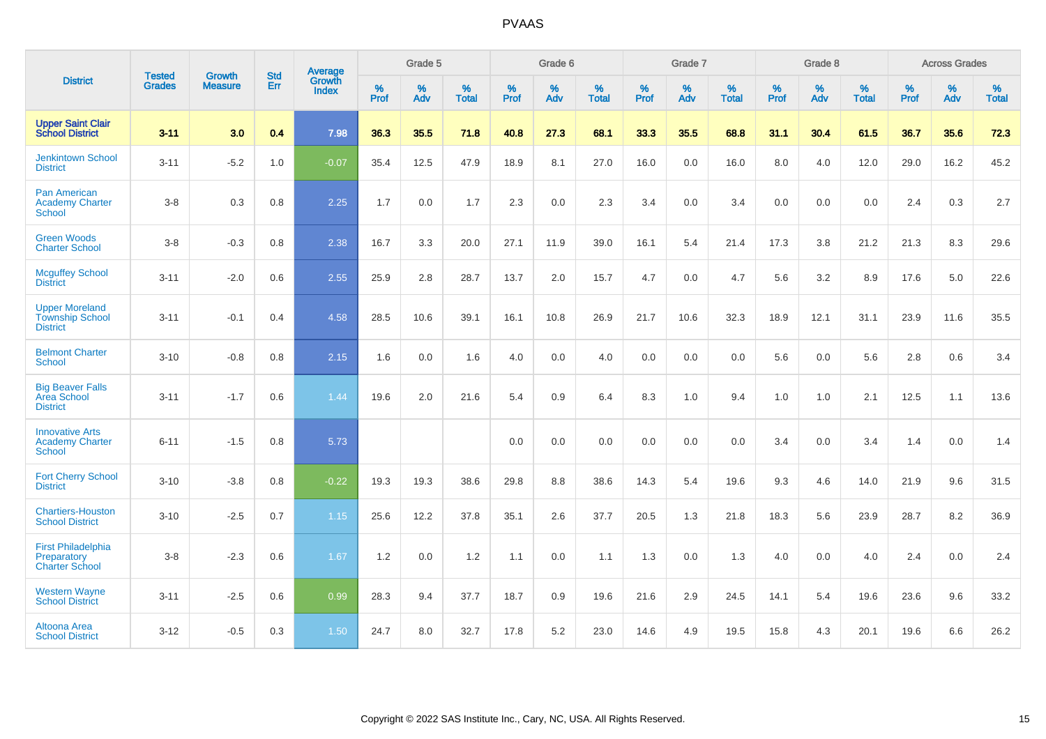|                                                                    | <b>Tested</b> | <b>Growth</b>  | <b>Std</b> | Average                |                     | Grade 5  |                   |                     | Grade 6  |                   |              | Grade 7  |                   |                     | Grade 8  |                   |                     | <b>Across Grades</b> |                   |
|--------------------------------------------------------------------|---------------|----------------|------------|------------------------|---------------------|----------|-------------------|---------------------|----------|-------------------|--------------|----------|-------------------|---------------------|----------|-------------------|---------------------|----------------------|-------------------|
| <b>District</b>                                                    | <b>Grades</b> | <b>Measure</b> | Err        | Growth<br><b>Index</b> | $\%$<br><b>Prof</b> | %<br>Adv | %<br><b>Total</b> | $\%$<br><b>Prof</b> | %<br>Adv | %<br><b>Total</b> | $\%$<br>Prof | %<br>Adv | %<br><b>Total</b> | $\%$<br><b>Prof</b> | %<br>Adv | %<br><b>Total</b> | $\%$<br><b>Prof</b> | %<br>Adv             | %<br><b>Total</b> |
| <b>Upper Saint Clair</b><br><b>School District</b>                 | $3 - 11$      | 3.0            | 0.4        | 7.98                   | 36.3                | 35.5     | 71.8              | 40.8                | 27.3     | 68.1              | 33.3         | 35.5     | 68.8              | 31.1                | 30.4     | 61.5              | 36.7                | 35.6                 | 72.3              |
| <b>Jenkintown School</b><br><b>District</b>                        | $3 - 11$      | $-5.2$         | 1.0        | $-0.07$                | 35.4                | 12.5     | 47.9              | 18.9                | 8.1      | 27.0              | 16.0         | 0.0      | 16.0              | 8.0                 | 4.0      | 12.0              | 29.0                | 16.2                 | 45.2              |
| <b>Pan American</b><br><b>Academy Charter</b><br>School            | $3 - 8$       | 0.3            | 0.8        | 2.25                   | 1.7                 | 0.0      | 1.7               | 2.3                 | 0.0      | 2.3               | 3.4          | 0.0      | 3.4               | 0.0                 | 0.0      | 0.0               | 2.4                 | 0.3                  | 2.7               |
| <b>Green Woods</b><br><b>Charter School</b>                        | $3 - 8$       | $-0.3$         | 0.8        | 2.38                   | 16.7                | 3.3      | 20.0              | 27.1                | 11.9     | 39.0              | 16.1         | 5.4      | 21.4              | 17.3                | 3.8      | 21.2              | 21.3                | 8.3                  | 29.6              |
| <b>Mcguffey School</b><br><b>District</b>                          | $3 - 11$      | $-2.0$         | 0.6        | 2.55                   | 25.9                | 2.8      | 28.7              | 13.7                | 2.0      | 15.7              | 4.7          | 0.0      | 4.7               | 5.6                 | 3.2      | 8.9               | 17.6                | 5.0                  | 22.6              |
| <b>Upper Moreland</b><br><b>Township School</b><br><b>District</b> | $3 - 11$      | $-0.1$         | 0.4        | 4.58                   | 28.5                | 10.6     | 39.1              | 16.1                | 10.8     | 26.9              | 21.7         | 10.6     | 32.3              | 18.9                | 12.1     | 31.1              | 23.9                | 11.6                 | 35.5              |
| <b>Belmont Charter</b><br><b>School</b>                            | $3 - 10$      | $-0.8$         | 0.8        | 2.15                   | 1.6                 | 0.0      | 1.6               | 4.0                 | 0.0      | 4.0               | 0.0          | 0.0      | 0.0               | 5.6                 | 0.0      | 5.6               | 2.8                 | 0.6                  | 3.4               |
| <b>Big Beaver Falls</b><br>Area School<br><b>District</b>          | $3 - 11$      | $-1.7$         | 0.6        | 1.44                   | 19.6                | 2.0      | 21.6              | 5.4                 | 0.9      | 6.4               | 8.3          | 1.0      | 9.4               | 1.0                 | 1.0      | 2.1               | 12.5                | 1.1                  | 13.6              |
| <b>Innovative Arts</b><br><b>Academy Charter</b><br>School         | $6 - 11$      | $-1.5$         | 0.8        | 5.73                   |                     |          |                   | 0.0                 | 0.0      | 0.0               | 0.0          | 0.0      | 0.0               | 3.4                 | 0.0      | 3.4               | 1.4                 | 0.0                  | 1.4               |
| <b>Fort Cherry School</b><br><b>District</b>                       | $3 - 10$      | $-3.8$         | 0.8        | $-0.22$                | 19.3                | 19.3     | 38.6              | 29.8                | 8.8      | 38.6              | 14.3         | 5.4      | 19.6              | 9.3                 | 4.6      | 14.0              | 21.9                | 9.6                  | 31.5              |
| <b>Chartiers-Houston</b><br><b>School District</b>                 | $3 - 10$      | $-2.5$         | 0.7        | 1.15                   | 25.6                | 12.2     | 37.8              | 35.1                | 2.6      | 37.7              | 20.5         | 1.3      | 21.8              | 18.3                | 5.6      | 23.9              | 28.7                | 8.2                  | 36.9              |
| <b>First Philadelphia</b><br>Preparatory<br><b>Charter School</b>  | $3 - 8$       | $-2.3$         | 0.6        | 1.67                   | 1.2                 | 0.0      | 1.2               | 1.1                 | $0.0\,$  | 1.1               | 1.3          | $0.0\,$  | 1.3               | 4.0                 | $0.0\,$  | 4.0               | 2.4                 | $0.0\,$              | 2.4               |
| <b>Western Wayne</b><br><b>School District</b>                     | $3 - 11$      | $-2.5$         | 0.6        | 0.99                   | 28.3                | 9.4      | 37.7              | 18.7                | 0.9      | 19.6              | 21.6         | 2.9      | 24.5              | 14.1                | 5.4      | 19.6              | 23.6                | 9.6                  | 33.2              |
| Altoona Area<br><b>School District</b>                             | $3 - 12$      | $-0.5$         | 0.3        | 1.50                   | 24.7                | 8.0      | 32.7              | 17.8                | 5.2      | 23.0              | 14.6         | 4.9      | 19.5              | 15.8                | 4.3      | 20.1              | 19.6                | 6.6                  | 26.2              |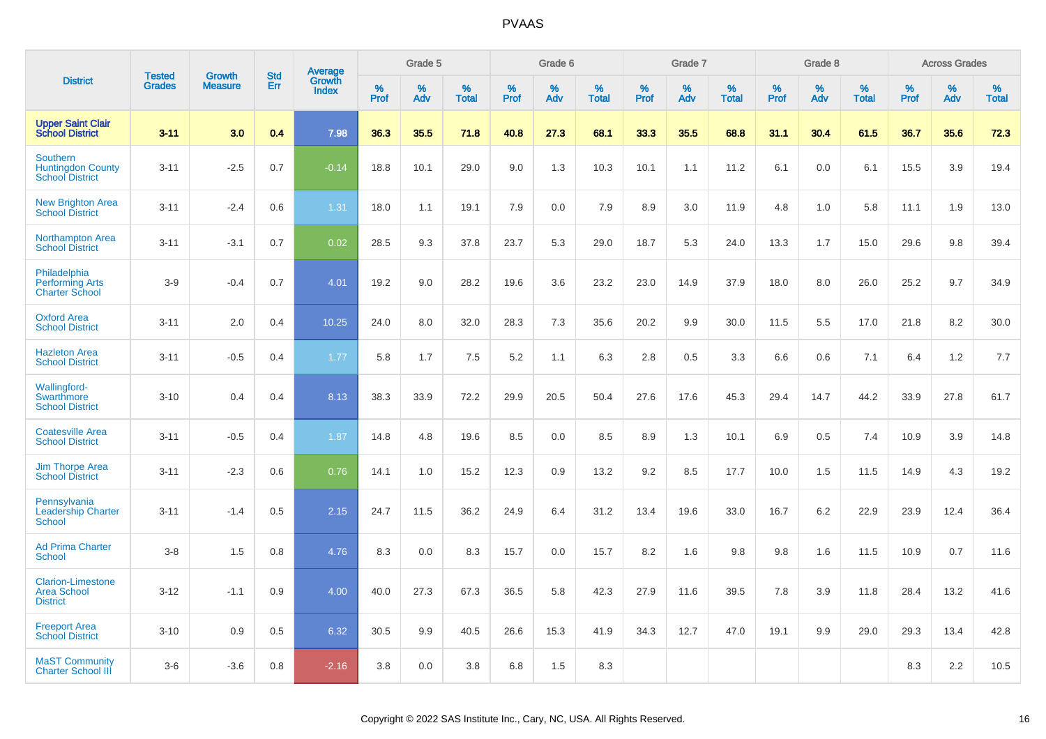|                                                                       | <b>Tested</b> | <b>Growth</b>  | <b>Std</b> | Average                |              | Grade 5  |                   |           | Grade 6  |                   |           | Grade 7  |                   |                  | Grade 8  |                   |              | <b>Across Grades</b> |                   |
|-----------------------------------------------------------------------|---------------|----------------|------------|------------------------|--------------|----------|-------------------|-----------|----------|-------------------|-----------|----------|-------------------|------------------|----------|-------------------|--------------|----------------------|-------------------|
| <b>District</b>                                                       | <b>Grades</b> | <b>Measure</b> | Err        | Growth<br><b>Index</b> | $\%$<br>Prof | %<br>Adv | %<br><b>Total</b> | %<br>Prof | %<br>Adv | %<br><b>Total</b> | %<br>Prof | %<br>Adv | %<br><b>Total</b> | %<br><b>Prof</b> | %<br>Adv | %<br><b>Total</b> | $\%$<br>Prof | $\%$<br>Adv          | %<br><b>Total</b> |
| <b>Upper Saint Clair</b><br><b>School District</b>                    | $3 - 11$      | 3.0            | 0.4        | 7.98                   | 36.3         | 35.5     | 71.8              | 40.8      | 27.3     | 68.1              | 33.3      | 35.5     | 68.8              | 31.1             | 30.4     | 61.5              | 36.7         | 35.6                 | 72.3              |
| <b>Southern</b><br><b>Huntingdon County</b><br><b>School District</b> | $3 - 11$      | $-2.5$         | 0.7        | $-0.14$                | 18.8         | 10.1     | 29.0              | 9.0       | 1.3      | 10.3              | 10.1      | 1.1      | 11.2              | 6.1              | 0.0      | 6.1               | 15.5         | 3.9                  | 19.4              |
| <b>New Brighton Area</b><br><b>School District</b>                    | $3 - 11$      | $-2.4$         | 0.6        | 1.31                   | 18.0         | 1.1      | 19.1              | 7.9       | 0.0      | 7.9               | 8.9       | 3.0      | 11.9              | 4.8              | 1.0      | 5.8               | 11.1         | 1.9                  | 13.0              |
| <b>Northampton Area</b><br><b>School District</b>                     | $3 - 11$      | $-3.1$         | 0.7        | 0.02                   | 28.5         | 9.3      | 37.8              | 23.7      | 5.3      | 29.0              | 18.7      | 5.3      | 24.0              | 13.3             | 1.7      | 15.0              | 29.6         | 9.8                  | 39.4              |
| Philadelphia<br><b>Performing Arts</b><br><b>Charter School</b>       | $3-9$         | $-0.4$         | 0.7        | 4.01                   | 19.2         | 9.0      | 28.2              | 19.6      | 3.6      | 23.2              | 23.0      | 14.9     | 37.9              | 18.0             | 8.0      | 26.0              | 25.2         | 9.7                  | 34.9              |
| <b>Oxford Area</b><br><b>School District</b>                          | $3 - 11$      | 2.0            | 0.4        | 10.25                  | 24.0         | 8.0      | 32.0              | 28.3      | 7.3      | 35.6              | 20.2      | 9.9      | 30.0              | 11.5             | 5.5      | 17.0              | 21.8         | 8.2                  | 30.0              |
| <b>Hazleton Area</b><br><b>School District</b>                        | $3 - 11$      | $-0.5$         | 0.4        | 1.77                   | 5.8          | 1.7      | 7.5               | 5.2       | 1.1      | 6.3               | 2.8       | 0.5      | 3.3               | 6.6              | 0.6      | 7.1               | 6.4          | 1.2                  | 7.7               |
| Wallingford-<br>Swarthmore<br><b>School District</b>                  | $3 - 10$      | 0.4            | 0.4        | 8.13                   | 38.3         | 33.9     | 72.2              | 29.9      | 20.5     | 50.4              | 27.6      | 17.6     | 45.3              | 29.4             | 14.7     | 44.2              | 33.9         | 27.8                 | 61.7              |
| <b>Coatesville Area</b><br><b>School District</b>                     | $3 - 11$      | $-0.5$         | 0.4        | 1.87                   | 14.8         | 4.8      | 19.6              | 8.5       | 0.0      | 8.5               | 8.9       | 1.3      | 10.1              | 6.9              | 0.5      | 7.4               | 10.9         | 3.9                  | 14.8              |
| <b>Jim Thorpe Area</b><br><b>School District</b>                      | $3 - 11$      | $-2.3$         | 0.6        | 0.76                   | 14.1         | 1.0      | 15.2              | 12.3      | 0.9      | 13.2              | 9.2       | 8.5      | 17.7              | 10.0             | 1.5      | 11.5              | 14.9         | 4.3                  | 19.2              |
| Pennsylvania<br><b>Leadership Charter</b><br><b>School</b>            | $3 - 11$      | $-1.4$         | 0.5        | 2.15                   | 24.7         | 11.5     | 36.2              | 24.9      | 6.4      | 31.2              | 13.4      | 19.6     | 33.0              | 16.7             | 6.2      | 22.9              | 23.9         | 12.4                 | 36.4              |
| <b>Ad Prima Charter</b><br><b>School</b>                              | $3-8$         | 1.5            | 0.8        | 4.76                   | 8.3          | 0.0      | 8.3               | 15.7      | 0.0      | 15.7              | 8.2       | 1.6      | 9.8               | 9.8              | 1.6      | 11.5              | 10.9         | 0.7                  | 11.6              |
| <b>Clarion-Limestone</b><br><b>Area School</b><br><b>District</b>     | $3 - 12$      | $-1.1$         | 0.9        | 4.00                   | 40.0         | 27.3     | 67.3              | 36.5      | 5.8      | 42.3              | 27.9      | 11.6     | 39.5              | 7.8              | 3.9      | 11.8              | 28.4         | 13.2                 | 41.6              |
| <b>Freeport Area</b><br><b>School District</b>                        | $3 - 10$      | 0.9            | 0.5        | 6.32                   | 30.5         | 9.9      | 40.5              | 26.6      | 15.3     | 41.9              | 34.3      | 12.7     | 47.0              | 19.1             | 9.9      | 29.0              | 29.3         | 13.4                 | 42.8              |
| <b>MaST Community</b><br><b>Charter School III</b>                    | $3-6$         | $-3.6$         | 0.8        | $-2.16$                | 3.8          | 0.0      | 3.8               | 6.8       | 1.5      | 8.3               |           |          |                   |                  |          |                   | 8.3          | 2.2                  | 10.5              |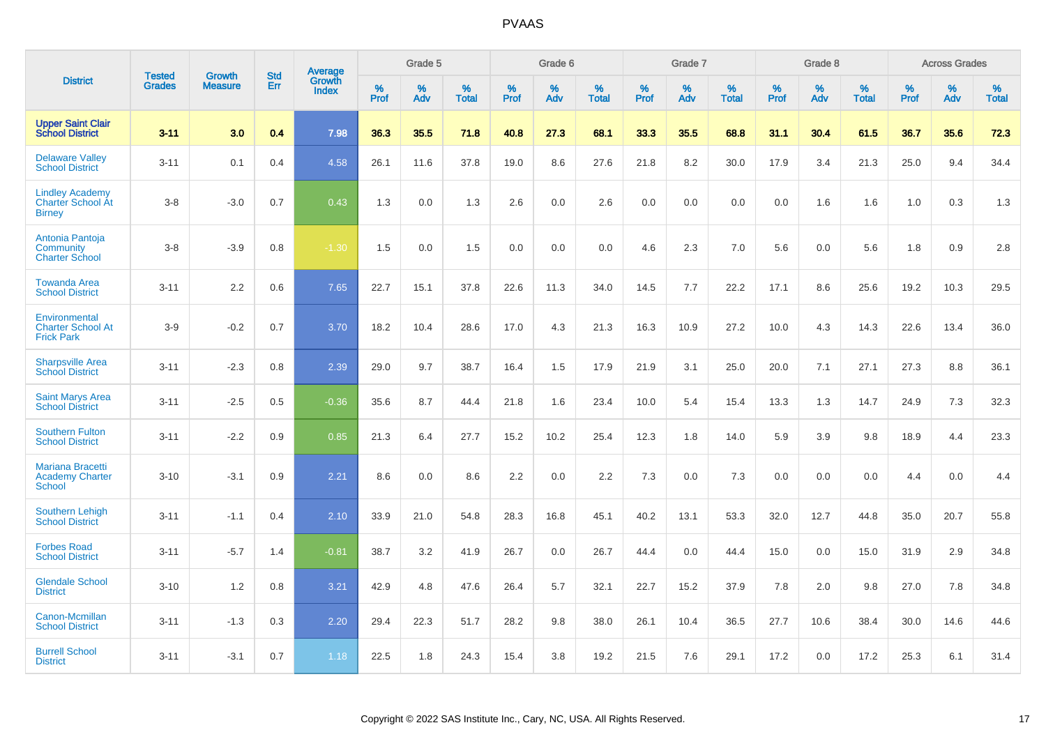|                                                                     | <b>Tested</b> | <b>Growth</b>  | <b>Std</b> | Average                |           | Grade 5  |                   |           | Grade 6  |                   |           | Grade 7  |                   |           | Grade 8  |                   |           | <b>Across Grades</b> |                   |
|---------------------------------------------------------------------|---------------|----------------|------------|------------------------|-----------|----------|-------------------|-----------|----------|-------------------|-----------|----------|-------------------|-----------|----------|-------------------|-----------|----------------------|-------------------|
| <b>District</b>                                                     | <b>Grades</b> | <b>Measure</b> | <b>Err</b> | Growth<br><b>Index</b> | %<br>Prof | %<br>Adv | %<br><b>Total</b> | %<br>Prof | %<br>Adv | %<br><b>Total</b> | %<br>Prof | %<br>Adv | %<br><b>Total</b> | %<br>Prof | %<br>Adv | %<br><b>Total</b> | %<br>Prof | %<br>Adv             | %<br><b>Total</b> |
| <b>Upper Saint Clair</b><br><b>School District</b>                  | $3 - 11$      | 3.0            | 0.4        | 7.98                   | 36.3      | 35.5     | 71.8              | 40.8      | 27.3     | 68.1              | 33.3      | 35.5     | 68.8              | 31.1      | 30.4     | 61.5              | 36.7      | 35.6                 | 72.3              |
| <b>Delaware Valley</b><br><b>School District</b>                    | $3 - 11$      | 0.1            | 0.4        | 4.58                   | 26.1      | 11.6     | 37.8              | 19.0      | 8.6      | 27.6              | 21.8      | 8.2      | 30.0              | 17.9      | 3.4      | 21.3              | 25.0      | 9.4                  | 34.4              |
| <b>Lindley Academy</b><br><b>Charter School At</b><br><b>Birney</b> | $3 - 8$       | $-3.0$         | 0.7        | 0.43                   | 1.3       | 0.0      | 1.3               | 2.6       | 0.0      | 2.6               | 0.0       | 0.0      | 0.0               | 0.0       | 1.6      | 1.6               | 1.0       | 0.3                  | 1.3               |
| Antonia Pantoja<br>Community<br><b>Charter School</b>               | $3 - 8$       | $-3.9$         | 0.8        | $-1.30$                | 1.5       | 0.0      | 1.5               | 0.0       | 0.0      | 0.0               | 4.6       | 2.3      | 7.0               | 5.6       | 0.0      | 5.6               | 1.8       | 0.9                  | 2.8               |
| <b>Towanda Area</b><br><b>School District</b>                       | $3 - 11$      | 2.2            | 0.6        | 7.65                   | 22.7      | 15.1     | 37.8              | 22.6      | 11.3     | 34.0              | 14.5      | 7.7      | 22.2              | 17.1      | 8.6      | 25.6              | 19.2      | 10.3                 | 29.5              |
| Environmental<br><b>Charter School At</b><br><b>Frick Park</b>      | $3-9$         | $-0.2$         | 0.7        | 3.70                   | 18.2      | 10.4     | 28.6              | 17.0      | 4.3      | 21.3              | 16.3      | 10.9     | 27.2              | 10.0      | 4.3      | 14.3              | 22.6      | 13.4                 | 36.0              |
| <b>Sharpsville Area</b><br><b>School District</b>                   | $3 - 11$      | $-2.3$         | 0.8        | 2.39                   | 29.0      | 9.7      | 38.7              | 16.4      | 1.5      | 17.9              | 21.9      | 3.1      | 25.0              | 20.0      | 7.1      | 27.1              | 27.3      | 8.8                  | 36.1              |
| <b>Saint Marys Area</b><br><b>School District</b>                   | $3 - 11$      | $-2.5$         | 0.5        | $-0.36$                | 35.6      | 8.7      | 44.4              | 21.8      | 1.6      | 23.4              | 10.0      | 5.4      | 15.4              | 13.3      | 1.3      | 14.7              | 24.9      | 7.3                  | 32.3              |
| <b>Southern Fulton</b><br><b>School District</b>                    | $3 - 11$      | $-2.2$         | 0.9        | 0.85                   | 21.3      | 6.4      | 27.7              | 15.2      | 10.2     | 25.4              | 12.3      | 1.8      | 14.0              | 5.9       | 3.9      | 9.8               | 18.9      | 4.4                  | 23.3              |
| <b>Mariana Bracetti</b><br><b>Academy Charter</b><br><b>School</b>  | $3 - 10$      | $-3.1$         | 0.9        | 2.21                   | 8.6       | 0.0      | 8.6               | 2.2       | 0.0      | 2.2               | 7.3       | 0.0      | 7.3               | 0.0       | 0.0      | 0.0               | 4.4       | 0.0                  | 4.4               |
| <b>Southern Lehigh</b><br><b>School District</b>                    | $3 - 11$      | $-1.1$         | 0.4        | 2.10                   | 33.9      | 21.0     | 54.8              | 28.3      | 16.8     | 45.1              | 40.2      | 13.1     | 53.3              | 32.0      | 12.7     | 44.8              | 35.0      | 20.7                 | 55.8              |
| <b>Forbes Road</b><br><b>School District</b>                        | $3 - 11$      | $-5.7$         | 1.4        | $-0.81$                | 38.7      | 3.2      | 41.9              | 26.7      | 0.0      | 26.7              | 44.4      | 0.0      | 44.4              | 15.0      | 0.0      | 15.0              | 31.9      | 2.9                  | 34.8              |
| <b>Glendale School</b><br><b>District</b>                           | $3 - 10$      | 1.2            | 0.8        | 3.21                   | 42.9      | 4.8      | 47.6              | 26.4      | 5.7      | 32.1              | 22.7      | 15.2     | 37.9              | 7.8       | 2.0      | 9.8               | 27.0      | 7.8                  | 34.8              |
| Canon-Mcmillan<br><b>School District</b>                            | $3 - 11$      | $-1.3$         | 0.3        | 2.20                   | 29.4      | 22.3     | 51.7              | 28.2      | 9.8      | 38.0              | 26.1      | 10.4     | 36.5              | 27.7      | 10.6     | 38.4              | 30.0      | 14.6                 | 44.6              |
| <b>Burrell School</b><br><b>District</b>                            | $3 - 11$      | $-3.1$         | 0.7        | 1.18                   | 22.5      | 1.8      | 24.3              | 15.4      | 3.8      | 19.2              | 21.5      | 7.6      | 29.1              | 17.2      | 0.0      | 17.2              | 25.3      | 6.1                  | 31.4              |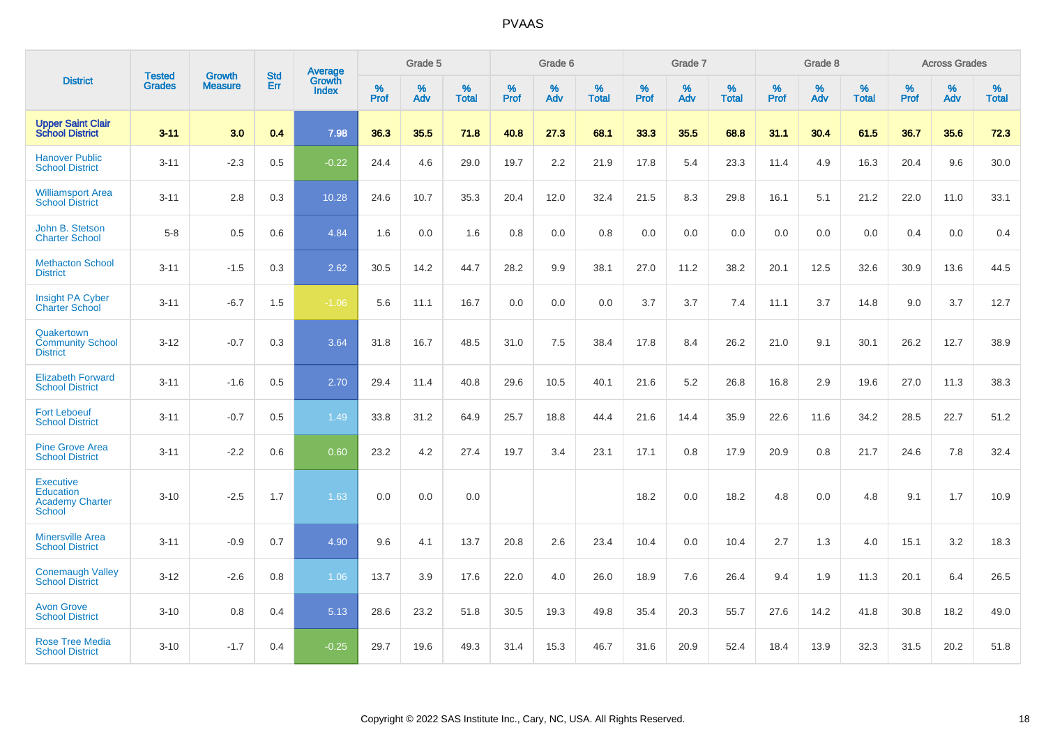|                                                                          |                                |                                 | <b>Std</b> | Average                |           | Grade 5  |                   |           | Grade 6  |                   |           | Grade 7  |                   |           | Grade 8  |                   |           | <b>Across Grades</b> |                   |
|--------------------------------------------------------------------------|--------------------------------|---------------------------------|------------|------------------------|-----------|----------|-------------------|-----------|----------|-------------------|-----------|----------|-------------------|-----------|----------|-------------------|-----------|----------------------|-------------------|
| <b>District</b>                                                          | <b>Tested</b><br><b>Grades</b> | <b>Growth</b><br><b>Measure</b> | Err        | <b>Growth</b><br>Index | %<br>Prof | %<br>Adv | %<br><b>Total</b> | %<br>Prof | %<br>Adv | %<br><b>Total</b> | %<br>Prof | %<br>Adv | %<br><b>Total</b> | %<br>Prof | %<br>Adv | %<br><b>Total</b> | %<br>Prof | %<br>Adv             | %<br><b>Total</b> |
| <b>Upper Saint Clair</b><br><b>School District</b>                       | $3 - 11$                       | 3.0                             | 0.4        | 7.98                   | 36.3      | 35.5     | 71.8              | 40.8      | 27.3     | 68.1              | 33.3      | 35.5     | 68.8              | 31.1      | 30.4     | 61.5              | 36.7      | 35.6                 | 72.3              |
| <b>Hanover Public</b><br><b>School District</b>                          | $3 - 11$                       | $-2.3$                          | 0.5        | $-0.22$                | 24.4      | 4.6      | 29.0              | 19.7      | 2.2      | 21.9              | 17.8      | 5.4      | 23.3              | 11.4      | 4.9      | 16.3              | 20.4      | 9.6                  | 30.0              |
| <b>Williamsport Area</b><br><b>School District</b>                       | $3 - 11$                       | 2.8                             | 0.3        | 10.28                  | 24.6      | 10.7     | 35.3              | 20.4      | 12.0     | 32.4              | 21.5      | 8.3      | 29.8              | 16.1      | 5.1      | 21.2              | 22.0      | 11.0                 | 33.1              |
| John B. Stetson<br><b>Charter School</b>                                 | $5 - 8$                        | 0.5                             | 0.6        | 4.84                   | 1.6       | 0.0      | 1.6               | 0.8       | 0.0      | 0.8               | 0.0       | 0.0      | 0.0               | 0.0       | 0.0      | 0.0               | 0.4       | 0.0                  | 0.4               |
| <b>Methacton School</b><br><b>District</b>                               | $3 - 11$                       | $-1.5$                          | 0.3        | 2.62                   | 30.5      | 14.2     | 44.7              | 28.2      | 9.9      | 38.1              | 27.0      | 11.2     | 38.2              | 20.1      | 12.5     | 32.6              | 30.9      | 13.6                 | 44.5              |
| <b>Insight PA Cyber</b><br><b>Charter School</b>                         | $3 - 11$                       | $-6.7$                          | 1.5        | $-1.06$                | 5.6       | 11.1     | 16.7              | 0.0       | 0.0      | 0.0               | 3.7       | 3.7      | 7.4               | 11.1      | 3.7      | 14.8              | 9.0       | 3.7                  | 12.7              |
| Quakertown<br><b>Community School</b><br><b>District</b>                 | $3 - 12$                       | $-0.7$                          | 0.3        | 3.64                   | 31.8      | 16.7     | 48.5              | 31.0      | 7.5      | 38.4              | 17.8      | 8.4      | 26.2              | 21.0      | 9.1      | 30.1              | 26.2      | 12.7                 | 38.9              |
| <b>Elizabeth Forward</b><br><b>School District</b>                       | $3 - 11$                       | $-1.6$                          | 0.5        | 2.70                   | 29.4      | 11.4     | 40.8              | 29.6      | 10.5     | 40.1              | 21.6      | 5.2      | 26.8              | 16.8      | 2.9      | 19.6              | 27.0      | 11.3                 | 38.3              |
| <b>Fort Leboeuf</b><br><b>School District</b>                            | $3 - 11$                       | $-0.7$                          | 0.5        | 1.49                   | 33.8      | 31.2     | 64.9              | 25.7      | 18.8     | 44.4              | 21.6      | 14.4     | 35.9              | 22.6      | 11.6     | 34.2              | 28.5      | 22.7                 | 51.2              |
| <b>Pine Grove Area</b><br><b>School District</b>                         | $3 - 11$                       | $-2.2$                          | 0.6        | 0.60                   | 23.2      | 4.2      | 27.4              | 19.7      | 3.4      | 23.1              | 17.1      | 0.8      | 17.9              | 20.9      | 0.8      | 21.7              | 24.6      | 7.8                  | 32.4              |
| <b>Executive</b><br>Education<br><b>Academy Charter</b><br><b>School</b> | $3 - 10$                       | $-2.5$                          | 1.7        | 1.63                   | 0.0       | 0.0      | 0.0               |           |          |                   | 18.2      | 0.0      | 18.2              | 4.8       | 0.0      | 4.8               | 9.1       | 1.7                  | 10.9              |
| <b>Minersville Area</b><br><b>School District</b>                        | $3 - 11$                       | $-0.9$                          | 0.7        | 4.90                   | 9.6       | 4.1      | 13.7              | 20.8      | 2.6      | 23.4              | 10.4      | 0.0      | 10.4              | 2.7       | 1.3      | 4.0               | 15.1      | 3.2                  | 18.3              |
| <b>Conemaugh Valley</b><br><b>School District</b>                        | $3 - 12$                       | $-2.6$                          | 0.8        | 1.06                   | 13.7      | 3.9      | 17.6              | 22.0      | 4.0      | 26.0              | 18.9      | 7.6      | 26.4              | 9.4       | 1.9      | 11.3              | 20.1      | 6.4                  | 26.5              |
| <b>Avon Grove</b><br><b>School District</b>                              | $3 - 10$                       | 0.8                             | 0.4        | 5.13                   | 28.6      | 23.2     | 51.8              | 30.5      | 19.3     | 49.8              | 35.4      | 20.3     | 55.7              | 27.6      | 14.2     | 41.8              | 30.8      | 18.2                 | 49.0              |
| <b>Rose Tree Media</b><br><b>School District</b>                         | $3 - 10$                       | $-1.7$                          | 0.4        | $-0.25$                | 29.7      | 19.6     | 49.3              | 31.4      | 15.3     | 46.7              | 31.6      | 20.9     | 52.4              | 18.4      | 13.9     | 32.3              | 31.5      | 20.2                 | 51.8              |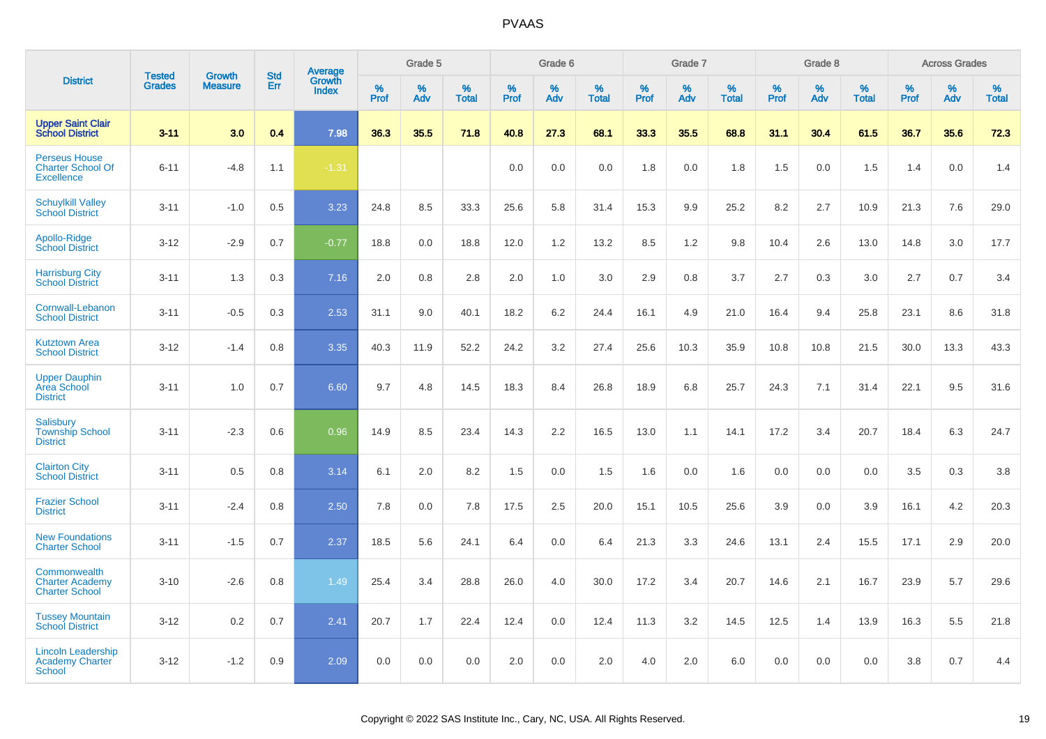|                                                                       |                                | <b>Growth</b>  | <b>Std</b> | Average         |                  | Grade 5  |                   |                  | Grade 6  |                   |                  | Grade 7  |                   |           | Grade 8  |                   |           | <b>Across Grades</b> |                   |
|-----------------------------------------------------------------------|--------------------------------|----------------|------------|-----------------|------------------|----------|-------------------|------------------|----------|-------------------|------------------|----------|-------------------|-----------|----------|-------------------|-----------|----------------------|-------------------|
| <b>District</b>                                                       | <b>Tested</b><br><b>Grades</b> | <b>Measure</b> | Err        | Growth<br>Index | %<br><b>Prof</b> | %<br>Adv | %<br><b>Total</b> | %<br><b>Prof</b> | %<br>Adv | %<br><b>Total</b> | %<br><b>Prof</b> | %<br>Adv | %<br><b>Total</b> | %<br>Prof | %<br>Adv | %<br><b>Total</b> | %<br>Prof | %<br>Adv             | %<br><b>Total</b> |
| <b>Upper Saint Clair</b><br><b>School District</b>                    | $3 - 11$                       | 3.0            | 0.4        | 7.98            | 36.3             | 35.5     | 71.8              | 40.8             | 27.3     | 68.1              | 33.3             | 35.5     | 68.8              | 31.1      | 30.4     | 61.5              | 36.7      | 35.6                 | 72.3              |
| <b>Perseus House</b><br><b>Charter School Of</b><br><b>Excellence</b> | $6 - 11$                       | $-4.8$         | 1.1        | $-1.31$         |                  |          |                   | 0.0              | 0.0      | 0.0               | 1.8              | 0.0      | 1.8               | 1.5       | 0.0      | 1.5               | 1.4       | 0.0                  | 1.4               |
| <b>Schuylkill Valley</b><br><b>School District</b>                    | $3 - 11$                       | $-1.0$         | 0.5        | 3.23            | 24.8             | 8.5      | 33.3              | 25.6             | 5.8      | 31.4              | 15.3             | 9.9      | 25.2              | 8.2       | 2.7      | 10.9              | 21.3      | 7.6                  | 29.0              |
| Apollo-Ridge<br><b>School District</b>                                | $3 - 12$                       | $-2.9$         | 0.7        | $-0.77$         | 18.8             | 0.0      | 18.8              | 12.0             | 1.2      | 13.2              | 8.5              | 1.2      | 9.8               | 10.4      | 2.6      | 13.0              | 14.8      | 3.0                  | 17.7              |
| <b>Harrisburg City</b><br><b>School District</b>                      | $3 - 11$                       | 1.3            | 0.3        | 7.16            | 2.0              | 0.8      | 2.8               | 2.0              | 1.0      | 3.0               | 2.9              | 0.8      | 3.7               | 2.7       | 0.3      | 3.0               | 2.7       | 0.7                  | 3.4               |
| Cornwall-Lebanon<br><b>School District</b>                            | $3 - 11$                       | $-0.5$         | 0.3        | 2.53            | 31.1             | 9.0      | 40.1              | 18.2             | 6.2      | 24.4              | 16.1             | 4.9      | 21.0              | 16.4      | 9.4      | 25.8              | 23.1      | 8.6                  | 31.8              |
| <b>Kutztown Area</b><br><b>School District</b>                        | $3 - 12$                       | $-1.4$         | 0.8        | 3.35            | 40.3             | 11.9     | 52.2              | 24.2             | 3.2      | 27.4              | 25.6             | 10.3     | 35.9              | 10.8      | 10.8     | 21.5              | 30.0      | 13.3                 | 43.3              |
| <b>Upper Dauphin</b><br>Area School<br><b>District</b>                | $3 - 11$                       | 1.0            | 0.7        | 6.60            | 9.7              | 4.8      | 14.5              | 18.3             | 8.4      | 26.8              | 18.9             | 6.8      | 25.7              | 24.3      | 7.1      | 31.4              | 22.1      | 9.5                  | 31.6              |
| Salisbury<br><b>Township School</b><br><b>District</b>                | $3 - 11$                       | $-2.3$         | 0.6        | 0.96            | 14.9             | 8.5      | 23.4              | 14.3             | 2.2      | 16.5              | 13.0             | 1.1      | 14.1              | 17.2      | 3.4      | 20.7              | 18.4      | 6.3                  | 24.7              |
| <b>Clairton City</b><br><b>School District</b>                        | $3 - 11$                       | 0.5            | 0.8        | 3.14            | 6.1              | 2.0      | 8.2               | 1.5              | 0.0      | 1.5               | 1.6              | 0.0      | 1.6               | 0.0       | 0.0      | 0.0               | 3.5       | 0.3                  | 3.8               |
| <b>Frazier School</b><br><b>District</b>                              | $3 - 11$                       | $-2.4$         | 0.8        | 2.50            | 7.8              | 0.0      | 7.8               | 17.5             | 2.5      | 20.0              | 15.1             | 10.5     | 25.6              | 3.9       | 0.0      | 3.9               | 16.1      | 4.2                  | 20.3              |
| <b>New Foundations</b><br><b>Charter School</b>                       | $3 - 11$                       | $-1.5$         | 0.7        | 2.37            | 18.5             | 5.6      | 24.1              | 6.4              | 0.0      | 6.4               | 21.3             | 3.3      | 24.6              | 13.1      | 2.4      | 15.5              | 17.1      | 2.9                  | 20.0              |
| Commonwealth<br><b>Charter Academy</b><br><b>Charter School</b>       | $3 - 10$                       | $-2.6$         | 0.8        | 1.49            | 25.4             | 3.4      | 28.8              | 26.0             | 4.0      | 30.0              | 17.2             | 3.4      | 20.7              | 14.6      | 2.1      | 16.7              | 23.9      | 5.7                  | 29.6              |
| <b>Tussey Mountain</b><br><b>School District</b>                      | $3 - 12$                       | 0.2            | 0.7        | 2.41            | 20.7             | 1.7      | 22.4              | 12.4             | 0.0      | 12.4              | 11.3             | 3.2      | 14.5              | 12.5      | 1.4      | 13.9              | 16.3      | 5.5                  | 21.8              |
| <b>Lincoln Leadership</b><br><b>Academy Charter</b><br><b>School</b>  | $3 - 12$                       | $-1.2$         | 0.9        | 2.09            | 0.0              | 0.0      | 0.0               | 2.0              | 0.0      | 2.0               | 4.0              | 2.0      | 6.0               | 0.0       | 0.0      | 0.0               | 3.8       | 0.7                  | 4.4               |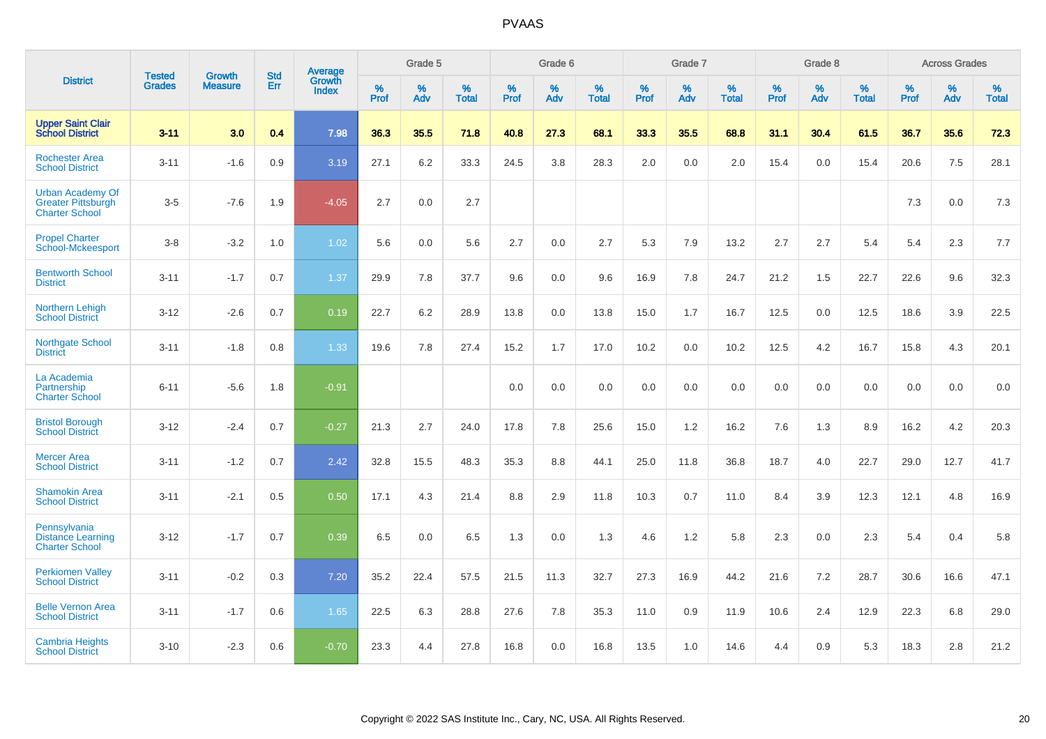|                                                                               | <b>Tested</b> | <b>Growth</b>  | <b>Std</b> | Average                       |              | Grade 5  |                   |           | Grade 6  |                   |           | Grade 7  |                   |           | Grade 8  |                   |           | <b>Across Grades</b> |                   |
|-------------------------------------------------------------------------------|---------------|----------------|------------|-------------------------------|--------------|----------|-------------------|-----------|----------|-------------------|-----------|----------|-------------------|-----------|----------|-------------------|-----------|----------------------|-------------------|
| <b>District</b>                                                               | <b>Grades</b> | <b>Measure</b> | Err        | <b>Growth</b><br><b>Index</b> | $\%$<br>Prof | %<br>Adv | %<br><b>Total</b> | %<br>Prof | %<br>Adv | %<br><b>Total</b> | %<br>Prof | %<br>Adv | %<br><b>Total</b> | %<br>Prof | %<br>Adv | %<br><b>Total</b> | %<br>Prof | %<br>Adv             | %<br><b>Total</b> |
| <b>Upper Saint Clair</b><br><b>School District</b>                            | $3 - 11$      | 3.0            | 0.4        | 7.98                          | 36.3         | 35.5     | 71.8              | 40.8      | 27.3     | 68.1              | 33.3      | 35.5     | 68.8              | 31.1      | 30.4     | 61.5              | 36.7      | 35.6                 | 72.3              |
| <b>Rochester Area</b><br><b>School District</b>                               | $3 - 11$      | $-1.6$         | 0.9        | 3.19                          | 27.1         | 6.2      | 33.3              | 24.5      | 3.8      | 28.3              | 2.0       | 0.0      | 2.0               | 15.4      | 0.0      | 15.4              | 20.6      | 7.5                  | 28.1              |
| <b>Urban Academy Of</b><br><b>Greater Pittsburgh</b><br><b>Charter School</b> | $3-5$         | $-7.6$         | 1.9        | $-4.05$                       | 2.7          | 0.0      | 2.7               |           |          |                   |           |          |                   |           |          |                   | 7.3       | $0.0\,$              | $7.3$             |
| <b>Propel Charter</b><br><b>School-Mckeesport</b>                             | $3 - 8$       | $-3.2$         | 1.0        | 1.02                          | 5.6          | 0.0      | 5.6               | 2.7       | 0.0      | 2.7               | 5.3       | 7.9      | 13.2              | 2.7       | 2.7      | 5.4               | 5.4       | 2.3                  | 7.7               |
| <b>Bentworth School</b><br><b>District</b>                                    | $3 - 11$      | $-1.7$         | 0.7        | 1.37                          | 29.9         | 7.8      | 37.7              | 9.6       | 0.0      | 9.6               | 16.9      | 7.8      | 24.7              | 21.2      | 1.5      | 22.7              | 22.6      | 9.6                  | 32.3              |
| Northern Lehigh<br><b>School District</b>                                     | $3 - 12$      | $-2.6$         | 0.7        | 0.19                          | 22.7         | 6.2      | 28.9              | 13.8      | 0.0      | 13.8              | 15.0      | 1.7      | 16.7              | 12.5      | 0.0      | 12.5              | 18.6      | 3.9                  | 22.5              |
| Northgate School<br><b>District</b>                                           | $3 - 11$      | $-1.8$         | 0.8        | 1.33                          | 19.6         | 7.8      | 27.4              | 15.2      | 1.7      | 17.0              | 10.2      | 0.0      | 10.2              | 12.5      | 4.2      | 16.7              | 15.8      | 4.3                  | 20.1              |
| La Academia<br>Partnership<br><b>Charter School</b>                           | $6 - 11$      | $-5.6$         | 1.8        | $-0.91$                       |              |          |                   | 0.0       | 0.0      | 0.0               | 0.0       | 0.0      | 0.0               | 0.0       | 0.0      | 0.0               | 0.0       | 0.0                  | 0.0               |
| <b>Bristol Borough</b><br><b>School District</b>                              | $3 - 12$      | $-2.4$         | 0.7        | $-0.27$                       | 21.3         | 2.7      | 24.0              | 17.8      | 7.8      | 25.6              | 15.0      | 1.2      | 16.2              | 7.6       | 1.3      | 8.9               | 16.2      | 4.2                  | 20.3              |
| <b>Mercer Area</b><br><b>School District</b>                                  | $3 - 11$      | $-1.2$         | 0.7        | 2.42                          | 32.8         | 15.5     | 48.3              | 35.3      | 8.8      | 44.1              | 25.0      | 11.8     | 36.8              | 18.7      | 4.0      | 22.7              | 29.0      | 12.7                 | 41.7              |
| <b>Shamokin Area</b><br><b>School District</b>                                | $3 - 11$      | $-2.1$         | 0.5        | 0.50                          | 17.1         | 4.3      | 21.4              | 8.8       | 2.9      | 11.8              | 10.3      | 0.7      | 11.0              | 8.4       | 3.9      | 12.3              | 12.1      | 4.8                  | 16.9              |
| Pennsylvania<br><b>Distance Learning</b><br><b>Charter School</b>             | $3 - 12$      | $-1.7$         | 0.7        | 0.39                          | 6.5          | 0.0      | 6.5               | 1.3       | 0.0      | 1.3               | 4.6       | 1.2      | 5.8               | 2.3       | 0.0      | 2.3               | 5.4       | 0.4                  | 5.8               |
| <b>Perkiomen Valley</b><br><b>School District</b>                             | $3 - 11$      | $-0.2$         | 0.3        | 7.20                          | 35.2         | 22.4     | 57.5              | 21.5      | 11.3     | 32.7              | 27.3      | 16.9     | 44.2              | 21.6      | 7.2      | 28.7              | 30.6      | 16.6                 | 47.1              |
| <b>Belle Vernon Area</b><br><b>School District</b>                            | $3 - 11$      | $-1.7$         | 0.6        | 1.65                          | 22.5         | 6.3      | 28.8              | 27.6      | 7.8      | 35.3              | 11.0      | 0.9      | 11.9              | 10.6      | 2.4      | 12.9              | 22.3      | 6.8                  | 29.0              |
| <b>Cambria Heights</b><br><b>School District</b>                              | $3 - 10$      | $-2.3$         | 0.6        | $-0.70$                       | 23.3         | 4.4      | 27.8              | 16.8      | 0.0      | 16.8              | 13.5      | 1.0      | 14.6              | 4.4       | 0.9      | 5.3               | 18.3      | 2.8                  | 21.2              |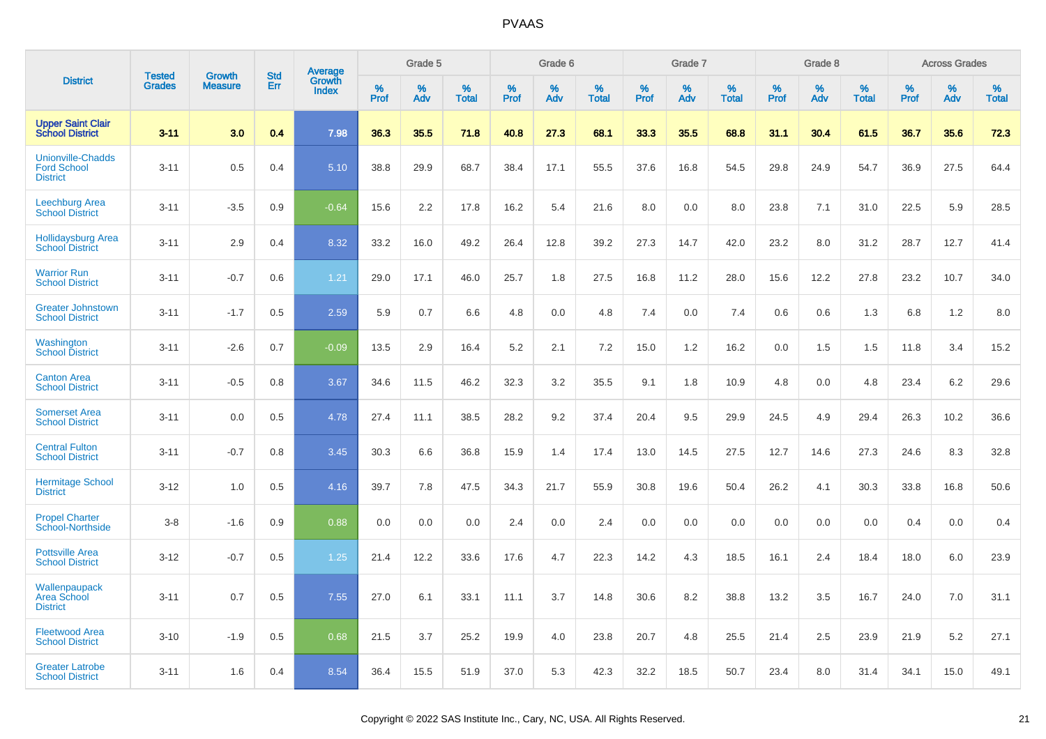|                                                                   | <b>Tested</b> |                                 | <b>Std</b> | Average                |              | Grade 5  |                   |              | Grade 6  |                   |              | Grade 7  |                   |              | Grade 8  |                   |              | <b>Across Grades</b> |                   |
|-------------------------------------------------------------------|---------------|---------------------------------|------------|------------------------|--------------|----------|-------------------|--------------|----------|-------------------|--------------|----------|-------------------|--------------|----------|-------------------|--------------|----------------------|-------------------|
| <b>District</b>                                                   | <b>Grades</b> | <b>Growth</b><br><b>Measure</b> | Err        | Growth<br><b>Index</b> | $\%$<br>Prof | %<br>Adv | %<br><b>Total</b> | $\%$<br>Prof | %<br>Adv | %<br><b>Total</b> | $\%$<br>Prof | %<br>Adv | %<br><b>Total</b> | $\%$<br>Prof | %<br>Adv | %<br><b>Total</b> | $\%$<br>Prof | %<br>Adv             | %<br><b>Total</b> |
| <b>Upper Saint Clair<br/>School District</b>                      | $3 - 11$      | 3.0                             | 0.4        | 7.98                   | 36.3         | 35.5     | 71.8              | 40.8         | 27.3     | 68.1              | 33.3         | 35.5     | 68.8              | 31.1         | 30.4     | 61.5              | 36.7         | 35.6                 | 72.3              |
| <b>Unionville-Chadds</b><br><b>Ford School</b><br><b>District</b> | $3 - 11$      | 0.5                             | 0.4        | 5.10                   | 38.8         | 29.9     | 68.7              | 38.4         | 17.1     | 55.5              | 37.6         | 16.8     | 54.5              | 29.8         | 24.9     | 54.7              | 36.9         | 27.5                 | 64.4              |
| Leechburg Area<br><b>School District</b>                          | $3 - 11$      | $-3.5$                          | 0.9        | $-0.64$                | 15.6         | 2.2      | 17.8              | 16.2         | 5.4      | 21.6              | 8.0          | 0.0      | 8.0               | 23.8         | 7.1      | 31.0              | 22.5         | 5.9                  | 28.5              |
| <b>Hollidaysburg Area</b><br><b>School District</b>               | $3 - 11$      | 2.9                             | 0.4        | 8.32                   | 33.2         | 16.0     | 49.2              | 26.4         | 12.8     | 39.2              | 27.3         | 14.7     | 42.0              | 23.2         | 8.0      | 31.2              | 28.7         | 12.7                 | 41.4              |
| <b>Warrior Run</b><br><b>School District</b>                      | $3 - 11$      | $-0.7$                          | 0.6        | 1.21                   | 29.0         | 17.1     | 46.0              | 25.7         | 1.8      | 27.5              | 16.8         | 11.2     | 28.0              | 15.6         | 12.2     | 27.8              | 23.2         | 10.7                 | 34.0              |
| <b>Greater Johnstown</b><br><b>School District</b>                | $3 - 11$      | $-1.7$                          | 0.5        | 2.59                   | 5.9          | 0.7      | 6.6               | 4.8          | 0.0      | 4.8               | 7.4          | 0.0      | 7.4               | 0.6          | 0.6      | 1.3               | 6.8          | 1.2                  | 8.0               |
| Washington<br><b>School District</b>                              | $3 - 11$      | $-2.6$                          | 0.7        | $-0.09$                | 13.5         | 2.9      | 16.4              | 5.2          | 2.1      | 7.2               | 15.0         | 1.2      | 16.2              | 0.0          | 1.5      | 1.5               | 11.8         | 3.4                  | 15.2              |
| <b>Canton Area</b><br><b>School District</b>                      | $3 - 11$      | $-0.5$                          | 0.8        | 3.67                   | 34.6         | 11.5     | 46.2              | 32.3         | 3.2      | 35.5              | 9.1          | 1.8      | 10.9              | 4.8          | 0.0      | 4.8               | 23.4         | 6.2                  | 29.6              |
| <b>Somerset Area</b><br><b>School District</b>                    | $3 - 11$      | 0.0                             | 0.5        | 4.78                   | 27.4         | 11.1     | 38.5              | 28.2         | 9.2      | 37.4              | 20.4         | 9.5      | 29.9              | 24.5         | 4.9      | 29.4              | 26.3         | 10.2                 | 36.6              |
| <b>Central Fulton</b><br><b>School District</b>                   | $3 - 11$      | $-0.7$                          | 0.8        | 3.45                   | 30.3         | 6.6      | 36.8              | 15.9         | 1.4      | 17.4              | 13.0         | 14.5     | 27.5              | 12.7         | 14.6     | 27.3              | 24.6         | 8.3                  | 32.8              |
| <b>Hermitage School</b><br><b>District</b>                        | $3 - 12$      | 1.0                             | 0.5        | 4.16                   | 39.7         | 7.8      | 47.5              | 34.3         | 21.7     | 55.9              | 30.8         | 19.6     | 50.4              | 26.2         | 4.1      | 30.3              | 33.8         | 16.8                 | 50.6              |
| <b>Propel Charter</b><br><b>School-Northside</b>                  | $3 - 8$       | $-1.6$                          | 0.9        | 0.88                   | 0.0          | 0.0      | 0.0               | 2.4          | 0.0      | 2.4               | 0.0          | 0.0      | 0.0               | 0.0          | 0.0      | 0.0               | 0.4          | 0.0                  | 0.4               |
| <b>Pottsville Area</b><br><b>School District</b>                  | $3 - 12$      | $-0.7$                          | 0.5        | 1.25                   | 21.4         | 12.2     | 33.6              | 17.6         | 4.7      | 22.3              | 14.2         | 4.3      | 18.5              | 16.1         | 2.4      | 18.4              | 18.0         | 6.0                  | 23.9              |
| Wallenpaupack<br><b>Area School</b><br><b>District</b>            | $3 - 11$      | 0.7                             | 0.5        | 7.55                   | 27.0         | 6.1      | 33.1              | 11.1         | 3.7      | 14.8              | 30.6         | 8.2      | 38.8              | 13.2         | 3.5      | 16.7              | 24.0         | 7.0                  | 31.1              |
| <b>Fleetwood Area</b><br><b>School District</b>                   | $3 - 10$      | $-1.9$                          | 0.5        | 0.68                   | 21.5         | 3.7      | 25.2              | 19.9         | 4.0      | 23.8              | 20.7         | 4.8      | 25.5              | 21.4         | 2.5      | 23.9              | 21.9         | 5.2                  | 27.1              |
| <b>Greater Latrobe</b><br><b>School District</b>                  | $3 - 11$      | 1.6                             | 0.4        | 8.54                   | 36.4         | 15.5     | 51.9              | 37.0         | 5.3      | 42.3              | 32.2         | 18.5     | 50.7              | 23.4         | 8.0      | 31.4              | 34.1         | 15.0                 | 49.1              |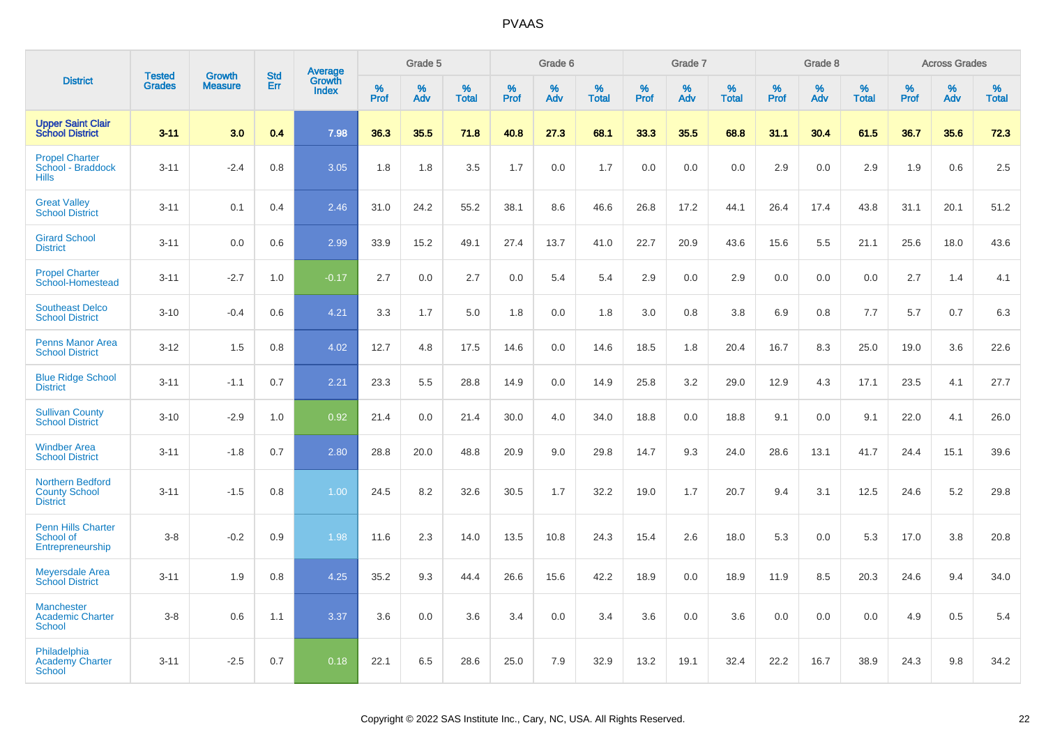|                                                                    |                                |                                 | <b>Std</b> | Average                |                  | Grade 5  |                   |                  | Grade 6  |                   |                  | Grade 7  |                   |           | Grade 8  |                   |                  | <b>Across Grades</b> |                   |
|--------------------------------------------------------------------|--------------------------------|---------------------------------|------------|------------------------|------------------|----------|-------------------|------------------|----------|-------------------|------------------|----------|-------------------|-----------|----------|-------------------|------------------|----------------------|-------------------|
| <b>District</b>                                                    | <b>Tested</b><br><b>Grades</b> | <b>Growth</b><br><b>Measure</b> | Err        | Growth<br><b>Index</b> | %<br><b>Prof</b> | %<br>Adv | %<br><b>Total</b> | %<br><b>Prof</b> | %<br>Adv | %<br><b>Total</b> | %<br><b>Prof</b> | %<br>Adv | %<br><b>Total</b> | %<br>Prof | %<br>Adv | %<br><b>Total</b> | %<br><b>Prof</b> | %<br>Adv             | %<br><b>Total</b> |
| <b>Upper Saint Clair</b><br><b>School District</b>                 | $3 - 11$                       | 3.0                             | 0.4        | 7.98                   | 36.3             | 35.5     | 71.8              | 40.8             | 27.3     | 68.1              | 33.3             | 35.5     | 68.8              | 31.1      | 30.4     | 61.5              | 36.7             | 35.6                 | 72.3              |
| <b>Propel Charter</b><br>School - Braddock<br><b>Hills</b>         | $3 - 11$                       | $-2.4$                          | 0.8        | 3.05                   | 1.8              | 1.8      | 3.5               | 1.7              | 0.0      | 1.7               | 0.0              | 0.0      | 0.0               | 2.9       | 0.0      | 2.9               | 1.9              | 0.6                  | 2.5               |
| <b>Great Valley</b><br><b>School District</b>                      | $3 - 11$                       | 0.1                             | 0.4        | 2.46                   | 31.0             | 24.2     | 55.2              | 38.1             | 8.6      | 46.6              | 26.8             | 17.2     | 44.1              | 26.4      | 17.4     | 43.8              | 31.1             | 20.1                 | 51.2              |
| <b>Girard School</b><br><b>District</b>                            | $3 - 11$                       | 0.0                             | 0.6        | 2.99                   | 33.9             | 15.2     | 49.1              | 27.4             | 13.7     | 41.0              | 22.7             | 20.9     | 43.6              | 15.6      | 5.5      | 21.1              | 25.6             | 18.0                 | 43.6              |
| <b>Propel Charter</b><br>School-Homestead                          | $3 - 11$                       | $-2.7$                          | 1.0        | $-0.17$                | 2.7              | 0.0      | 2.7               | 0.0              | 5.4      | 5.4               | 2.9              | 0.0      | 2.9               | 0.0       | 0.0      | 0.0               | 2.7              | 1.4                  | 4.1               |
| <b>Southeast Delco</b><br><b>School District</b>                   | $3 - 10$                       | $-0.4$                          | 0.6        | 4.21                   | 3.3              | 1.7      | 5.0               | 1.8              | 0.0      | 1.8               | 3.0              | 0.8      | 3.8               | 6.9       | 0.8      | 7.7               | 5.7              | 0.7                  | 6.3               |
| <b>Penns Manor Area</b><br><b>School District</b>                  | $3 - 12$                       | 1.5                             | 0.8        | 4.02                   | 12.7             | 4.8      | 17.5              | 14.6             | 0.0      | 14.6              | 18.5             | 1.8      | 20.4              | 16.7      | 8.3      | 25.0              | 19.0             | 3.6                  | 22.6              |
| <b>Blue Ridge School</b><br><b>District</b>                        | $3 - 11$                       | $-1.1$                          | 0.7        | 2.21                   | 23.3             | 5.5      | 28.8              | 14.9             | 0.0      | 14.9              | 25.8             | 3.2      | 29.0              | 12.9      | 4.3      | 17.1              | 23.5             | 4.1                  | 27.7              |
| <b>Sullivan County</b><br><b>School District</b>                   | $3 - 10$                       | $-2.9$                          | 1.0        | 0.92                   | 21.4             | 0.0      | 21.4              | 30.0             | 4.0      | 34.0              | 18.8             | 0.0      | 18.8              | 9.1       | 0.0      | 9.1               | 22.0             | 4.1                  | 26.0              |
| <b>Windber Area</b><br><b>School District</b>                      | $3 - 11$                       | $-1.8$                          | 0.7        | 2.80                   | 28.8             | 20.0     | 48.8              | 20.9             | 9.0      | 29.8              | 14.7             | 9.3      | 24.0              | 28.6      | 13.1     | 41.7              | 24.4             | 15.1                 | 39.6              |
| <b>Northern Bedford</b><br><b>County School</b><br><b>District</b> | $3 - 11$                       | $-1.5$                          | 0.8        | 1.00                   | 24.5             | 8.2      | 32.6              | 30.5             | 1.7      | 32.2              | 19.0             | 1.7      | 20.7              | 9.4       | 3.1      | 12.5              | 24.6             | 5.2                  | 29.8              |
| <b>Penn Hills Charter</b><br>School of<br>Entrepreneurship         | $3-8$                          | $-0.2$                          | 0.9        | 1.98                   | 11.6             | 2.3      | 14.0              | 13.5             | 10.8     | 24.3              | 15.4             | 2.6      | 18.0              | 5.3       | 0.0      | 5.3               | 17.0             | 3.8                  | 20.8              |
| <b>Meyersdale Area</b><br><b>School District</b>                   | $3 - 11$                       | 1.9                             | 0.8        | 4.25                   | 35.2             | 9.3      | 44.4              | 26.6             | 15.6     | 42.2              | 18.9             | 0.0      | 18.9              | 11.9      | 8.5      | 20.3              | 24.6             | 9.4                  | 34.0              |
| <b>Manchester</b><br><b>Academic Charter</b><br><b>School</b>      | $3-8$                          | 0.6                             | 1.1        | 3.37                   | 3.6              | 0.0      | 3.6               | 3.4              | 0.0      | 3.4               | 3.6              | 0.0      | 3.6               | 0.0       | 0.0      | 0.0               | 4.9              | 0.5                  | 5.4               |
| Philadelphia<br><b>Academy Charter</b><br><b>School</b>            | $3 - 11$                       | $-2.5$                          | 0.7        | 0.18                   | 22.1             | 6.5      | 28.6              | 25.0             | 7.9      | 32.9              | 13.2             | 19.1     | 32.4              | 22.2      | 16.7     | 38.9              | 24.3             | 9.8                  | 34.2              |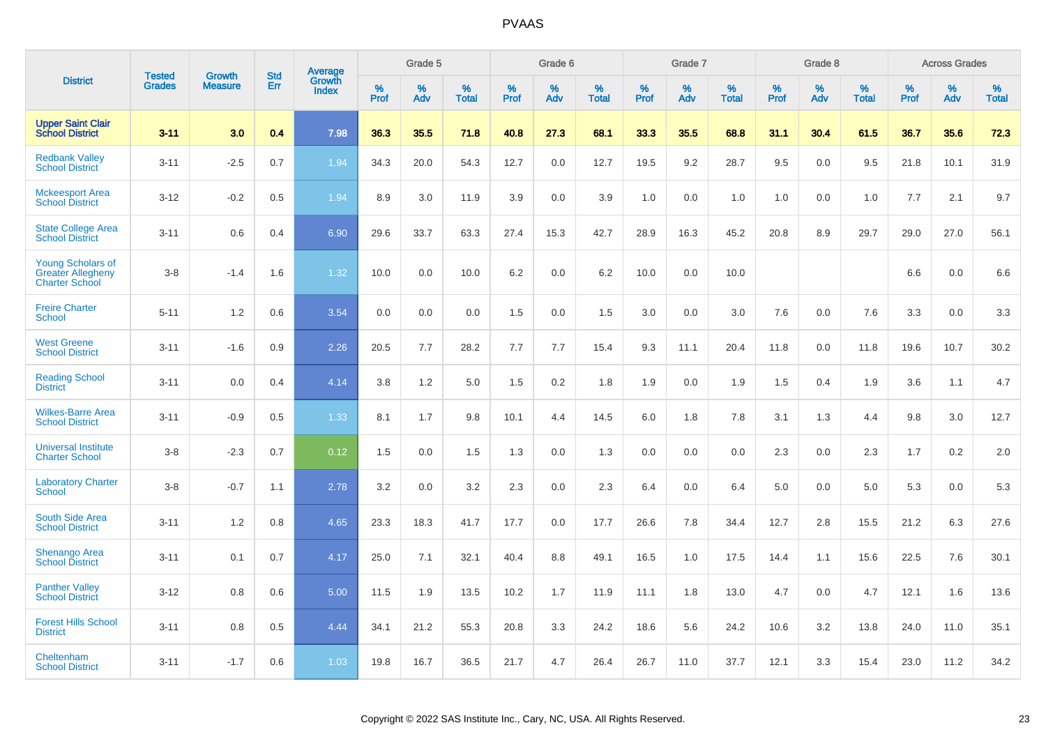|                                                                               |                                |                          | <b>Std</b> | Average                |           | Grade 5  |                      |           | Grade 6  |                   |           | Grade 7  |                      |           | Grade 8  |                   |           | <b>Across Grades</b> |                   |
|-------------------------------------------------------------------------------|--------------------------------|--------------------------|------------|------------------------|-----------|----------|----------------------|-----------|----------|-------------------|-----------|----------|----------------------|-----------|----------|-------------------|-----------|----------------------|-------------------|
| <b>District</b>                                                               | <b>Tested</b><br><b>Grades</b> | Growth<br><b>Measure</b> | Err        | Growth<br><b>Index</b> | %<br>Prof | %<br>Adv | $\%$<br><b>Total</b> | %<br>Prof | %<br>Adv | %<br><b>Total</b> | %<br>Prof | %<br>Adv | $\%$<br><b>Total</b> | %<br>Prof | %<br>Adv | %<br><b>Total</b> | %<br>Prof | %<br>Adv             | %<br><b>Total</b> |
| <b>Upper Saint Clair</b><br><b>School District</b>                            | $3 - 11$                       | 3.0                      | 0.4        | 7.98                   | 36.3      | 35.5     | 71.8                 | 40.8      | 27.3     | 68.1              | 33.3      | 35.5     | 68.8                 | 31.1      | 30.4     | 61.5              | 36.7      | 35.6                 | 72.3              |
| <b>Redbank Valley</b><br><b>School District</b>                               | $3 - 11$                       | $-2.5$                   | 0.7        | 1.94                   | 34.3      | 20.0     | 54.3                 | 12.7      | 0.0      | 12.7              | 19.5      | 9.2      | 28.7                 | 9.5       | 0.0      | 9.5               | 21.8      | 10.1                 | 31.9              |
| <b>Mckeesport Area</b><br><b>School District</b>                              | $3 - 12$                       | $-0.2$                   | 0.5        | 1.94                   | 8.9       | 3.0      | 11.9                 | 3.9       | 0.0      | 3.9               | 1.0       | 0.0      | 1.0                  | 1.0       | 0.0      | 1.0               | 7.7       | 2.1                  | 9.7               |
| <b>State College Area</b><br><b>School District</b>                           | $3 - 11$                       | 0.6                      | 0.4        | 6.90                   | 29.6      | 33.7     | 63.3                 | 27.4      | 15.3     | 42.7              | 28.9      | 16.3     | 45.2                 | 20.8      | 8.9      | 29.7              | 29.0      | 27.0                 | 56.1              |
| <b>Young Scholars of</b><br><b>Greater Allegheny</b><br><b>Charter School</b> | $3 - 8$                        | $-1.4$                   | 1.6        | 1.32                   | 10.0      | 0.0      | 10.0                 | 6.2       | 0.0      | 6.2               | 10.0      | 0.0      | 10.0                 |           |          |                   | 6.6       | 0.0                  | 6.6               |
| <b>Freire Charter</b><br><b>School</b>                                        | $5 - 11$                       | 1.2                      | 0.6        | 3.54                   | 0.0       | 0.0      | 0.0                  | 1.5       | 0.0      | 1.5               | 3.0       | 0.0      | 3.0                  | 7.6       | 0.0      | 7.6               | 3.3       | 0.0                  | 3.3               |
| <b>West Greene</b><br><b>School District</b>                                  | $3 - 11$                       | $-1.6$                   | 0.9        | 2.26                   | 20.5      | 7.7      | 28.2                 | 7.7       | 7.7      | 15.4              | 9.3       | 11.1     | 20.4                 | 11.8      | 0.0      | 11.8              | 19.6      | 10.7                 | 30.2              |
| <b>Reading School</b><br><b>District</b>                                      | $3 - 11$                       | 0.0                      | 0.4        | 4.14                   | 3.8       | 1.2      | 5.0                  | 1.5       | 0.2      | 1.8               | 1.9       | 0.0      | 1.9                  | 1.5       | 0.4      | 1.9               | 3.6       | 1.1                  | 4.7               |
| <b>Wilkes-Barre Area</b><br><b>School District</b>                            | $3 - 11$                       | $-0.9$                   | 0.5        | 1.33                   | 8.1       | 1.7      | 9.8                  | 10.1      | 4.4      | 14.5              | 6.0       | 1.8      | 7.8                  | 3.1       | 1.3      | 4.4               | 9.8       | 3.0                  | 12.7              |
| <b>Universal Institute</b><br><b>Charter School</b>                           | $3 - 8$                        | $-2.3$                   | 0.7        | 0.12                   | 1.5       | 0.0      | 1.5                  | 1.3       | 0.0      | 1.3               | 0.0       | 0.0      | 0.0                  | 2.3       | 0.0      | 2.3               | 1.7       | 0.2                  | 2.0               |
| <b>Laboratory Charter</b><br><b>School</b>                                    | $3 - 8$                        | $-0.7$                   | 1.1        | 2.78                   | 3.2       | 0.0      | 3.2                  | 2.3       | 0.0      | 2.3               | 6.4       | 0.0      | 6.4                  | 5.0       | 0.0      | 5.0               | 5.3       | 0.0                  | 5.3               |
| <b>South Side Area</b><br><b>School District</b>                              | $3 - 11$                       | 1.2                      | 0.8        | 4.65                   | 23.3      | 18.3     | 41.7                 | 17.7      | 0.0      | 17.7              | 26.6      | 7.8      | 34.4                 | 12.7      | 2.8      | 15.5              | 21.2      | 6.3                  | 27.6              |
| <b>Shenango Area</b><br><b>School District</b>                                | $3 - 11$                       | 0.1                      | 0.7        | 4.17                   | 25.0      | 7.1      | 32.1                 | 40.4      | 8.8      | 49.1              | 16.5      | 1.0      | 17.5                 | 14.4      | 1.1      | 15.6              | 22.5      | 7.6                  | 30.1              |
| <b>Panther Valley</b><br><b>School District</b>                               | $3 - 12$                       | 0.8                      | 0.6        | 5.00                   | 11.5      | 1.9      | 13.5                 | 10.2      | 1.7      | 11.9              | 11.1      | 1.8      | 13.0                 | 4.7       | 0.0      | 4.7               | 12.1      | 1.6                  | 13.6              |
| <b>Forest Hills School</b><br><b>District</b>                                 | $3 - 11$                       | 0.8                      | 0.5        | 4.44                   | 34.1      | 21.2     | 55.3                 | 20.8      | 3.3      | 24.2              | 18.6      | 5.6      | 24.2                 | 10.6      | 3.2      | 13.8              | 24.0      | 11.0                 | 35.1              |
| Cheltenham<br><b>School District</b>                                          | $3 - 11$                       | $-1.7$                   | 0.6        | 1.03                   | 19.8      | 16.7     | 36.5                 | 21.7      | 4.7      | 26.4              | 26.7      | 11.0     | 37.7                 | 12.1      | 3.3      | 15.4              | 23.0      | 11.2                 | 34.2              |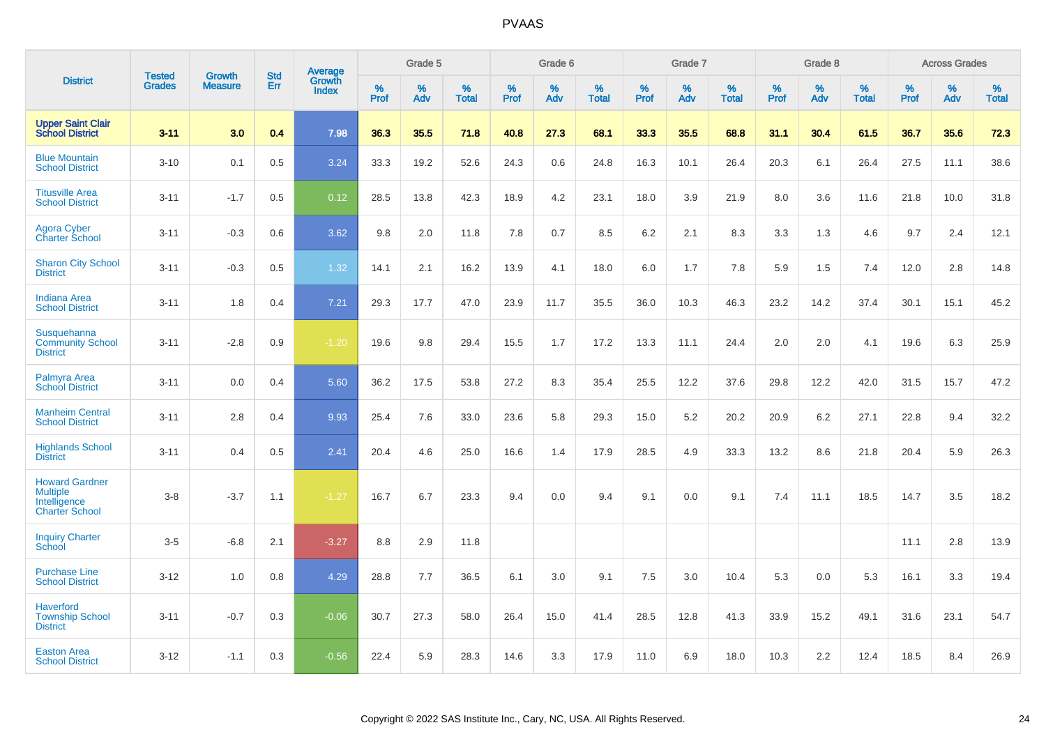|                                                                                   | <b>Tested</b> | <b>Growth</b>  | <b>Std</b> |                                          |              | Grade 5  |                   |              | Grade 6  |                   |           | Grade 7  |                   |           | Grade 8  |                   |                  | <b>Across Grades</b> |                   |
|-----------------------------------------------------------------------------------|---------------|----------------|------------|------------------------------------------|--------------|----------|-------------------|--------------|----------|-------------------|-----------|----------|-------------------|-----------|----------|-------------------|------------------|----------------------|-------------------|
| <b>District</b>                                                                   | <b>Grades</b> | <b>Measure</b> | Err        | <b>Average</b><br>Growth<br><b>Index</b> | $\%$<br>Prof | %<br>Adv | %<br><b>Total</b> | $\%$<br>Prof | %<br>Adv | %<br><b>Total</b> | %<br>Prof | %<br>Adv | %<br><b>Total</b> | %<br>Prof | %<br>Adv | %<br><b>Total</b> | %<br><b>Prof</b> | $\%$<br>Adv          | %<br><b>Total</b> |
| <b>Upper Saint Clair</b><br><b>School District</b>                                | $3 - 11$      | 3.0            | 0.4        | 7.98                                     | 36.3         | 35.5     | 71.8              | 40.8         | 27.3     | 68.1              | 33.3      | 35.5     | 68.8              | 31.1      | 30.4     | 61.5              | 36.7             | 35.6                 | 72.3              |
| <b>Blue Mountain</b><br><b>School District</b>                                    | $3 - 10$      | 0.1            | 0.5        | 3.24                                     | 33.3         | 19.2     | 52.6              | 24.3         | 0.6      | 24.8              | 16.3      | 10.1     | 26.4              | 20.3      | 6.1      | 26.4              | 27.5             | 11.1                 | 38.6              |
| <b>Titusville Area</b><br><b>School District</b>                                  | $3 - 11$      | $-1.7$         | 0.5        | 0.12                                     | 28.5         | 13.8     | 42.3              | 18.9         | 4.2      | 23.1              | 18.0      | 3.9      | 21.9              | 8.0       | 3.6      | 11.6              | 21.8             | 10.0                 | 31.8              |
| <b>Agora Cyber</b><br><b>Charter School</b>                                       | $3 - 11$      | $-0.3$         | 0.6        | 3.62                                     | 9.8          | 2.0      | 11.8              | 7.8          | 0.7      | 8.5               | 6.2       | 2.1      | 8.3               | 3.3       | 1.3      | 4.6               | 9.7              | 2.4                  | 12.1              |
| <b>Sharon City School</b><br><b>District</b>                                      | $3 - 11$      | $-0.3$         | 0.5        | 1.32                                     | 14.1         | 2.1      | 16.2              | 13.9         | 4.1      | 18.0              | 6.0       | 1.7      | 7.8               | 5.9       | 1.5      | 7.4               | 12.0             | 2.8                  | 14.8              |
| <b>Indiana Area</b><br><b>School District</b>                                     | $3 - 11$      | 1.8            | 0.4        | $7.21$                                   | 29.3         | 17.7     | 47.0              | 23.9         | 11.7     | 35.5              | 36.0      | 10.3     | 46.3              | 23.2      | 14.2     | 37.4              | 30.1             | 15.1                 | 45.2              |
| Susquehanna<br><b>Community School</b><br><b>District</b>                         | $3 - 11$      | $-2.8$         | 0.9        | $-1.20$                                  | 19.6         | 9.8      | 29.4              | 15.5         | 1.7      | 17.2              | 13.3      | 11.1     | 24.4              | 2.0       | 2.0      | 4.1               | 19.6             | 6.3                  | 25.9              |
| Palmyra Area<br><b>School District</b>                                            | $3 - 11$      | 0.0            | 0.4        | 5.60                                     | 36.2         | 17.5     | 53.8              | 27.2         | 8.3      | 35.4              | 25.5      | 12.2     | 37.6              | 29.8      | 12.2     | 42.0              | 31.5             | 15.7                 | 47.2              |
| <b>Manheim Central</b><br><b>School District</b>                                  | $3 - 11$      | 2.8            | 0.4        | 9.93                                     | 25.4         | 7.6      | 33.0              | 23.6         | 5.8      | 29.3              | 15.0      | 5.2      | 20.2              | 20.9      | 6.2      | 27.1              | 22.8             | 9.4                  | 32.2              |
| <b>Highlands School</b><br><b>District</b>                                        | $3 - 11$      | 0.4            | 0.5        | 2.41                                     | 20.4         | 4.6      | 25.0              | 16.6         | 1.4      | 17.9              | 28.5      | 4.9      | 33.3              | 13.2      | 8.6      | 21.8              | 20.4             | 5.9                  | 26.3              |
| <b>Howard Gardner</b><br><b>Multiple</b><br>Intelligence<br><b>Charter School</b> | $3 - 8$       | $-3.7$         | 1.1        | $-1.27$                                  | 16.7         | 6.7      | 23.3              | 9.4          | 0.0      | 9.4               | 9.1       | 0.0      | 9.1               | 7.4       | 11.1     | 18.5              | 14.7             | 3.5                  | 18.2              |
| <b>Inquiry Charter</b><br>School                                                  | $3-5$         | $-6.8$         | 2.1        | $-3.27$                                  | 8.8          | 2.9      | 11.8              |              |          |                   |           |          |                   |           |          |                   | 11.1             | 2.8                  | 13.9              |
| <b>Purchase Line</b><br><b>School District</b>                                    | $3 - 12$      | 1.0            | 0.8        | 4.29                                     | 28.8         | 7.7      | 36.5              | 6.1          | 3.0      | 9.1               | 7.5       | 3.0      | 10.4              | 5.3       | 0.0      | 5.3               | 16.1             | 3.3                  | 19.4              |
| <b>Haverford</b><br><b>Township School</b><br><b>District</b>                     | $3 - 11$      | $-0.7$         | 0.3        | $-0.06$                                  | 30.7         | 27.3     | 58.0              | 26.4         | 15.0     | 41.4              | 28.5      | 12.8     | 41.3              | 33.9      | 15.2     | 49.1              | 31.6             | 23.1                 | 54.7              |
| <b>Easton Area</b><br><b>School District</b>                                      | $3 - 12$      | $-1.1$         | 0.3        | $-0.56$                                  | 22.4         | 5.9      | 28.3              | 14.6         | 3.3      | 17.9              | 11.0      | 6.9      | 18.0              | 10.3      | 2.2      | 12.4              | 18.5             | 8.4                  | 26.9              |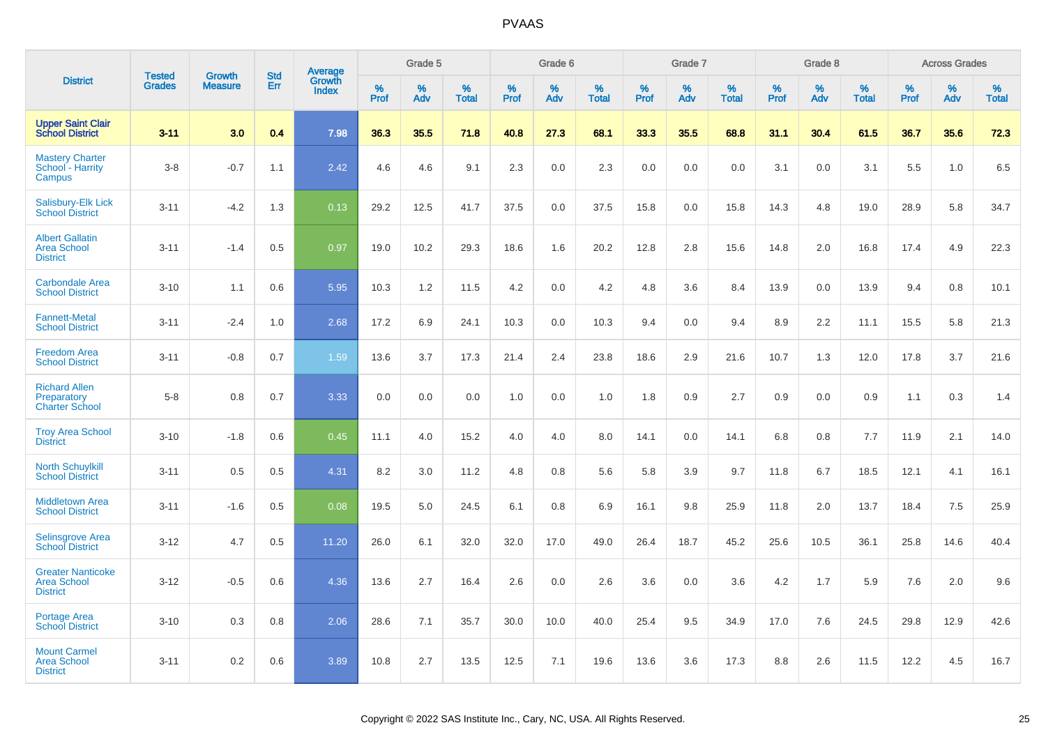|                                                                   |                                |                                 |                   | <b>Average</b>         |              | Grade 5  |                   |           | Grade 6  |                   |                  | Grade 7  |                   |           | Grade 8  |                   |              | <b>Across Grades</b> |                   |
|-------------------------------------------------------------------|--------------------------------|---------------------------------|-------------------|------------------------|--------------|----------|-------------------|-----------|----------|-------------------|------------------|----------|-------------------|-----------|----------|-------------------|--------------|----------------------|-------------------|
| <b>District</b>                                                   | <b>Tested</b><br><b>Grades</b> | <b>Growth</b><br><b>Measure</b> | <b>Std</b><br>Err | Growth<br><b>Index</b> | $\%$<br>Prof | %<br>Adv | %<br><b>Total</b> | %<br>Prof | %<br>Adv | %<br><b>Total</b> | %<br><b>Prof</b> | %<br>Adv | %<br><b>Total</b> | %<br>Prof | %<br>Adv | %<br><b>Total</b> | $\%$<br>Prof | %<br>Adv             | %<br><b>Total</b> |
| <b>Upper Saint Clair</b><br><b>School District</b>                | $3 - 11$                       | 3.0                             | 0.4               | 7.98                   | 36.3         | 35.5     | 71.8              | 40.8      | 27.3     | 68.1              | 33.3             | 35.5     | 68.8              | 31.1      | 30.4     | 61.5              | 36.7         | 35.6                 | 72.3              |
| <b>Mastery Charter</b><br>School - Harrity<br>Campus              | $3-8$                          | $-0.7$                          | 1.1               | 2.42                   | 4.6          | 4.6      | 9.1               | 2.3       | 0.0      | 2.3               | 0.0              | 0.0      | 0.0               | 3.1       | 0.0      | 3.1               | 5.5          | 1.0                  | 6.5               |
| Salisbury-Elk Lick<br><b>School District</b>                      | $3 - 11$                       | $-4.2$                          | 1.3               | 0.13                   | 29.2         | 12.5     | 41.7              | 37.5      | 0.0      | 37.5              | 15.8             | 0.0      | 15.8              | 14.3      | 4.8      | 19.0              | 28.9         | 5.8                  | 34.7              |
| <b>Albert Gallatin</b><br><b>Area School</b><br><b>District</b>   | $3 - 11$                       | $-1.4$                          | 0.5               | 0.97                   | 19.0         | 10.2     | 29.3              | 18.6      | 1.6      | 20.2              | 12.8             | 2.8      | 15.6              | 14.8      | 2.0      | 16.8              | 17.4         | 4.9                  | 22.3              |
| <b>Carbondale Area</b><br><b>School District</b>                  | $3 - 10$                       | 1.1                             | 0.6               | 5.95                   | 10.3         | 1.2      | 11.5              | 4.2       | 0.0      | 4.2               | 4.8              | 3.6      | 8.4               | 13.9      | 0.0      | 13.9              | 9.4          | 0.8                  | 10.1              |
| <b>Fannett-Metal</b><br><b>School District</b>                    | $3 - 11$                       | $-2.4$                          | 1.0               | 2.68                   | 17.2         | 6.9      | 24.1              | 10.3      | 0.0      | 10.3              | 9.4              | 0.0      | 9.4               | 8.9       | 2.2      | 11.1              | 15.5         | 5.8                  | 21.3              |
| <b>Freedom Area</b><br><b>School District</b>                     | $3 - 11$                       | $-0.8$                          | 0.7               | 1.59                   | 13.6         | 3.7      | 17.3              | 21.4      | 2.4      | 23.8              | 18.6             | 2.9      | 21.6              | 10.7      | 1.3      | 12.0              | 17.8         | 3.7                  | 21.6              |
| <b>Richard Allen</b><br>Preparatory<br><b>Charter School</b>      | $5-8$                          | 0.8                             | 0.7               | 3.33                   | 0.0          | 0.0      | 0.0               | 1.0       | 0.0      | 1.0               | 1.8              | 0.9      | 2.7               | 0.9       | 0.0      | 0.9               | 1.1          | 0.3                  | 1.4               |
| <b>Troy Area School</b><br><b>District</b>                        | $3 - 10$                       | $-1.8$                          | 0.6               | 0.45                   | 11.1         | 4.0      | 15.2              | 4.0       | 4.0      | 8.0               | 14.1             | 0.0      | 14.1              | 6.8       | 0.8      | 7.7               | 11.9         | 2.1                  | 14.0              |
| <b>North Schuylkill</b><br><b>School District</b>                 | $3 - 11$                       | 0.5                             | 0.5               | 4.31                   | 8.2          | 3.0      | 11.2              | 4.8       | 0.8      | 5.6               | 5.8              | 3.9      | 9.7               | 11.8      | 6.7      | 18.5              | 12.1         | 4.1                  | 16.1              |
| <b>Middletown Area</b><br><b>School District</b>                  | $3 - 11$                       | $-1.6$                          | 0.5               | 0.08                   | 19.5         | 5.0      | 24.5              | 6.1       | 0.8      | 6.9               | 16.1             | 9.8      | 25.9              | 11.8      | 2.0      | 13.7              | 18.4         | 7.5                  | 25.9              |
| <b>Selinsgrove Area</b><br><b>School District</b>                 | $3 - 12$                       | 4.7                             | 0.5               | 11.20                  | 26.0         | 6.1      | 32.0              | 32.0      | 17.0     | 49.0              | 26.4             | 18.7     | 45.2              | 25.6      | 10.5     | 36.1              | 25.8         | 14.6                 | 40.4              |
| <b>Greater Nanticoke</b><br><b>Area School</b><br><b>District</b> | $3 - 12$                       | $-0.5$                          | 0.6               | 4.36                   | 13.6         | 2.7      | 16.4              | 2.6       | 0.0      | 2.6               | 3.6              | 0.0      | 3.6               | 4.2       | 1.7      | 5.9               | 7.6          | 2.0                  | 9.6               |
| Portage Area<br><b>School District</b>                            | $3 - 10$                       | 0.3                             | 0.8               | 2.06                   | 28.6         | 7.1      | 35.7              | 30.0      | 10.0     | 40.0              | 25.4             | 9.5      | 34.9              | 17.0      | 7.6      | 24.5              | 29.8         | 12.9                 | 42.6              |
| <b>Mount Carmel</b><br><b>Area School</b><br><b>District</b>      | $3 - 11$                       | 0.2                             | 0.6               | 3.89                   | 10.8         | 2.7      | 13.5              | 12.5      | 7.1      | 19.6              | 13.6             | 3.6      | 17.3              | 8.8       | 2.6      | 11.5              | 12.2         | 4.5                  | 16.7              |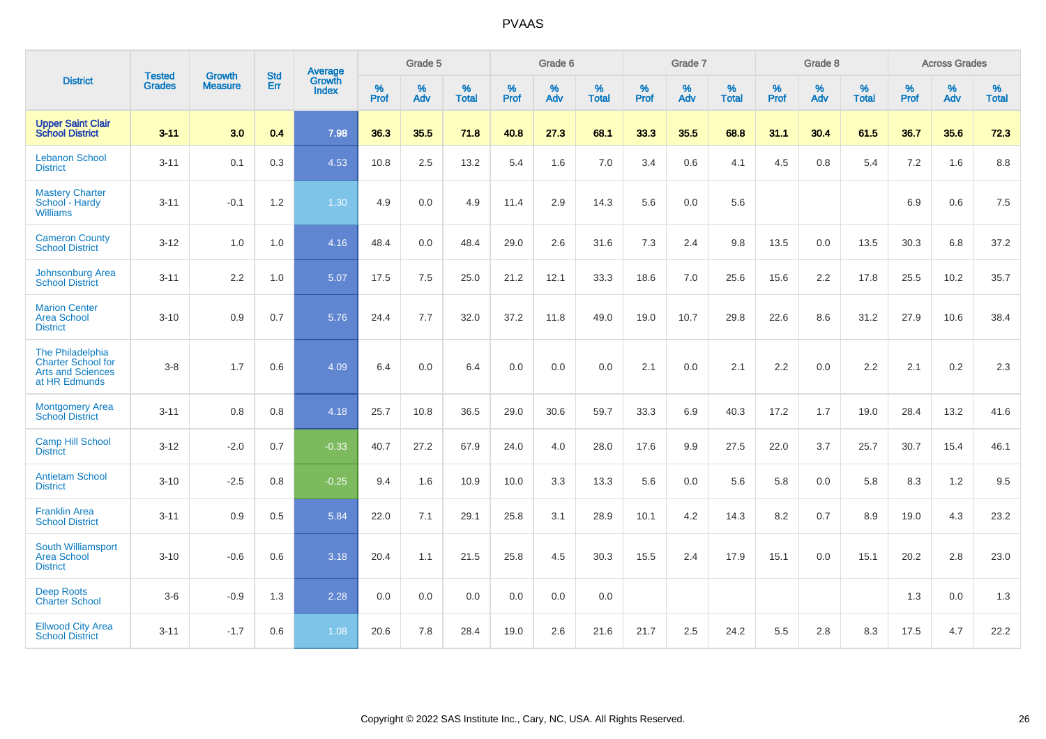|                                                                                            | <b>Tested</b> | <b>Growth</b>  | <b>Std</b> | Average                |                     | Grade 5  |                   |                     | Grade 6  |                   |              | Grade 7  |                   |                     | Grade 8  |                   |                     | <b>Across Grades</b> |                   |
|--------------------------------------------------------------------------------------------|---------------|----------------|------------|------------------------|---------------------|----------|-------------------|---------------------|----------|-------------------|--------------|----------|-------------------|---------------------|----------|-------------------|---------------------|----------------------|-------------------|
| <b>District</b>                                                                            | <b>Grades</b> | <b>Measure</b> | <b>Err</b> | Growth<br><b>Index</b> | $\%$<br><b>Prof</b> | %<br>Adv | %<br><b>Total</b> | $\%$<br><b>Prof</b> | %<br>Adv | %<br><b>Total</b> | $\%$<br>Prof | %<br>Adv | %<br><b>Total</b> | $\%$<br><b>Prof</b> | %<br>Adv | %<br><b>Total</b> | $\%$<br><b>Prof</b> | %<br>Adv             | %<br><b>Total</b> |
| <b>Upper Saint Clair</b><br><b>School District</b>                                         | $3 - 11$      | 3.0            | 0.4        | 7.98                   | 36.3                | 35.5     | 71.8              | 40.8                | 27.3     | 68.1              | 33.3         | 35.5     | 68.8              | 31.1                | 30.4     | 61.5              | 36.7                | 35.6                 | 72.3              |
| <b>Lebanon School</b><br><b>District</b>                                                   | $3 - 11$      | 0.1            | 0.3        | 4.53                   | 10.8                | 2.5      | 13.2              | 5.4                 | 1.6      | 7.0               | 3.4          | 0.6      | 4.1               | 4.5                 | 0.8      | 5.4               | 7.2                 | 1.6                  | 8.8               |
| <b>Mastery Charter</b><br>School - Hardy<br><b>Williams</b>                                | $3 - 11$      | $-0.1$         | 1.2        | 1.30                   | 4.9                 | 0.0      | 4.9               | 11.4                | 2.9      | 14.3              | 5.6          | 0.0      | 5.6               |                     |          |                   | 6.9                 | 0.6                  | 7.5               |
| <b>Cameron County</b><br><b>School District</b>                                            | $3 - 12$      | 1.0            | 1.0        | 4.16                   | 48.4                | 0.0      | 48.4              | 29.0                | 2.6      | 31.6              | 7.3          | 2.4      | 9.8               | 13.5                | 0.0      | 13.5              | 30.3                | 6.8                  | 37.2              |
| Johnsonburg Area<br><b>School District</b>                                                 | $3 - 11$      | 2.2            | 1.0        | 5.07                   | 17.5                | 7.5      | 25.0              | 21.2                | 12.1     | 33.3              | 18.6         | 7.0      | 25.6              | 15.6                | 2.2      | 17.8              | 25.5                | 10.2                 | 35.7              |
| <b>Marion Center</b><br><b>Area School</b><br><b>District</b>                              | $3 - 10$      | 0.9            | 0.7        | 5.76                   | 24.4                | 7.7      | 32.0              | 37.2                | 11.8     | 49.0              | 19.0         | 10.7     | 29.8              | 22.6                | 8.6      | 31.2              | 27.9                | 10.6                 | 38.4              |
| The Philadelphia<br><b>Charter School for</b><br><b>Arts and Sciences</b><br>at HR Edmunds | $3 - 8$       | 1.7            | 0.6        | 4.09                   | 6.4                 | 0.0      | 6.4               | 0.0                 | 0.0      | 0.0               | 2.1          | 0.0      | 2.1               | 2.2                 | 0.0      | 2.2               | 2.1                 | $0.2\,$              | 2.3               |
| <b>Montgomery Area</b><br><b>School District</b>                                           | $3 - 11$      | 0.8            | 0.8        | 4.18                   | 25.7                | 10.8     | 36.5              | 29.0                | 30.6     | 59.7              | 33.3         | 6.9      | 40.3              | 17.2                | 1.7      | 19.0              | 28.4                | 13.2                 | 41.6              |
| <b>Camp Hill School</b><br><b>District</b>                                                 | $3 - 12$      | $-2.0$         | 0.7        | $-0.33$                | 40.7                | 27.2     | 67.9              | 24.0                | 4.0      | 28.0              | 17.6         | 9.9      | 27.5              | 22.0                | 3.7      | 25.7              | 30.7                | 15.4                 | 46.1              |
| <b>Antietam School</b><br><b>District</b>                                                  | $3 - 10$      | $-2.5$         | 0.8        | $-0.25$                | 9.4                 | 1.6      | 10.9              | 10.0                | 3.3      | 13.3              | 5.6          | 0.0      | 5.6               | 5.8                 | 0.0      | 5.8               | 8.3                 | 1.2                  | 9.5               |
| <b>Franklin Area</b><br><b>School District</b>                                             | $3 - 11$      | 0.9            | 0.5        | 5.84                   | 22.0                | 7.1      | 29.1              | 25.8                | 3.1      | 28.9              | 10.1         | 4.2      | 14.3              | 8.2                 | 0.7      | 8.9               | 19.0                | 4.3                  | 23.2              |
| South Williamsport<br><b>Area School</b><br><b>District</b>                                | $3 - 10$      | $-0.6$         | 0.6        | 3.18                   | 20.4                | 1.1      | 21.5              | 25.8                | 4.5      | 30.3              | 15.5         | 2.4      | 17.9              | 15.1                | 0.0      | 15.1              | 20.2                | 2.8                  | 23.0              |
| <b>Deep Roots</b><br><b>Charter School</b>                                                 | $3-6$         | $-0.9$         | 1.3        | 2.28                   | 0.0                 | 0.0      | 0.0               | 0.0                 | 0.0      | 0.0               |              |          |                   |                     |          |                   | 1.3                 | 0.0                  | 1.3               |
| <b>Ellwood City Area</b><br><b>School District</b>                                         | $3 - 11$      | $-1.7$         | 0.6        | 1.08                   | 20.6                | 7.8      | 28.4              | 19.0                | 2.6      | 21.6              | 21.7         | 2.5      | 24.2              | 5.5                 | 2.8      | 8.3               | 17.5                | 4.7                  | 22.2              |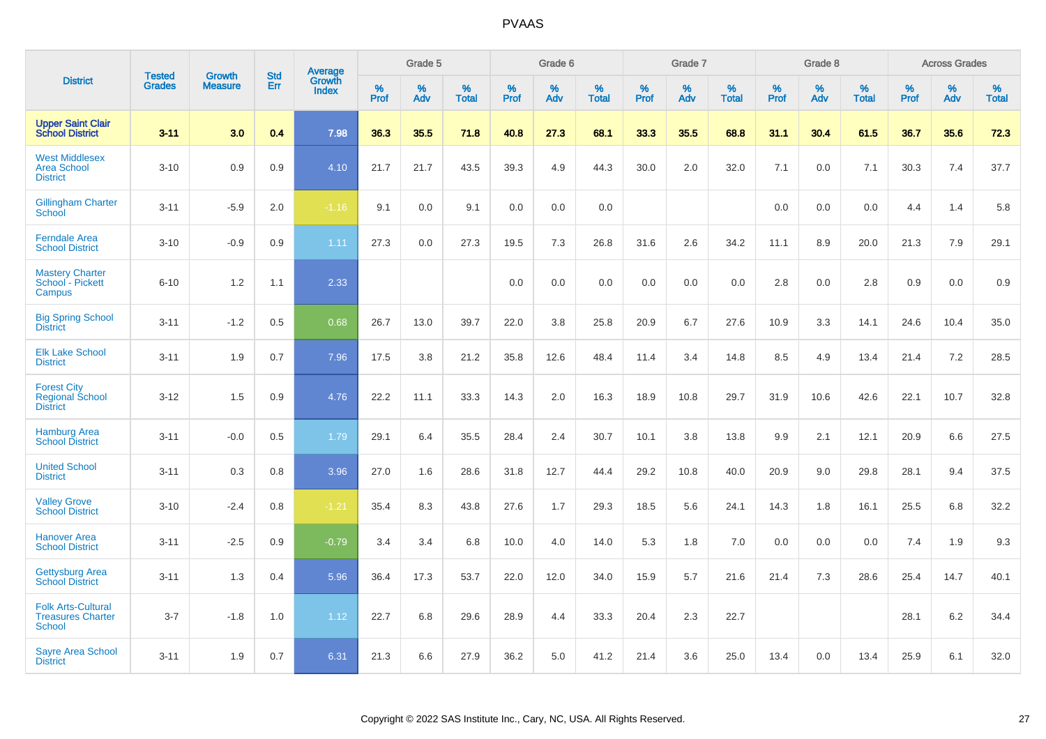|                                                                        |                         |                                 | <b>Std</b> | Average                |                     | Grade 5     |                   |                  | Grade 6     |                   |                  | Grade 7  |                   |                  | Grade 8  |                   |                     | <b>Across Grades</b> |                   |
|------------------------------------------------------------------------|-------------------------|---------------------------------|------------|------------------------|---------------------|-------------|-------------------|------------------|-------------|-------------------|------------------|----------|-------------------|------------------|----------|-------------------|---------------------|----------------------|-------------------|
| <b>District</b>                                                        | <b>Tested</b><br>Grades | <b>Growth</b><br><b>Measure</b> | Err        | Growth<br><b>Index</b> | $\%$<br><b>Prof</b> | $\%$<br>Adv | %<br><b>Total</b> | %<br><b>Prof</b> | $\%$<br>Adv | %<br><b>Total</b> | %<br><b>Prof</b> | %<br>Adv | %<br><b>Total</b> | %<br><b>Prof</b> | %<br>Adv | %<br><b>Total</b> | $\%$<br><b>Prof</b> | $\%$<br>Adv          | %<br><b>Total</b> |
| <b>Upper Saint Clair</b><br><b>School District</b>                     | $3 - 11$                | 3.0                             | 0.4        | 7.98                   | 36.3                | 35.5        | 71.8              | 40.8             | 27.3        | 68.1              | 33.3             | 35.5     | 68.8              | 31.1             | 30.4     | 61.5              | 36.7                | 35.6                 | 72.3              |
| <b>West Middlesex</b><br><b>Area School</b><br><b>District</b>         | $3 - 10$                | 0.9                             | 0.9        | 4.10                   | 21.7                | 21.7        | 43.5              | 39.3             | 4.9         | 44.3              | 30.0             | 2.0      | 32.0              | 7.1              | 0.0      | 7.1               | 30.3                | 7.4                  | 37.7              |
| <b>Gillingham Charter</b><br>School                                    | $3 - 11$                | $-5.9$                          | 2.0        | $-1.16$                | 9.1                 | 0.0         | 9.1               | 0.0              | 0.0         | 0.0               |                  |          |                   | 0.0              | 0.0      | 0.0               | 4.4                 | 1.4                  | 5.8               |
| <b>Ferndale Area</b><br><b>School District</b>                         | $3 - 10$                | $-0.9$                          | 0.9        | 1.11                   | 27.3                | 0.0         | 27.3              | 19.5             | 7.3         | 26.8              | 31.6             | 2.6      | 34.2              | 11.1             | 8.9      | 20.0              | 21.3                | 7.9                  | 29.1              |
| <b>Mastery Charter</b><br>School - Pickett<br>Campus                   | $6 - 10$                | 1.2                             | 1.1        | 2.33                   |                     |             |                   | 0.0              | 0.0         | 0.0               | 0.0              | 0.0      | 0.0               | 2.8              | 0.0      | 2.8               | 0.9                 | 0.0                  | 0.9               |
| <b>Big Spring School</b><br><b>District</b>                            | $3 - 11$                | $-1.2$                          | 0.5        | 0.68                   | 26.7                | 13.0        | 39.7              | 22.0             | 3.8         | 25.8              | 20.9             | 6.7      | 27.6              | 10.9             | 3.3      | 14.1              | 24.6                | 10.4                 | 35.0              |
| <b>Elk Lake School</b><br><b>District</b>                              | $3 - 11$                | 1.9                             | 0.7        | 7.96                   | 17.5                | 3.8         | 21.2              | 35.8             | 12.6        | 48.4              | 11.4             | 3.4      | 14.8              | 8.5              | 4.9      | 13.4              | 21.4                | 7.2                  | 28.5              |
| <b>Forest City</b><br><b>Regional School</b><br><b>District</b>        | $3 - 12$                | 1.5                             | 0.9        | 4.76                   | 22.2                | 11.1        | 33.3              | 14.3             | 2.0         | 16.3              | 18.9             | 10.8     | 29.7              | 31.9             | 10.6     | 42.6              | 22.1                | 10.7                 | 32.8              |
| <b>Hamburg Area</b><br><b>School District</b>                          | $3 - 11$                | $-0.0$                          | 0.5        | 1.79                   | 29.1                | 6.4         | 35.5              | 28.4             | 2.4         | 30.7              | 10.1             | 3.8      | 13.8              | 9.9              | 2.1      | 12.1              | 20.9                | 6.6                  | 27.5              |
| <b>United School</b><br><b>District</b>                                | $3 - 11$                | 0.3                             | 0.8        | 3.96                   | 27.0                | 1.6         | 28.6              | 31.8             | 12.7        | 44.4              | 29.2             | 10.8     | 40.0              | 20.9             | 9.0      | 29.8              | 28.1                | 9.4                  | 37.5              |
| <b>Valley Grove</b><br><b>School District</b>                          | $3 - 10$                | $-2.4$                          | 0.8        | $-1.21$                | 35.4                | 8.3         | 43.8              | 27.6             | 1.7         | 29.3              | 18.5             | 5.6      | 24.1              | 14.3             | 1.8      | 16.1              | 25.5                | 6.8                  | 32.2              |
| <b>Hanover Area</b><br><b>School District</b>                          | $3 - 11$                | $-2.5$                          | 0.9        | $-0.79$                | 3.4                 | 3.4         | 6.8               | 10.0             | 4.0         | 14.0              | 5.3              | 1.8      | 7.0               | 0.0              | 0.0      | 0.0               | 7.4                 | 1.9                  | 9.3               |
| <b>Gettysburg Area</b><br><b>School District</b>                       | $3 - 11$                | 1.3                             | 0.4        | 5.96                   | 36.4                | 17.3        | 53.7              | 22.0             | 12.0        | 34.0              | 15.9             | 5.7      | 21.6              | 21.4             | 7.3      | 28.6              | 25.4                | 14.7                 | 40.1              |
| <b>Folk Arts-Cultural</b><br><b>Treasures Charter</b><br><b>School</b> | $3 - 7$                 | $-1.8$                          | 1.0        | 1.12                   | 22.7                | 6.8         | 29.6              | 28.9             | 4.4         | 33.3              | 20.4             | 2.3      | 22.7              |                  |          |                   | 28.1                | 6.2                  | 34.4              |
| <b>Sayre Area School</b><br><b>District</b>                            | $3 - 11$                | 1.9                             | 0.7        | 6.31                   | 21.3                | 6.6         | 27.9              | 36.2             | 5.0         | 41.2              | 21.4             | 3.6      | 25.0              | 13.4             | 0.0      | 13.4              | 25.9                | 6.1                  | 32.0              |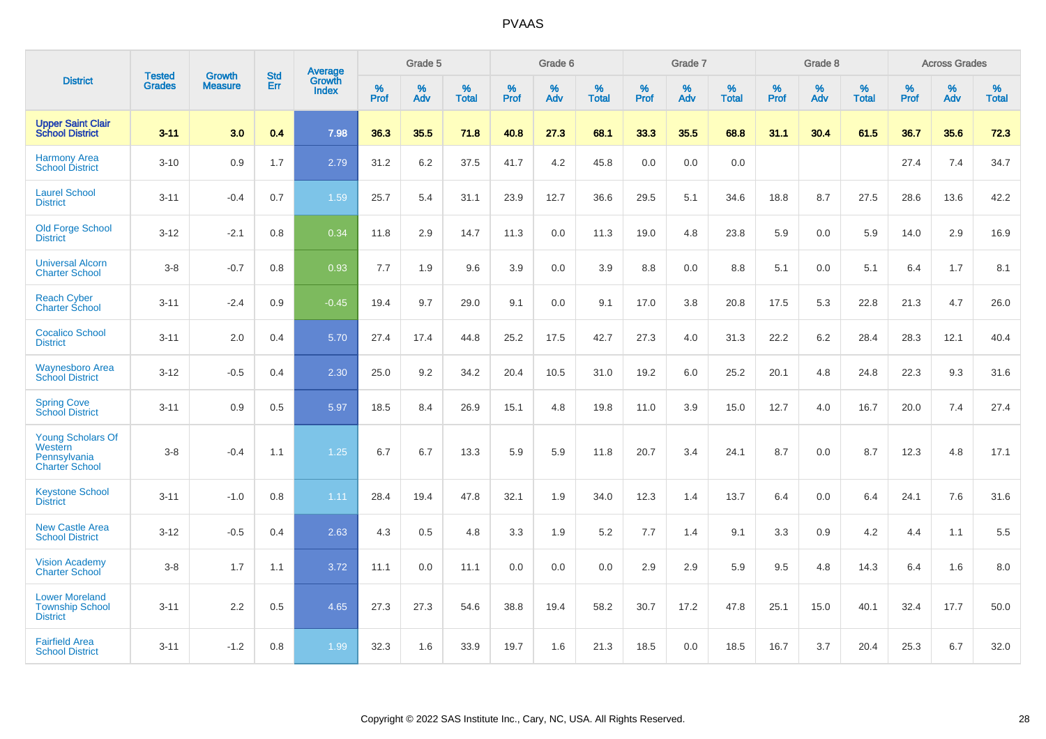|                                                                              |                                |                                 | <b>Std</b> | Average                       |           | Grade 5  |                   |           | Grade 6  |                   |           | Grade 7  |                   |           | Grade 8  |                   |           | <b>Across Grades</b> |                   |
|------------------------------------------------------------------------------|--------------------------------|---------------------------------|------------|-------------------------------|-----------|----------|-------------------|-----------|----------|-------------------|-----------|----------|-------------------|-----------|----------|-------------------|-----------|----------------------|-------------------|
| <b>District</b>                                                              | <b>Tested</b><br><b>Grades</b> | <b>Growth</b><br><b>Measure</b> | Err        | <b>Growth</b><br><b>Index</b> | %<br>Prof | %<br>Adv | %<br><b>Total</b> | %<br>Prof | %<br>Adv | %<br><b>Total</b> | %<br>Prof | %<br>Adv | %<br><b>Total</b> | %<br>Prof | %<br>Adv | %<br><b>Total</b> | %<br>Prof | %<br>Adv             | %<br><b>Total</b> |
| <b>Upper Saint Clair</b><br><b>School District</b>                           | $3 - 11$                       | 3.0                             | 0.4        | 7.98                          | 36.3      | 35.5     | 71.8              | 40.8      | 27.3     | 68.1              | 33.3      | 35.5     | 68.8              | 31.1      | 30.4     | 61.5              | 36.7      | 35.6                 | 72.3              |
| <b>Harmony Area</b><br><b>School District</b>                                | $3 - 10$                       | 0.9                             | 1.7        | 2.79                          | 31.2      | 6.2      | 37.5              | 41.7      | 4.2      | 45.8              | 0.0       | 0.0      | 0.0               |           |          |                   | 27.4      | 7.4                  | 34.7              |
| <b>Laurel School</b><br><b>District</b>                                      | $3 - 11$                       | $-0.4$                          | 0.7        | 1.59                          | 25.7      | 5.4      | 31.1              | 23.9      | 12.7     | 36.6              | 29.5      | 5.1      | 34.6              | 18.8      | 8.7      | 27.5              | 28.6      | 13.6                 | 42.2              |
| <b>Old Forge School</b><br><b>District</b>                                   | $3 - 12$                       | $-2.1$                          | 0.8        | 0.34                          | 11.8      | 2.9      | 14.7              | 11.3      | 0.0      | 11.3              | 19.0      | 4.8      | 23.8              | 5.9       | 0.0      | 5.9               | 14.0      | 2.9                  | 16.9              |
| <b>Universal Alcorn</b><br><b>Charter School</b>                             | $3 - 8$                        | $-0.7$                          | 0.8        | 0.93                          | 7.7       | 1.9      | 9.6               | 3.9       | 0.0      | 3.9               | 8.8       | 0.0      | 8.8               | 5.1       | 0.0      | 5.1               | 6.4       | 1.7                  | 8.1               |
| <b>Reach Cyber</b><br><b>Charter School</b>                                  | $3 - 11$                       | $-2.4$                          | 0.9        | $-0.45$                       | 19.4      | 9.7      | 29.0              | 9.1       | 0.0      | 9.1               | 17.0      | 3.8      | 20.8              | 17.5      | 5.3      | 22.8              | 21.3      | 4.7                  | 26.0              |
| <b>Cocalico School</b><br><b>District</b>                                    | $3 - 11$                       | 2.0                             | 0.4        | 5.70                          | 27.4      | 17.4     | 44.8              | 25.2      | 17.5     | 42.7              | 27.3      | 4.0      | 31.3              | 22.2      | $6.2\,$  | 28.4              | 28.3      | 12.1                 | 40.4              |
| <b>Waynesboro Area</b><br><b>School District</b>                             | $3 - 12$                       | $-0.5$                          | 0.4        | 2.30                          | 25.0      | 9.2      | 34.2              | 20.4      | 10.5     | 31.0              | 19.2      | 6.0      | 25.2              | 20.1      | 4.8      | 24.8              | 22.3      | 9.3                  | 31.6              |
| <b>Spring Cove</b><br><b>School District</b>                                 | $3 - 11$                       | 0.9                             | 0.5        | 5.97                          | 18.5      | 8.4      | 26.9              | 15.1      | 4.8      | 19.8              | 11.0      | 3.9      | 15.0              | 12.7      | 4.0      | 16.7              | 20.0      | 7.4                  | 27.4              |
| <b>Young Scholars Of</b><br>Western<br>Pennsylvania<br><b>Charter School</b> | $3 - 8$                        | $-0.4$                          | 1.1        | 1.25                          | 6.7       | 6.7      | 13.3              | 5.9       | 5.9      | 11.8              | 20.7      | 3.4      | 24.1              | 8.7       | 0.0      | 8.7               | 12.3      | 4.8                  | 17.1              |
| <b>Keystone School</b><br><b>District</b>                                    | $3 - 11$                       | $-1.0$                          | 0.8        | 1.11                          | 28.4      | 19.4     | 47.8              | 32.1      | 1.9      | 34.0              | 12.3      | 1.4      | 13.7              | 6.4       | 0.0      | 6.4               | 24.1      | 7.6                  | 31.6              |
| <b>New Castle Area</b><br><b>School District</b>                             | $3 - 12$                       | $-0.5$                          | 0.4        | 2.63                          | 4.3       | 0.5      | 4.8               | 3.3       | 1.9      | 5.2               | 7.7       | 1.4      | 9.1               | 3.3       | 0.9      | 4.2               | 4.4       | 1.1                  | 5.5               |
| <b>Vision Academy</b><br>Charter School                                      | $3 - 8$                        | 1.7                             | 1.1        | 3.72                          | 11.1      | 0.0      | 11.1              | 0.0       | 0.0      | 0.0               | 2.9       | 2.9      | 5.9               | 9.5       | 4.8      | 14.3              | 6.4       | 1.6                  | 8.0               |
| <b>Lower Moreland</b><br><b>Township School</b><br><b>District</b>           | $3 - 11$                       | 2.2                             | 0.5        | 4.65                          | 27.3      | 27.3     | 54.6              | 38.8      | 19.4     | 58.2              | 30.7      | 17.2     | 47.8              | 25.1      | 15.0     | 40.1              | 32.4      | 17.7                 | 50.0              |
| <b>Fairfield Area</b><br><b>School District</b>                              | $3 - 11$                       | $-1.2$                          | 0.8        | 1.99                          | 32.3      | 1.6      | 33.9              | 19.7      | 1.6      | 21.3              | 18.5      | 0.0      | 18.5              | 16.7      | 3.7      | 20.4              | 25.3      | 6.7                  | 32.0              |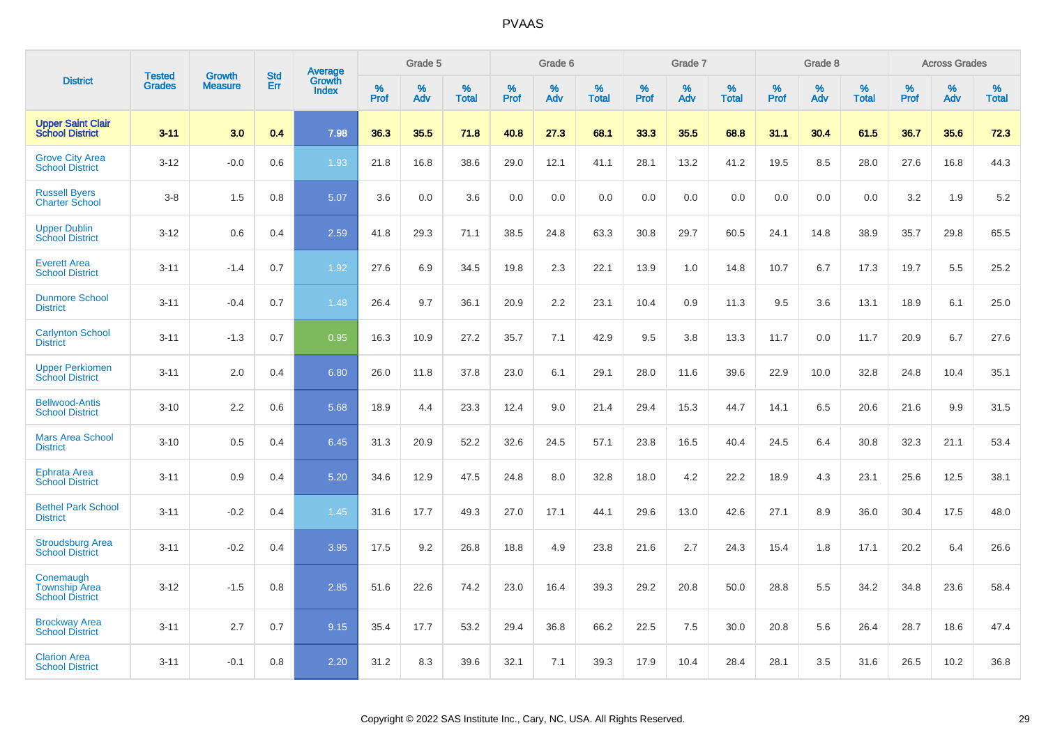|                                                             |                                | <b>Growth</b>  | <b>Std</b> | Average                |              | Grade 5     |                      |                     | Grade 6     |                      |              | Grade 7     |                      |              | Grade 8     |                   |                     | <b>Across Grades</b> |                      |
|-------------------------------------------------------------|--------------------------------|----------------|------------|------------------------|--------------|-------------|----------------------|---------------------|-------------|----------------------|--------------|-------------|----------------------|--------------|-------------|-------------------|---------------------|----------------------|----------------------|
| <b>District</b>                                             | <b>Tested</b><br><b>Grades</b> | <b>Measure</b> | Err        | Growth<br><b>Index</b> | $\%$<br>Prof | $\%$<br>Adv | $\%$<br><b>Total</b> | $\%$<br><b>Prof</b> | $\%$<br>Adv | $\%$<br><b>Total</b> | $\%$<br>Prof | $\%$<br>Adv | $\%$<br><b>Total</b> | $\%$<br>Prof | $\%$<br>Adv | %<br><b>Total</b> | $\%$<br><b>Prof</b> | $\%$<br>Adv          | $\%$<br><b>Total</b> |
| <b>Upper Saint Clair</b><br><b>School District</b>          | $3 - 11$                       | 3.0            | 0.4        | 7.98                   | 36.3         | 35.5        | 71.8                 | 40.8                | 27.3        | 68.1                 | 33.3         | 35.5        | 68.8                 | 31.1         | 30.4        | 61.5              | 36.7                | 35.6                 | 72.3                 |
| <b>Grove City Area</b><br><b>School District</b>            | $3 - 12$                       | $-0.0$         | 0.6        | 1.93                   | 21.8         | 16.8        | 38.6                 | 29.0                | 12.1        | 41.1                 | 28.1         | 13.2        | 41.2                 | 19.5         | 8.5         | 28.0              | 27.6                | 16.8                 | 44.3                 |
| <b>Russell Byers</b><br><b>Charter School</b>               | $3 - 8$                        | 1.5            | 0.8        | 5.07                   | 3.6          | 0.0         | 3.6                  | 0.0                 | 0.0         | 0.0                  | 0.0          | 0.0         | 0.0                  | 0.0          | 0.0         | 0.0               | 3.2                 | 1.9                  | 5.2                  |
| <b>Upper Dublin</b><br><b>School District</b>               | $3 - 12$                       | 0.6            | 0.4        | 2.59                   | 41.8         | 29.3        | 71.1                 | 38.5                | 24.8        | 63.3                 | 30.8         | 29.7        | 60.5                 | 24.1         | 14.8        | 38.9              | 35.7                | 29.8                 | 65.5                 |
| <b>Everett Area</b><br><b>School District</b>               | $3 - 11$                       | $-1.4$         | 0.7        | 1.92                   | 27.6         | 6.9         | 34.5                 | 19.8                | 2.3         | 22.1                 | 13.9         | 1.0         | 14.8                 | 10.7         | 6.7         | 17.3              | 19.7                | 5.5                  | 25.2                 |
| <b>Dunmore School</b><br><b>District</b>                    | $3 - 11$                       | $-0.4$         | 0.7        | 1.48                   | 26.4         | 9.7         | 36.1                 | 20.9                | 2.2         | 23.1                 | 10.4         | 0.9         | 11.3                 | 9.5          | 3.6         | 13.1              | 18.9                | 6.1                  | 25.0                 |
| <b>Carlynton School</b><br><b>District</b>                  | $3 - 11$                       | $-1.3$         | 0.7        | 0.95                   | 16.3         | 10.9        | 27.2                 | 35.7                | 7.1         | 42.9                 | 9.5          | 3.8         | 13.3                 | 11.7         | 0.0         | 11.7              | 20.9                | 6.7                  | 27.6                 |
| <b>Upper Perkiomen</b><br><b>School District</b>            | $3 - 11$                       | 2.0            | 0.4        | 6.80                   | 26.0         | 11.8        | 37.8                 | 23.0                | 6.1         | 29.1                 | 28.0         | 11.6        | 39.6                 | 22.9         | 10.0        | 32.8              | 24.8                | 10.4                 | 35.1                 |
| <b>Bellwood-Antis</b><br><b>School District</b>             | $3 - 10$                       | 2.2            | 0.6        | 5.68                   | 18.9         | 4.4         | 23.3                 | 12.4                | 9.0         | 21.4                 | 29.4         | 15.3        | 44.7                 | 14.1         | 6.5         | 20.6              | 21.6                | 9.9                  | 31.5                 |
| <b>Mars Area School</b><br><b>District</b>                  | $3 - 10$                       | 0.5            | 0.4        | 6.45                   | 31.3         | 20.9        | 52.2                 | 32.6                | 24.5        | 57.1                 | 23.8         | 16.5        | 40.4                 | 24.5         | 6.4         | 30.8              | 32.3                | 21.1                 | 53.4                 |
| Ephrata Area<br><b>School District</b>                      | $3 - 11$                       | 0.9            | 0.4        | 5.20                   | 34.6         | 12.9        | 47.5                 | 24.8                | 8.0         | 32.8                 | 18.0         | 4.2         | 22.2                 | 18.9         | 4.3         | 23.1              | 25.6                | 12.5                 | 38.1                 |
| <b>Bethel Park School</b><br><b>District</b>                | $3 - 11$                       | $-0.2$         | 0.4        | 1.45                   | 31.6         | 17.7        | 49.3                 | 27.0                | 17.1        | 44.1                 | 29.6         | 13.0        | 42.6                 | 27.1         | 8.9         | 36.0              | 30.4                | 17.5                 | 48.0                 |
| <b>Stroudsburg Area</b><br><b>School District</b>           | $3 - 11$                       | $-0.2$         | 0.4        | 3.95                   | 17.5         | 9.2         | 26.8                 | 18.8                | 4.9         | 23.8                 | 21.6         | 2.7         | 24.3                 | 15.4         | 1.8         | 17.1              | 20.2                | 6.4                  | 26.6                 |
| Conemaugh<br><b>Township Area</b><br><b>School District</b> | $3 - 12$                       | $-1.5$         | 0.8        | 2.85                   | 51.6         | 22.6        | 74.2                 | 23.0                | 16.4        | 39.3                 | 29.2         | 20.8        | 50.0                 | 28.8         | 5.5         | 34.2              | 34.8                | 23.6                 | 58.4                 |
| <b>Brockway Area</b><br><b>School District</b>              | $3 - 11$                       | 2.7            | 0.7        | 9.15                   | 35.4         | 17.7        | 53.2                 | 29.4                | 36.8        | 66.2                 | 22.5         | 7.5         | 30.0                 | 20.8         | 5.6         | 26.4              | 28.7                | 18.6                 | 47.4                 |
| <b>Clarion Area</b><br><b>School District</b>               | $3 - 11$                       | $-0.1$         | 0.8        | 2.20                   | 31.2         | 8.3         | 39.6                 | 32.1                | 7.1         | 39.3                 | 17.9         | 10.4        | 28.4                 | 28.1         | 3.5         | 31.6              | 26.5                | 10.2                 | 36.8                 |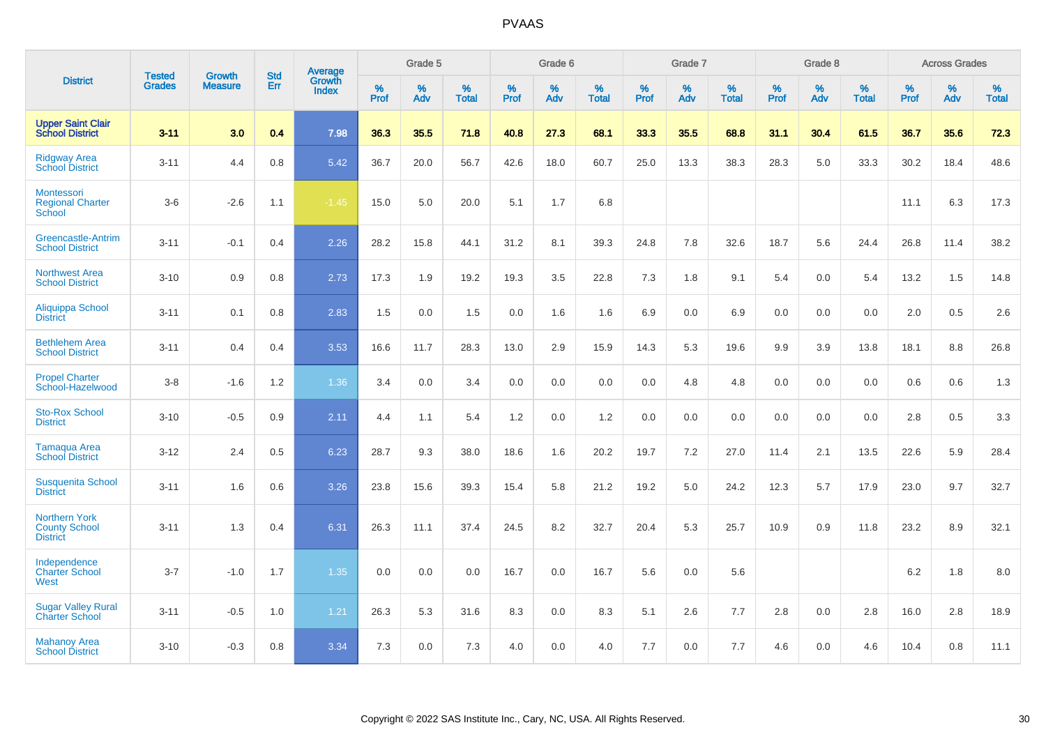|                                                                 | <b>Tested</b> | <b>Growth</b>  | <b>Std</b> | Average                |              | Grade 5  |                   |           | Grade 6  |                   |           | Grade 7  |                   |           | Grade 8  |                   |           | <b>Across Grades</b> |                   |
|-----------------------------------------------------------------|---------------|----------------|------------|------------------------|--------------|----------|-------------------|-----------|----------|-------------------|-----------|----------|-------------------|-----------|----------|-------------------|-----------|----------------------|-------------------|
| <b>District</b>                                                 | <b>Grades</b> | <b>Measure</b> | Err        | Growth<br><b>Index</b> | $\%$<br>Prof | %<br>Adv | %<br><b>Total</b> | %<br>Prof | %<br>Adv | %<br><b>Total</b> | %<br>Prof | %<br>Adv | %<br><b>Total</b> | %<br>Prof | %<br>Adv | %<br><b>Total</b> | %<br>Prof | %<br>Adv             | %<br><b>Total</b> |
| <b>Upper Saint Clair</b><br><b>School District</b>              | $3 - 11$      | 3.0            | 0.4        | 7.98                   | 36.3         | 35.5     | 71.8              | 40.8      | 27.3     | 68.1              | 33.3      | 35.5     | 68.8              | 31.1      | 30.4     | 61.5              | 36.7      | 35.6                 | 72.3              |
| <b>Ridgway Area</b><br><b>School District</b>                   | $3 - 11$      | 4.4            | 0.8        | 5.42                   | 36.7         | 20.0     | 56.7              | 42.6      | 18.0     | 60.7              | 25.0      | 13.3     | 38.3              | 28.3      | 5.0      | 33.3              | 30.2      | 18.4                 | 48.6              |
| Montessori<br><b>Regional Charter</b><br>School                 | $3-6$         | $-2.6$         | 1.1        | $-1.45$                | 15.0         | 5.0      | 20.0              | 5.1       | 1.7      | 6.8               |           |          |                   |           |          |                   | 11.1      | 6.3                  | 17.3              |
| Greencastle-Antrim<br><b>School District</b>                    | $3 - 11$      | $-0.1$         | 0.4        | 2.26                   | 28.2         | 15.8     | 44.1              | 31.2      | 8.1      | 39.3              | 24.8      | 7.8      | 32.6              | 18.7      | 5.6      | 24.4              | 26.8      | 11.4                 | 38.2              |
| <b>Northwest Area</b><br><b>School District</b>                 | $3 - 10$      | 0.9            | 0.8        | 2.73                   | 17.3         | 1.9      | 19.2              | 19.3      | 3.5      | 22.8              | 7.3       | 1.8      | 9.1               | 5.4       | 0.0      | 5.4               | 13.2      | 1.5                  | 14.8              |
| <b>Aliquippa School</b><br><b>District</b>                      | $3 - 11$      | 0.1            | 0.8        | 2.83                   | 1.5          | 0.0      | 1.5               | 0.0       | 1.6      | 1.6               | 6.9       | 0.0      | 6.9               | 0.0       | 0.0      | 0.0               | 2.0       | 0.5                  | 2.6               |
| <b>Bethlehem Area</b><br><b>School District</b>                 | $3 - 11$      | 0.4            | 0.4        | 3.53                   | 16.6         | 11.7     | 28.3              | 13.0      | 2.9      | 15.9              | 14.3      | 5.3      | 19.6              | 9.9       | 3.9      | 13.8              | 18.1      | 8.8                  | 26.8              |
| <b>Propel Charter</b><br>School-Hazelwood                       | $3 - 8$       | $-1.6$         | 1.2        | 1.36                   | 3.4          | 0.0      | 3.4               | 0.0       | 0.0      | 0.0               | 0.0       | 4.8      | 4.8               | 0.0       | 0.0      | 0.0               | 0.6       | 0.6                  | 1.3               |
| <b>Sto-Rox School</b><br><b>District</b>                        | $3 - 10$      | $-0.5$         | 0.9        | 2.11                   | 4.4          | 1.1      | 5.4               | 1.2       | 0.0      | 1.2               | 0.0       | 0.0      | 0.0               | 0.0       | 0.0      | 0.0               | 2.8       | 0.5                  | 3.3               |
| Tamaqua Area<br><b>School District</b>                          | $3 - 12$      | 2.4            | 0.5        | 6.23                   | 28.7         | 9.3      | 38.0              | 18.6      | 1.6      | 20.2              | 19.7      | $7.2\,$  | 27.0              | 11.4      | 2.1      | 13.5              | 22.6      | 5.9                  | 28.4              |
| <b>Susquenita School</b><br><b>District</b>                     | $3 - 11$      | 1.6            | 0.6        | 3.26                   | 23.8         | 15.6     | 39.3              | 15.4      | 5.8      | 21.2              | 19.2      | 5.0      | 24.2              | 12.3      | 5.7      | 17.9              | 23.0      | 9.7                  | 32.7              |
| <b>Northern York</b><br><b>County School</b><br><b>District</b> | $3 - 11$      | 1.3            | 0.4        | 6.31                   | 26.3         | 11.1     | 37.4              | 24.5      | 8.2      | 32.7              | 20.4      | 5.3      | 25.7              | 10.9      | 0.9      | 11.8              | 23.2      | 8.9                  | 32.1              |
| Independence<br><b>Charter School</b><br>West                   | $3 - 7$       | $-1.0$         | 1.7        | 1.35                   | 0.0          | 0.0      | 0.0               | 16.7      | 0.0      | 16.7              | 5.6       | 0.0      | 5.6               |           |          |                   | $6.2\,$   | 1.8                  | $8.0\,$           |
| <b>Sugar Valley Rural</b><br><b>Charter School</b>              | $3 - 11$      | $-0.5$         | 1.0        | 1.21                   | 26.3         | 5.3      | 31.6              | 8.3       | 0.0      | 8.3               | 5.1       | 2.6      | 7.7               | 2.8       | 0.0      | 2.8               | 16.0      | 2.8                  | 18.9              |
| <b>Mahanoy Area</b><br><b>School District</b>                   | $3 - 10$      | $-0.3$         | 0.8        | 3.34                   | 7.3          | 0.0      | 7.3               | 4.0       | 0.0      | 4.0               | 7.7       | 0.0      | 7.7               | 4.6       | 0.0      | 4.6               | 10.4      | 0.8                  | 11.1              |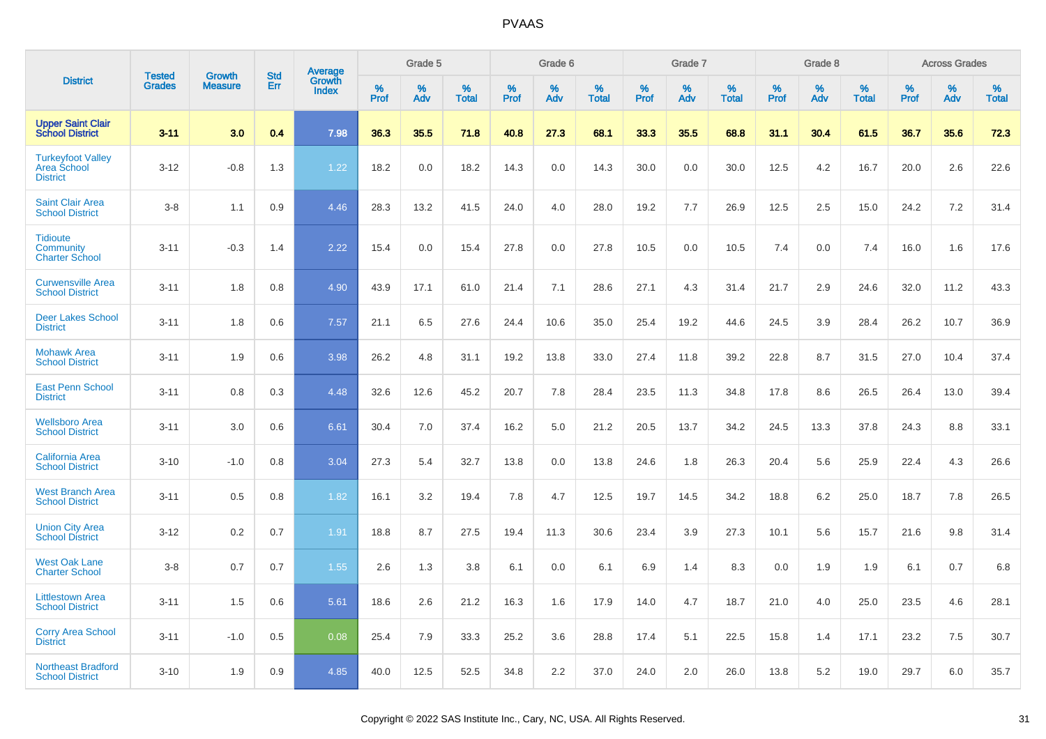|                                                                   |                                |                                 |                   |                                          |              | Grade 5  |                   |              | Grade 6  |                   |              | Grade 7  |                   |              | Grade 8  |                   |              | <b>Across Grades</b> |                   |
|-------------------------------------------------------------------|--------------------------------|---------------------------------|-------------------|------------------------------------------|--------------|----------|-------------------|--------------|----------|-------------------|--------------|----------|-------------------|--------------|----------|-------------------|--------------|----------------------|-------------------|
| <b>District</b>                                                   | <b>Tested</b><br><b>Grades</b> | <b>Growth</b><br><b>Measure</b> | <b>Std</b><br>Err | <b>Average</b><br>Growth<br><b>Index</b> | $\%$<br>Prof | %<br>Adv | %<br><b>Total</b> | $\%$<br>Prof | %<br>Adv | %<br><b>Total</b> | $\%$<br>Prof | %<br>Adv | %<br><b>Total</b> | $\%$<br>Prof | %<br>Adv | %<br><b>Total</b> | $\%$<br>Prof | %<br>Adv             | %<br><b>Total</b> |
| <b>Upper Saint Clair<br/>School District</b>                      | $3 - 11$                       | 3.0                             | 0.4               | 7.98                                     | 36.3         | 35.5     | 71.8              | 40.8         | 27.3     | 68.1              | 33.3         | 35.5     | 68.8              | 31.1         | 30.4     | 61.5              | 36.7         | 35.6                 | 72.3              |
| <b>Turkeyfoot Valley</b><br><b>Area School</b><br><b>District</b> | $3 - 12$                       | $-0.8$                          | 1.3               | 1.22                                     | 18.2         | 0.0      | 18.2              | 14.3         | 0.0      | 14.3              | 30.0         | 0.0      | 30.0              | 12.5         | 4.2      | 16.7              | 20.0         | 2.6                  | 22.6              |
| <b>Saint Clair Area</b><br><b>School District</b>                 | $3 - 8$                        | 1.1                             | 0.9               | 4.46                                     | 28.3         | 13.2     | 41.5              | 24.0         | 4.0      | 28.0              | 19.2         | 7.7      | 26.9              | 12.5         | 2.5      | 15.0              | 24.2         | 7.2                  | 31.4              |
| <b>Tidioute</b><br><b>Community</b><br><b>Charter School</b>      | $3 - 11$                       | $-0.3$                          | 1.4               | 2.22                                     | 15.4         | 0.0      | 15.4              | 27.8         | 0.0      | 27.8              | 10.5         | 0.0      | 10.5              | 7.4          | 0.0      | 7.4               | 16.0         | 1.6                  | 17.6              |
| <b>Curwensville Area</b><br><b>School District</b>                | $3 - 11$                       | 1.8                             | 0.8               | 4.90                                     | 43.9         | 17.1     | 61.0              | 21.4         | 7.1      | 28.6              | 27.1         | 4.3      | 31.4              | 21.7         | 2.9      | 24.6              | 32.0         | 11.2                 | 43.3              |
| <b>Deer Lakes School</b><br><b>District</b>                       | $3 - 11$                       | 1.8                             | 0.6               | 7.57                                     | 21.1         | 6.5      | 27.6              | 24.4         | 10.6     | 35.0              | 25.4         | 19.2     | 44.6              | 24.5         | 3.9      | 28.4              | 26.2         | 10.7                 | 36.9              |
| <b>Mohawk Area</b><br><b>School District</b>                      | $3 - 11$                       | 1.9                             | 0.6               | 3.98                                     | 26.2         | 4.8      | 31.1              | 19.2         | 13.8     | 33.0              | 27.4         | 11.8     | 39.2              | 22.8         | 8.7      | 31.5              | 27.0         | 10.4                 | 37.4              |
| <b>East Penn School</b><br><b>District</b>                        | $3 - 11$                       | 0.8                             | 0.3               | 4.48                                     | 32.6         | 12.6     | 45.2              | 20.7         | 7.8      | 28.4              | 23.5         | 11.3     | 34.8              | 17.8         | 8.6      | 26.5              | 26.4         | 13.0                 | 39.4              |
| <b>Wellsboro Area</b><br><b>School District</b>                   | $3 - 11$                       | 3.0                             | 0.6               | 6.61                                     | 30.4         | 7.0      | 37.4              | 16.2         | 5.0      | 21.2              | 20.5         | 13.7     | 34.2              | 24.5         | 13.3     | 37.8              | 24.3         | 8.8                  | 33.1              |
| <b>California Area</b><br><b>School District</b>                  | $3 - 10$                       | $-1.0$                          | 0.8               | 3.04                                     | 27.3         | 5.4      | 32.7              | 13.8         | 0.0      | 13.8              | 24.6         | 1.8      | 26.3              | 20.4         | 5.6      | 25.9              | 22.4         | 4.3                  | 26.6              |
| <b>West Branch Area</b><br><b>School District</b>                 | $3 - 11$                       | 0.5                             | 0.8               | 1.82                                     | 16.1         | 3.2      | 19.4              | 7.8          | 4.7      | 12.5              | 19.7         | 14.5     | 34.2              | 18.8         | 6.2      | 25.0              | 18.7         | 7.8                  | 26.5              |
| <b>Union City Area</b><br><b>School District</b>                  | $3 - 12$                       | 0.2                             | 0.7               | 1.91                                     | 18.8         | 8.7      | 27.5              | 19.4         | 11.3     | 30.6              | 23.4         | 3.9      | 27.3              | 10.1         | 5.6      | 15.7              | 21.6         | 9.8                  | 31.4              |
| <b>West Oak Lane</b><br><b>Charter School</b>                     | $3 - 8$                        | 0.7                             | 0.7               | 1.55                                     | 2.6          | 1.3      | 3.8               | 6.1          | 0.0      | 6.1               | 6.9          | 1.4      | 8.3               | 0.0          | 1.9      | 1.9               | 6.1          | 0.7                  | 6.8               |
| <b>Littlestown Area</b><br><b>School District</b>                 | $3 - 11$                       | 1.5                             | 0.6               | 5.61                                     | 18.6         | 2.6      | 21.2              | 16.3         | 1.6      | 17.9              | 14.0         | 4.7      | 18.7              | 21.0         | 4.0      | 25.0              | 23.5         | 4.6                  | 28.1              |
| <b>Corry Area School</b><br><b>District</b>                       | $3 - 11$                       | $-1.0$                          | 0.5               | 0.08                                     | 25.4         | 7.9      | 33.3              | 25.2         | 3.6      | 28.8              | 17.4         | 5.1      | 22.5              | 15.8         | 1.4      | 17.1              | 23.2         | 7.5                  | 30.7              |
| <b>Northeast Bradford</b><br><b>School District</b>               | $3 - 10$                       | 1.9                             | 0.9               | 4.85                                     | 40.0         | 12.5     | 52.5              | 34.8         | 2.2      | 37.0              | 24.0         | 2.0      | 26.0              | 13.8         | 5.2      | 19.0              | 29.7         | 6.0                  | 35.7              |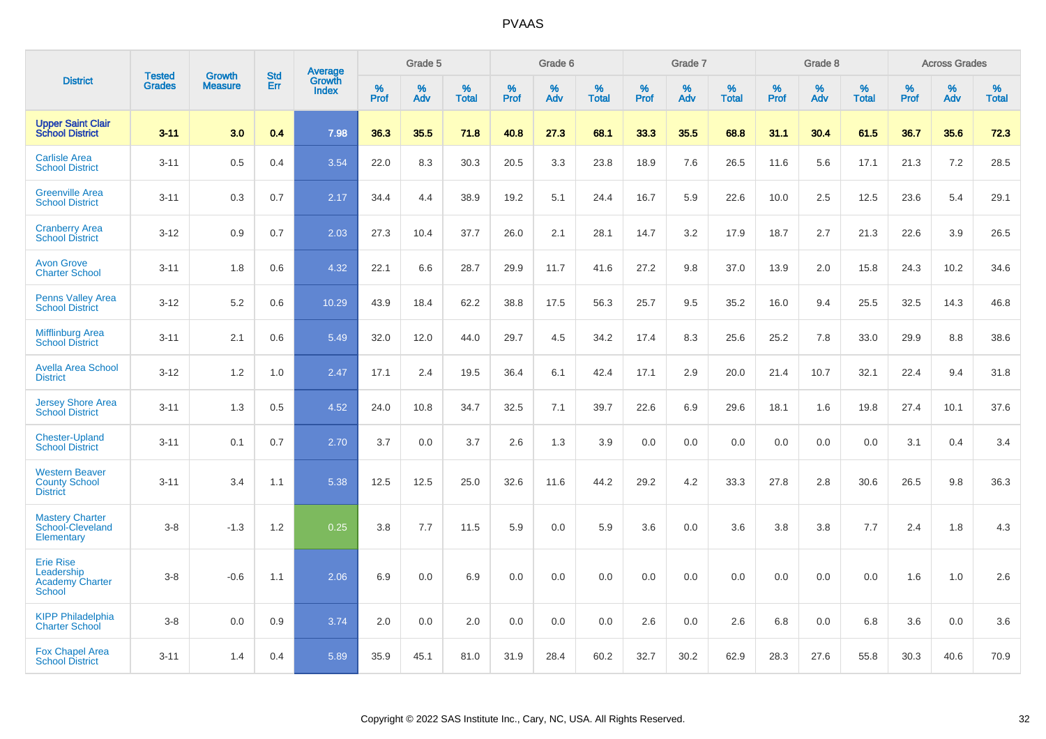|                                                                           | <b>Tested</b> | <b>Growth</b>  | <b>Std</b> | Average                |              | Grade 5  |                   |           | Grade 6  |                   |              | Grade 7  |                   |              | Grade 8  |                   |              | <b>Across Grades</b> |                   |
|---------------------------------------------------------------------------|---------------|----------------|------------|------------------------|--------------|----------|-------------------|-----------|----------|-------------------|--------------|----------|-------------------|--------------|----------|-------------------|--------------|----------------------|-------------------|
| <b>District</b>                                                           | <b>Grades</b> | <b>Measure</b> | Err        | Growth<br><b>Index</b> | $\%$<br>Prof | %<br>Adv | %<br><b>Total</b> | %<br>Prof | %<br>Adv | %<br><b>Total</b> | $\%$<br>Prof | %<br>Adv | %<br><b>Total</b> | $\%$<br>Prof | %<br>Adv | %<br><b>Total</b> | $\%$<br>Prof | $\%$<br>Adv          | %<br><b>Total</b> |
| <b>Upper Saint Clair</b><br><b>School District</b>                        | $3 - 11$      | 3.0            | 0.4        | 7.98                   | 36.3         | 35.5     | 71.8              | 40.8      | 27.3     | 68.1              | 33.3         | 35.5     | 68.8              | 31.1         | 30.4     | 61.5              | 36.7         | 35.6                 | 72.3              |
| <b>Carlisle Area</b><br><b>School District</b>                            | $3 - 11$      | 0.5            | 0.4        | 3.54                   | 22.0         | 8.3      | 30.3              | 20.5      | 3.3      | 23.8              | 18.9         | 7.6      | 26.5              | 11.6         | 5.6      | 17.1              | 21.3         | 7.2                  | 28.5              |
| <b>Greenville Area</b><br><b>School District</b>                          | $3 - 11$      | 0.3            | 0.7        | 2.17                   | 34.4         | 4.4      | 38.9              | 19.2      | 5.1      | 24.4              | 16.7         | 5.9      | 22.6              | 10.0         | 2.5      | 12.5              | 23.6         | 5.4                  | 29.1              |
| <b>Cranberry Area</b><br><b>School District</b>                           | $3 - 12$      | 0.9            | 0.7        | 2.03                   | 27.3         | 10.4     | 37.7              | 26.0      | 2.1      | 28.1              | 14.7         | 3.2      | 17.9              | 18.7         | 2.7      | 21.3              | 22.6         | 3.9                  | 26.5              |
| <b>Avon Grove</b><br><b>Charter School</b>                                | $3 - 11$      | 1.8            | 0.6        | 4.32                   | 22.1         | 6.6      | 28.7              | 29.9      | 11.7     | 41.6              | 27.2         | 9.8      | 37.0              | 13.9         | 2.0      | 15.8              | 24.3         | 10.2                 | 34.6              |
| <b>Penns Valley Area</b><br><b>School District</b>                        | $3 - 12$      | 5.2            | 0.6        | 10.29                  | 43.9         | 18.4     | 62.2              | 38.8      | 17.5     | 56.3              | 25.7         | 9.5      | 35.2              | 16.0         | 9.4      | 25.5              | 32.5         | 14.3                 | 46.8              |
| <b>Mifflinburg Area</b><br><b>School District</b>                         | $3 - 11$      | 2.1            | 0.6        | 5.49                   | 32.0         | 12.0     | 44.0              | 29.7      | 4.5      | 34.2              | 17.4         | 8.3      | 25.6              | 25.2         | 7.8      | 33.0              | 29.9         | 8.8                  | 38.6              |
| <b>Avella Area School</b><br><b>District</b>                              | $3 - 12$      | 1.2            | 1.0        | 2.47                   | 17.1         | 2.4      | 19.5              | 36.4      | 6.1      | 42.4              | 17.1         | 2.9      | 20.0              | 21.4         | 10.7     | 32.1              | 22.4         | 9.4                  | 31.8              |
| <b>Jersey Shore Area</b><br><b>School District</b>                        | $3 - 11$      | 1.3            | 0.5        | 4.52                   | 24.0         | 10.8     | 34.7              | 32.5      | 7.1      | 39.7              | 22.6         | 6.9      | 29.6              | 18.1         | 1.6      | 19.8              | 27.4         | 10.1                 | 37.6              |
| <b>Chester-Upland</b><br><b>School District</b>                           | $3 - 11$      | 0.1            | 0.7        | 2.70                   | 3.7          | 0.0      | 3.7               | 2.6       | 1.3      | 3.9               | 0.0          | 0.0      | 0.0               | 0.0          | 0.0      | 0.0               | 3.1          | 0.4                  | 3.4               |
| <b>Western Beaver</b><br><b>County School</b><br><b>District</b>          | $3 - 11$      | 3.4            | 1.1        | 5.38                   | 12.5         | 12.5     | 25.0              | 32.6      | 11.6     | 44.2              | 29.2         | 4.2      | 33.3              | 27.8         | 2.8      | 30.6              | 26.5         | 9.8                  | 36.3              |
| <b>Mastery Charter</b><br>School-Cleveland<br>Elementary                  | $3 - 8$       | $-1.3$         | 1.2        | 0.25                   | 3.8          | 7.7      | 11.5              | 5.9       | 0.0      | 5.9               | 3.6          | 0.0      | 3.6               | 3.8          | 3.8      | 7.7               | 2.4          | 1.8                  | 4.3               |
| <b>Erie Rise</b><br>Leadership<br><b>Academy Charter</b><br><b>School</b> | $3 - 8$       | $-0.6$         | 1.1        | 2.06                   | 6.9          | 0.0      | 6.9               | 0.0       | 0.0      | 0.0               | 0.0          | 0.0      | 0.0               | 0.0          | 0.0      | 0.0               | 1.6          | 1.0                  | 2.6               |
| <b>KIPP Philadelphia</b><br><b>Charter School</b>                         | $3 - 8$       | 0.0            | 0.9        | 3.74                   | 2.0          | 0.0      | 2.0               | 0.0       | 0.0      | 0.0               | 2.6          | 0.0      | 2.6               | 6.8          | 0.0      | 6.8               | 3.6          | 0.0                  | 3.6               |
| <b>Fox Chapel Area</b><br><b>School District</b>                          | $3 - 11$      | 1.4            | 0.4        | 5.89                   | 35.9         | 45.1     | 81.0              | 31.9      | 28.4     | 60.2              | 32.7         | 30.2     | 62.9              | 28.3         | 27.6     | 55.8              | 30.3         | 40.6                 | 70.9              |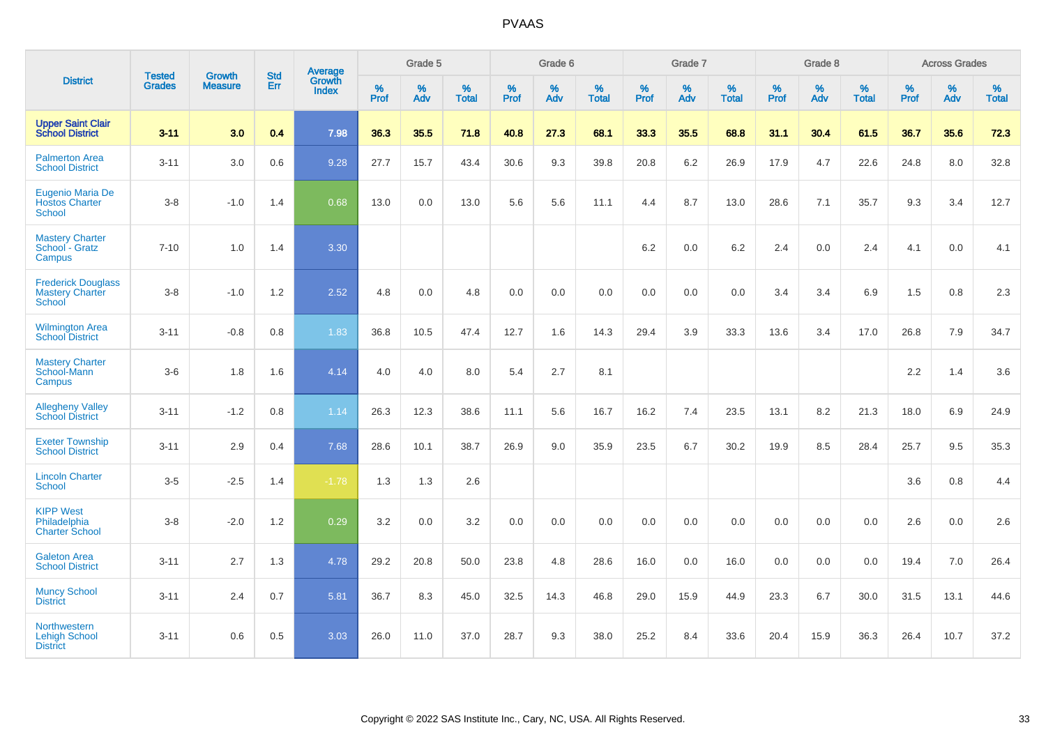|                                                               | <b>Tested</b> | <b>Growth</b>  | <b>Std</b> | Average                |              | Grade 5  |                   |              | Grade 6  |                   |              | Grade 7  |                   |              | Grade 8  |                   |              | <b>Across Grades</b> |                   |
|---------------------------------------------------------------|---------------|----------------|------------|------------------------|--------------|----------|-------------------|--------------|----------|-------------------|--------------|----------|-------------------|--------------|----------|-------------------|--------------|----------------------|-------------------|
| <b>District</b>                                               | <b>Grades</b> | <b>Measure</b> | Err        | Growth<br><b>Index</b> | $\%$<br>Prof | %<br>Adv | %<br><b>Total</b> | $\%$<br>Prof | %<br>Adv | %<br><b>Total</b> | $\%$<br>Prof | %<br>Adv | %<br><b>Total</b> | $\%$<br>Prof | %<br>Adv | %<br><b>Total</b> | $\%$<br>Prof | %<br>Adv             | %<br><b>Total</b> |
| <b>Upper Saint Clair</b><br><b>School District</b>            | $3 - 11$      | 3.0            | 0.4        | 7.98                   | 36.3         | 35.5     | 71.8              | 40.8         | 27.3     | 68.1              | 33.3         | 35.5     | 68.8              | 31.1         | 30.4     | 61.5              | 36.7         | 35.6                 | 72.3              |
| <b>Palmerton Area</b><br><b>School District</b>               | $3 - 11$      | 3.0            | 0.6        | 9.28                   | 27.7         | 15.7     | 43.4              | 30.6         | 9.3      | 39.8              | 20.8         | 6.2      | 26.9              | 17.9         | 4.7      | 22.6              | 24.8         | 8.0                  | 32.8              |
| Eugenio Maria De<br><b>Hostos Charter</b><br><b>School</b>    | $3 - 8$       | $-1.0$         | 1.4        | 0.68                   | 13.0         | 0.0      | 13.0              | 5.6          | 5.6      | 11.1              | 4.4          | 8.7      | 13.0              | 28.6         | 7.1      | 35.7              | 9.3          | 3.4                  | 12.7              |
| <b>Mastery Charter</b><br>School - Gratz<br>Campus            | $7 - 10$      | 1.0            | 1.4        | 3.30                   |              |          |                   |              |          |                   | 6.2          | 0.0      | 6.2               | 2.4          | 0.0      | 2.4               | 4.1          | 0.0                  | 4.1               |
| <b>Frederick Douglass</b><br><b>Mastery Charter</b><br>School | $3 - 8$       | $-1.0$         | 1.2        | 2.52                   | 4.8          | 0.0      | 4.8               | 0.0          | 0.0      | 0.0               | 0.0          | 0.0      | 0.0               | 3.4          | 3.4      | 6.9               | 1.5          | 0.8                  | 2.3               |
| <b>Wilmington Area</b><br><b>School District</b>              | $3 - 11$      | $-0.8$         | 0.8        | 1.83                   | 36.8         | 10.5     | 47.4              | 12.7         | 1.6      | 14.3              | 29.4         | 3.9      | 33.3              | 13.6         | 3.4      | 17.0              | 26.8         | 7.9                  | 34.7              |
| <b>Mastery Charter</b><br>School-Mann<br>Campus               | $3-6$         | 1.8            | 1.6        | 4.14                   | 4.0          | 4.0      | 8.0               | 5.4          | 2.7      | 8.1               |              |          |                   |              |          |                   | 2.2          | 1.4                  | 3.6               |
| <b>Allegheny Valley</b><br><b>School District</b>             | $3 - 11$      | $-1.2$         | 0.8        | 1.14                   | 26.3         | 12.3     | 38.6              | 11.1         | 5.6      | 16.7              | 16.2         | 7.4      | 23.5              | 13.1         | 8.2      | 21.3              | 18.0         | 6.9                  | 24.9              |
| <b>Exeter Township</b><br><b>School District</b>              | $3 - 11$      | 2.9            | 0.4        | 7.68                   | 28.6         | 10.1     | 38.7              | 26.9         | 9.0      | 35.9              | 23.5         | 6.7      | 30.2              | 19.9         | 8.5      | 28.4              | 25.7         | 9.5                  | 35.3              |
| <b>Lincoln Charter</b><br><b>School</b>                       | $3-5$         | $-2.5$         | 1.4        | $-1.78$                | 1.3          | 1.3      | 2.6               |              |          |                   |              |          |                   |              |          |                   | 3.6          | 0.8                  | 4.4               |
| <b>KIPP West</b><br>Philadelphia<br><b>Charter School</b>     | $3 - 8$       | $-2.0$         | $1.2\,$    | 0.29                   | 3.2          | $0.0\,$  | 3.2               | $0.0\,$      | 0.0      | 0.0               | $0.0\,$      | 0.0      | 0.0               | 0.0          | 0.0      | 0.0               | 2.6          | $0.0\,$              | 2.6               |
| <b>Galeton Area</b><br><b>School District</b>                 | $3 - 11$      | 2.7            | 1.3        | 4.78                   | 29.2         | 20.8     | 50.0              | 23.8         | 4.8      | 28.6              | 16.0         | 0.0      | 16.0              | 0.0          | 0.0      | 0.0               | 19.4         | 7.0                  | 26.4              |
| <b>Muncy School</b><br><b>District</b>                        | $3 - 11$      | 2.4            | 0.7        | 5.81                   | 36.7         | 8.3      | 45.0              | 32.5         | 14.3     | 46.8              | 29.0         | 15.9     | 44.9              | 23.3         | 6.7      | 30.0              | 31.5         | 13.1                 | 44.6              |
| Northwestern<br><b>Lehigh School</b><br><b>District</b>       | $3 - 11$      | 0.6            | 0.5        | 3.03                   | 26.0         | 11.0     | 37.0              | 28.7         | 9.3      | 38.0              | 25.2         | 8.4      | 33.6              | 20.4         | 15.9     | 36.3              | 26.4         | 10.7                 | 37.2              |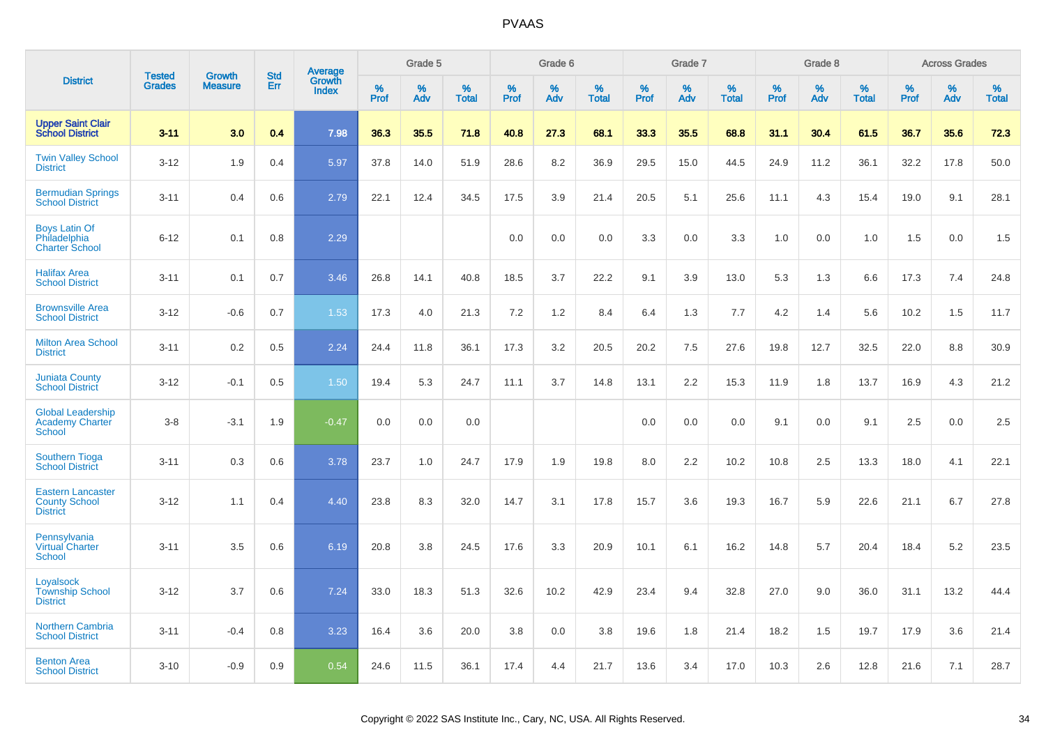|                                                                     | <b>Tested</b> | <b>Growth</b>  | <b>Std</b> |                                   |              | Grade 5  |                   |           | Grade 6  |                   |           | Grade 7  |                   |           | Grade 8  |                   |              | <b>Across Grades</b> |                   |
|---------------------------------------------------------------------|---------------|----------------|------------|-----------------------------------|--------------|----------|-------------------|-----------|----------|-------------------|-----------|----------|-------------------|-----------|----------|-------------------|--------------|----------------------|-------------------|
| <b>District</b>                                                     | <b>Grades</b> | <b>Measure</b> | <b>Err</b> | Average<br>Growth<br><b>Index</b> | $\%$<br>Prof | %<br>Adv | %<br><b>Total</b> | %<br>Prof | %<br>Adv | %<br><b>Total</b> | %<br>Prof | %<br>Adv | %<br><b>Total</b> | %<br>Prof | %<br>Adv | %<br><b>Total</b> | $\%$<br>Prof | %<br>Adv             | %<br><b>Total</b> |
| <b>Upper Saint Clair</b><br><b>School District</b>                  | $3 - 11$      | 3.0            | 0.4        | 7.98                              | 36.3         | 35.5     | 71.8              | 40.8      | 27.3     | 68.1              | 33.3      | 35.5     | 68.8              | 31.1      | 30.4     | 61.5              | 36.7         | 35.6                 | 72.3              |
| <b>Twin Valley School</b><br><b>District</b>                        | $3 - 12$      | 1.9            | 0.4        | 5.97                              | 37.8         | 14.0     | 51.9              | 28.6      | 8.2      | 36.9              | 29.5      | 15.0     | 44.5              | 24.9      | 11.2     | 36.1              | 32.2         | 17.8                 | 50.0              |
| <b>Bermudian Springs</b><br><b>School District</b>                  | $3 - 11$      | 0.4            | 0.6        | 2.79                              | 22.1         | 12.4     | 34.5              | 17.5      | 3.9      | 21.4              | 20.5      | 5.1      | 25.6              | 11.1      | 4.3      | 15.4              | 19.0         | 9.1                  | 28.1              |
| <b>Boys Latin Of</b><br>Philadelphia<br><b>Charter School</b>       | $6 - 12$      | 0.1            | 0.8        | 2.29                              |              |          |                   | 0.0       | 0.0      | 0.0               | 3.3       | 0.0      | 3.3               | 1.0       | 0.0      | 1.0               | 1.5          | 0.0                  | 1.5               |
| <b>Halifax Area</b><br><b>School District</b>                       | $3 - 11$      | 0.1            | 0.7        | 3.46                              | 26.8         | 14.1     | 40.8              | 18.5      | 3.7      | 22.2              | 9.1       | 3.9      | 13.0              | 5.3       | 1.3      | 6.6               | 17.3         | 7.4                  | 24.8              |
| <b>Brownsville Area</b><br><b>School District</b>                   | $3 - 12$      | $-0.6$         | 0.7        | 1.53                              | 17.3         | 4.0      | 21.3              | 7.2       | 1.2      | 8.4               | 6.4       | 1.3      | 7.7               | 4.2       | 1.4      | 5.6               | 10.2         | 1.5                  | 11.7              |
| <b>Milton Area School</b><br><b>District</b>                        | $3 - 11$      | 0.2            | 0.5        | 2.24                              | 24.4         | 11.8     | 36.1              | 17.3      | 3.2      | 20.5              | 20.2      | 7.5      | 27.6              | 19.8      | 12.7     | 32.5              | 22.0         | 8.8                  | 30.9              |
| <b>Juniata County</b><br><b>School District</b>                     | $3 - 12$      | $-0.1$         | 0.5        | 1.50                              | 19.4         | 5.3      | 24.7              | 11.1      | 3.7      | 14.8              | 13.1      | 2.2      | 15.3              | 11.9      | 1.8      | 13.7              | 16.9         | 4.3                  | 21.2              |
| <b>Global Leadership</b><br>Academy Charter<br>School               | $3 - 8$       | $-3.1$         | 1.9        | $-0.47$                           | 0.0          | 0.0      | 0.0               |           |          |                   | 0.0       | 0.0      | 0.0               | 9.1       | 0.0      | 9.1               | 2.5          | 0.0                  | 2.5               |
| <b>Southern Tioga</b><br><b>School District</b>                     | $3 - 11$      | 0.3            | 0.6        | 3.78                              | 23.7         | 1.0      | 24.7              | 17.9      | 1.9      | 19.8              | 8.0       | 2.2      | 10.2              | 10.8      | 2.5      | 13.3              | 18.0         | 4.1                  | 22.1              |
| <b>Eastern Lancaster</b><br><b>County School</b><br><b>District</b> | $3 - 12$      | 1.1            | 0.4        | 4.40                              | 23.8         | 8.3      | 32.0              | 14.7      | 3.1      | 17.8              | 15.7      | 3.6      | 19.3              | 16.7      | 5.9      | 22.6              | 21.1         | 6.7                  | 27.8              |
| Pennsylvania<br><b>Virtual Charter</b><br><b>School</b>             | $3 - 11$      | 3.5            | 0.6        | 6.19                              | 20.8         | 3.8      | 24.5              | 17.6      | 3.3      | 20.9              | 10.1      | 6.1      | 16.2              | 14.8      | 5.7      | 20.4              | 18.4         | 5.2                  | 23.5              |
| Loyalsock<br><b>Township School</b><br><b>District</b>              | $3 - 12$      | 3.7            | 0.6        | 7.24                              | 33.0         | 18.3     | 51.3              | 32.6      | 10.2     | 42.9              | 23.4      | 9.4      | 32.8              | 27.0      | 9.0      | 36.0              | 31.1         | 13.2                 | 44.4              |
| <b>Northern Cambria</b><br><b>School District</b>                   | $3 - 11$      | $-0.4$         | 0.8        | 3.23                              | 16.4         | 3.6      | 20.0              | 3.8       | 0.0      | 3.8               | 19.6      | 1.8      | 21.4              | 18.2      | 1.5      | 19.7              | 17.9         | 3.6                  | 21.4              |
| <b>Benton Area</b><br><b>School District</b>                        | $3 - 10$      | $-0.9$         | 0.9        | 0.54                              | 24.6         | 11.5     | 36.1              | 17.4      | 4.4      | 21.7              | 13.6      | 3.4      | 17.0              | 10.3      | 2.6      | 12.8              | 21.6         | 7.1                  | 28.7              |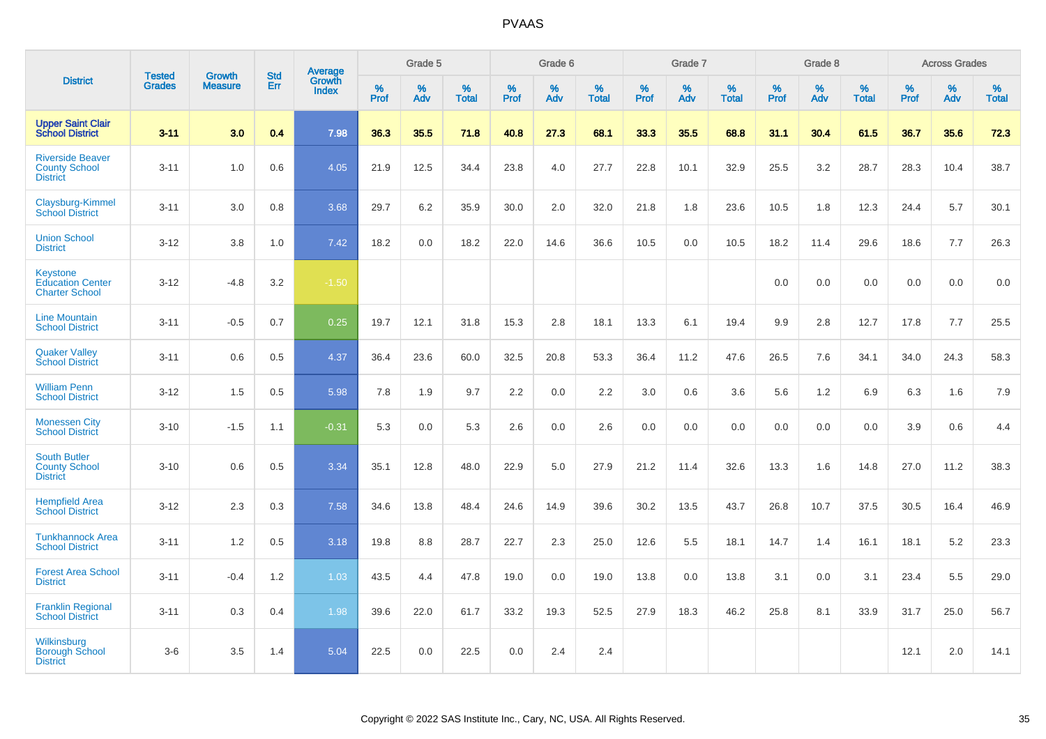|                                                                    |                                |                                 | <b>Std</b> | <b>Average</b>                |           | Grade 5  |                   |                  | Grade 6  |                   |                  | Grade 7  |                   |                  | Grade 8  |                   |                  | <b>Across Grades</b> |                   |
|--------------------------------------------------------------------|--------------------------------|---------------------------------|------------|-------------------------------|-----------|----------|-------------------|------------------|----------|-------------------|------------------|----------|-------------------|------------------|----------|-------------------|------------------|----------------------|-------------------|
| <b>District</b>                                                    | <b>Tested</b><br><b>Grades</b> | <b>Growth</b><br><b>Measure</b> | Err        | <b>Growth</b><br><b>Index</b> | %<br>Prof | %<br>Adv | %<br><b>Total</b> | %<br><b>Prof</b> | %<br>Adv | %<br><b>Total</b> | %<br><b>Prof</b> | %<br>Adv | %<br><b>Total</b> | %<br><b>Prof</b> | %<br>Adv | %<br><b>Total</b> | %<br><b>Prof</b> | %<br>Adv             | %<br><b>Total</b> |
| <b>Upper Saint Clair</b><br><b>School District</b>                 | $3 - 11$                       | 3.0                             | 0.4        | 7.98                          | 36.3      | 35.5     | 71.8              | 40.8             | 27.3     | 68.1              | 33.3             | 35.5     | 68.8              | 31.1             | 30.4     | 61.5              | 36.7             | 35.6                 | 72.3              |
| <b>Riverside Beaver</b><br><b>County School</b><br><b>District</b> | $3 - 11$                       | 1.0                             | 0.6        | 4.05                          | 21.9      | 12.5     | 34.4              | 23.8             | 4.0      | 27.7              | 22.8             | 10.1     | 32.9              | 25.5             | 3.2      | 28.7              | 28.3             | 10.4                 | 38.7              |
| Claysburg-Kimmel<br><b>School District</b>                         | $3 - 11$                       | 3.0                             | 0.8        | 3.68                          | 29.7      | 6.2      | 35.9              | 30.0             | 2.0      | 32.0              | 21.8             | 1.8      | 23.6              | 10.5             | 1.8      | 12.3              | 24.4             | 5.7                  | 30.1              |
| <b>Union School</b><br><b>District</b>                             | $3 - 12$                       | 3.8                             | 1.0        | 7.42                          | 18.2      | 0.0      | 18.2              | 22.0             | 14.6     | 36.6              | 10.5             | 0.0      | 10.5              | 18.2             | 11.4     | 29.6              | 18.6             | 7.7                  | 26.3              |
| Keystone<br><b>Education Center</b><br><b>Charter School</b>       | $3 - 12$                       | $-4.8$                          | 3.2        | $-1.50$                       |           |          |                   |                  |          |                   |                  |          |                   | 0.0              | 0.0      | 0.0               | 0.0              | 0.0                  | 0.0               |
| <b>Line Mountain</b><br><b>School District</b>                     | $3 - 11$                       | $-0.5$                          | 0.7        | 0.25                          | 19.7      | 12.1     | 31.8              | 15.3             | 2.8      | 18.1              | 13.3             | 6.1      | 19.4              | 9.9              | 2.8      | 12.7              | 17.8             | 7.7                  | 25.5              |
| <b>Quaker Valley</b><br><b>School District</b>                     | $3 - 11$                       | 0.6                             | 0.5        | 4.37                          | 36.4      | 23.6     | 60.0              | 32.5             | 20.8     | 53.3              | 36.4             | 11.2     | 47.6              | 26.5             | 7.6      | 34.1              | 34.0             | 24.3                 | 58.3              |
| <b>William Penn</b><br><b>School District</b>                      | $3 - 12$                       | 1.5                             | 0.5        | 5.98                          | 7.8       | 1.9      | 9.7               | 2.2              | 0.0      | 2.2               | 3.0              | 0.6      | 3.6               | 5.6              | 1.2      | 6.9               | 6.3              | 1.6                  | 7.9               |
| <b>Monessen City</b><br><b>School District</b>                     | $3 - 10$                       | $-1.5$                          | 1.1        | $-0.31$                       | 5.3       | 0.0      | 5.3               | 2.6              | 0.0      | 2.6               | 0.0              | 0.0      | 0.0               | 0.0              | 0.0      | 0.0               | 3.9              | 0.6                  | 4.4               |
| <b>South Butler</b><br><b>County School</b><br><b>District</b>     | $3 - 10$                       | 0.6                             | 0.5        | 3.34                          | 35.1      | 12.8     | 48.0              | 22.9             | 5.0      | 27.9              | 21.2             | 11.4     | 32.6              | 13.3             | 1.6      | 14.8              | 27.0             | 11.2                 | 38.3              |
| <b>Hempfield Area</b><br><b>School District</b>                    | $3 - 12$                       | 2.3                             | 0.3        | 7.58                          | 34.6      | 13.8     | 48.4              | 24.6             | 14.9     | 39.6              | 30.2             | 13.5     | 43.7              | 26.8             | 10.7     | 37.5              | 30.5             | 16.4                 | 46.9              |
| <b>Tunkhannock Area</b><br><b>School District</b>                  | $3 - 11$                       | 1.2                             | 0.5        | 3.18                          | 19.8      | 8.8      | 28.7              | 22.7             | 2.3      | 25.0              | 12.6             | 5.5      | 18.1              | 14.7             | 1.4      | 16.1              | 18.1             | 5.2                  | 23.3              |
| <b>Forest Area School</b><br><b>District</b>                       | $3 - 11$                       | $-0.4$                          | 1.2        | 1.03                          | 43.5      | 4.4      | 47.8              | 19.0             | 0.0      | 19.0              | 13.8             | 0.0      | 13.8              | 3.1              | 0.0      | 3.1               | 23.4             | 5.5                  | 29.0              |
| <b>Franklin Regional</b><br><b>School District</b>                 | $3 - 11$                       | 0.3                             | 0.4        | 1.98                          | 39.6      | 22.0     | 61.7              | 33.2             | 19.3     | 52.5              | 27.9             | 18.3     | 46.2              | 25.8             | 8.1      | 33.9              | 31.7             | 25.0                 | 56.7              |
| Wilkinsburg<br><b>Borough School</b><br><b>District</b>            | $3-6$                          | 3.5                             | 1.4        | 5.04                          | 22.5      | 0.0      | 22.5              | 0.0              | 2.4      | 2.4               |                  |          |                   |                  |          |                   | 12.1             | 2.0                  | 14.1              |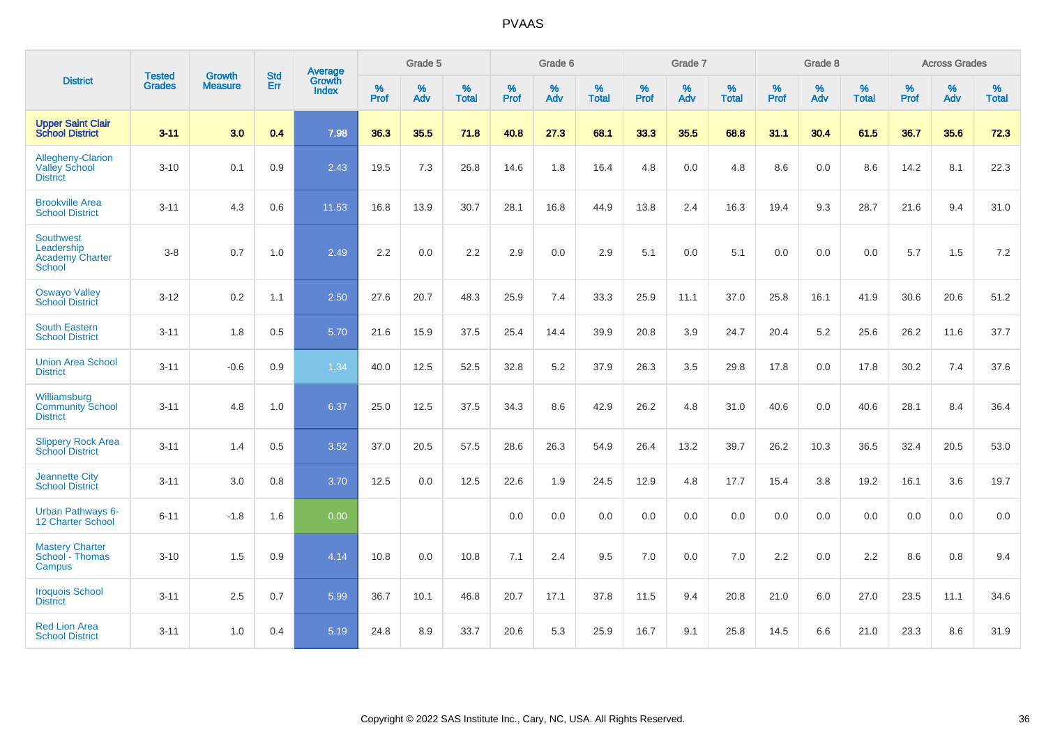|                                                                    | <b>Tested</b> | <b>Growth</b>  | <b>Std</b> | Average                |           | Grade 5  |                      |              | Grade 6  |                      |              | Grade 7  |                      |              | Grade 8  |                      |              | <b>Across Grades</b> |                   |
|--------------------------------------------------------------------|---------------|----------------|------------|------------------------|-----------|----------|----------------------|--------------|----------|----------------------|--------------|----------|----------------------|--------------|----------|----------------------|--------------|----------------------|-------------------|
| <b>District</b>                                                    | <b>Grades</b> | <b>Measure</b> | <b>Err</b> | Growth<br><b>Index</b> | %<br>Prof | %<br>Adv | $\%$<br><b>Total</b> | $\%$<br>Prof | %<br>Adv | $\%$<br><b>Total</b> | $\%$<br>Prof | %<br>Adv | $\%$<br><b>Total</b> | $\%$<br>Prof | %<br>Adv | $\%$<br><b>Total</b> | $\%$<br>Prof | %<br>Adv             | %<br><b>Total</b> |
| <b>Upper Saint Clair</b><br><b>School District</b>                 | $3 - 11$      | 3.0            | 0.4        | 7.98                   | 36.3      | 35.5     | 71.8                 | 40.8         | 27.3     | 68.1                 | 33.3         | 35.5     | 68.8                 | 31.1         | 30.4     | 61.5                 | 36.7         | 35.6                 | 72.3              |
| Allegheny-Clarion<br><b>Valley School</b><br><b>District</b>       | $3 - 10$      | 0.1            | 0.9        | 2.43                   | 19.5      | 7.3      | 26.8                 | 14.6         | 1.8      | 16.4                 | 4.8          | 0.0      | 4.8                  | 8.6          | 0.0      | 8.6                  | 14.2         | 8.1                  | 22.3              |
| <b>Brookville Area</b><br><b>School District</b>                   | $3 - 11$      | 4.3            | 0.6        | 11.53                  | 16.8      | 13.9     | 30.7                 | 28.1         | 16.8     | 44.9                 | 13.8         | 2.4      | 16.3                 | 19.4         | 9.3      | 28.7                 | 21.6         | 9.4                  | 31.0              |
| <b>Southwest</b><br>Leadership<br><b>Academy Charter</b><br>School | $3 - 8$       | 0.7            | 1.0        | 2.49                   | 2.2       | 0.0      | 2.2                  | 2.9          | 0.0      | 2.9                  | 5.1          | 0.0      | 5.1                  | 0.0          | 0.0      | 0.0                  | 5.7          | 1.5                  | $7.2\,$           |
| <b>Oswayo Valley</b><br><b>School District</b>                     | $3 - 12$      | 0.2            | 1.1        | 2.50                   | 27.6      | 20.7     | 48.3                 | 25.9         | 7.4      | 33.3                 | 25.9         | 11.1     | 37.0                 | 25.8         | 16.1     | 41.9                 | 30.6         | 20.6                 | 51.2              |
| <b>South Eastern</b><br><b>School District</b>                     | $3 - 11$      | 1.8            | 0.5        | 5.70                   | 21.6      | 15.9     | 37.5                 | 25.4         | 14.4     | 39.9                 | 20.8         | 3.9      | 24.7                 | 20.4         | 5.2      | 25.6                 | 26.2         | 11.6                 | 37.7              |
| <b>Union Area School</b><br><b>District</b>                        | $3 - 11$      | $-0.6$         | 0.9        | 1.34                   | 40.0      | 12.5     | 52.5                 | 32.8         | 5.2      | 37.9                 | 26.3         | 3.5      | 29.8                 | 17.8         | 0.0      | 17.8                 | 30.2         | 7.4                  | 37.6              |
| Williamsburg<br><b>Community School</b><br><b>District</b>         | $3 - 11$      | 4.8            | 1.0        | 6.37                   | 25.0      | 12.5     | 37.5                 | 34.3         | 8.6      | 42.9                 | 26.2         | 4.8      | 31.0                 | 40.6         | 0.0      | 40.6                 | 28.1         | 8.4                  | 36.4              |
| <b>Slippery Rock Area</b><br><b>School District</b>                | $3 - 11$      | 1.4            | 0.5        | 3.52                   | 37.0      | 20.5     | 57.5                 | 28.6         | 26.3     | 54.9                 | 26.4         | 13.2     | 39.7                 | 26.2         | 10.3     | 36.5                 | 32.4         | 20.5                 | 53.0              |
| <b>Jeannette City</b><br><b>School District</b>                    | $3 - 11$      | 3.0            | 0.8        | 3.70                   | 12.5      | 0.0      | 12.5                 | 22.6         | 1.9      | 24.5                 | 12.9         | 4.8      | 17.7                 | 15.4         | 3.8      | 19.2                 | 16.1         | 3.6                  | 19.7              |
| <b>Urban Pathways 6-</b><br><b>12 Charter School</b>               | $6 - 11$      | $-1.8$         | 1.6        | 0.00                   |           |          |                      | 0.0          | 0.0      | 0.0                  | 0.0          | 0.0      | 0.0                  | 0.0          | 0.0      | 0.0                  | 0.0          | 0.0                  | 0.0               |
| <b>Mastery Charter</b><br>School - Thomas<br>Campus                | $3 - 10$      | 1.5            | 0.9        | 4.14                   | 10.8      | 0.0      | 10.8                 | 7.1          | 2.4      | 9.5                  | 7.0          | 0.0      | 7.0                  | 2.2          | 0.0      | 2.2                  | 8.6          | 0.8                  | 9.4               |
| <b>Iroquois School</b><br><b>District</b>                          | $3 - 11$      | 2.5            | 0.7        | 5.99                   | 36.7      | 10.1     | 46.8                 | 20.7         | 17.1     | 37.8                 | 11.5         | 9.4      | 20.8                 | 21.0         | 6.0      | 27.0                 | 23.5         | 11.1                 | 34.6              |
| <b>Red Lion Area</b><br><b>School District</b>                     | $3 - 11$      | 1.0            | 0.4        | 5.19                   | 24.8      | 8.9      | 33.7                 | 20.6         | 5.3      | 25.9                 | 16.7         | 9.1      | 25.8                 | 14.5         | 6.6      | 21.0                 | 23.3         | 8.6                  | 31.9              |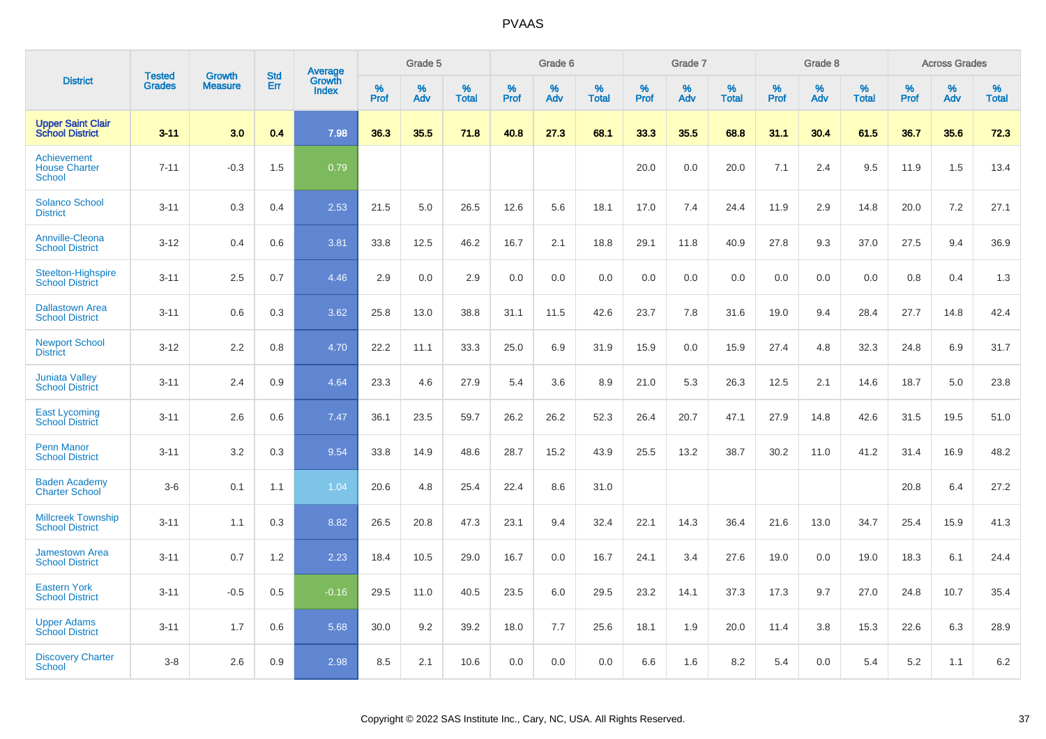|                                                      |                                |                                 | <b>Std</b> | Average                |           | Grade 5  |                      |           | Grade 6  |                   |           | Grade 7  |                   |           | Grade 8  |                   |           | <b>Across Grades</b> |                   |
|------------------------------------------------------|--------------------------------|---------------------------------|------------|------------------------|-----------|----------|----------------------|-----------|----------|-------------------|-----------|----------|-------------------|-----------|----------|-------------------|-----------|----------------------|-------------------|
| <b>District</b>                                      | <b>Tested</b><br><b>Grades</b> | <b>Growth</b><br><b>Measure</b> | Err        | Growth<br><b>Index</b> | %<br>Prof | %<br>Adv | $\%$<br><b>Total</b> | %<br>Prof | %<br>Adv | %<br><b>Total</b> | %<br>Prof | %<br>Adv | %<br><b>Total</b> | %<br>Prof | %<br>Adv | %<br><b>Total</b> | %<br>Prof | %<br>Adv             | %<br><b>Total</b> |
| <b>Upper Saint Clair</b><br><b>School District</b>   | $3 - 11$                       | 3.0                             | 0.4        | 7.98                   | 36.3      | 35.5     | 71.8                 | 40.8      | 27.3     | 68.1              | 33.3      | 35.5     | 68.8              | 31.1      | 30.4     | 61.5              | 36.7      | 35.6                 | 72.3              |
| Achievement<br><b>House Charter</b><br><b>School</b> | $7 - 11$                       | $-0.3$                          | 1.5        | 0.79                   |           |          |                      |           |          |                   | 20.0      | 0.0      | 20.0              | 7.1       | 2.4      | 9.5               | 11.9      | 1.5                  | 13.4              |
| <b>Solanco School</b><br><b>District</b>             | $3 - 11$                       | 0.3                             | 0.4        | 2.53                   | 21.5      | 5.0      | 26.5                 | 12.6      | 5.6      | 18.1              | 17.0      | 7.4      | 24.4              | 11.9      | 2.9      | 14.8              | 20.0      | 7.2                  | 27.1              |
| <b>Annville-Cleona</b><br><b>School District</b>     | $3 - 12$                       | 0.4                             | 0.6        | 3.81                   | 33.8      | 12.5     | 46.2                 | 16.7      | 2.1      | 18.8              | 29.1      | 11.8     | 40.9              | 27.8      | 9.3      | 37.0              | 27.5      | 9.4                  | 36.9              |
| <b>Steelton-Highspire</b><br><b>School District</b>  | $3 - 11$                       | 2.5                             | 0.7        | 4.46                   | 2.9       | 0.0      | 2.9                  | 0.0       | 0.0      | 0.0               | 0.0       | 0.0      | 0.0               | 0.0       | 0.0      | 0.0               | 0.8       | 0.4                  | 1.3               |
| <b>Dallastown Area</b><br><b>School District</b>     | $3 - 11$                       | 0.6                             | 0.3        | 3.62                   | 25.8      | 13.0     | 38.8                 | 31.1      | 11.5     | 42.6              | 23.7      | 7.8      | 31.6              | 19.0      | 9.4      | 28.4              | 27.7      | 14.8                 | 42.4              |
| <b>Newport School</b><br><b>District</b>             | $3 - 12$                       | 2.2                             | 0.8        | 4.70                   | 22.2      | 11.1     | 33.3                 | 25.0      | 6.9      | 31.9              | 15.9      | 0.0      | 15.9              | 27.4      | 4.8      | 32.3              | 24.8      | 6.9                  | 31.7              |
| <b>Juniata Valley</b><br><b>School District</b>      | $3 - 11$                       | 2.4                             | 0.9        | 4.64                   | 23.3      | 4.6      | 27.9                 | 5.4       | 3.6      | 8.9               | 21.0      | 5.3      | 26.3              | 12.5      | 2.1      | 14.6              | 18.7      | 5.0                  | 23.8              |
| <b>East Lycoming</b><br><b>School District</b>       | $3 - 11$                       | 2.6                             | 0.6        | 7.47                   | 36.1      | 23.5     | 59.7                 | 26.2      | 26.2     | 52.3              | 26.4      | 20.7     | 47.1              | 27.9      | 14.8     | 42.6              | 31.5      | 19.5                 | 51.0              |
| <b>Penn Manor</b><br><b>School District</b>          | $3 - 11$                       | 3.2                             | 0.3        | 9.54                   | 33.8      | 14.9     | 48.6                 | 28.7      | 15.2     | 43.9              | 25.5      | 13.2     | 38.7              | 30.2      | 11.0     | 41.2              | 31.4      | 16.9                 | 48.2              |
| <b>Baden Academy</b><br><b>Charter School</b>        | $3-6$                          | 0.1                             | 1.1        | 1.04                   | 20.6      | 4.8      | 25.4                 | 22.4      | 8.6      | 31.0              |           |          |                   |           |          |                   | 20.8      | 6.4                  | 27.2              |
| <b>Millcreek Township</b><br><b>School District</b>  | $3 - 11$                       | 1.1                             | 0.3        | 8.82                   | 26.5      | 20.8     | 47.3                 | 23.1      | 9.4      | 32.4              | 22.1      | 14.3     | 36.4              | 21.6      | 13.0     | 34.7              | 25.4      | 15.9                 | 41.3              |
| <b>Jamestown Area</b><br><b>School District</b>      | $3 - 11$                       | 0.7                             | 1.2        | 2.23                   | 18.4      | 10.5     | 29.0                 | 16.7      | 0.0      | 16.7              | 24.1      | 3.4      | 27.6              | 19.0      | 0.0      | 19.0              | 18.3      | 6.1                  | 24.4              |
| <b>Eastern York</b><br><b>School District</b>        | $3 - 11$                       | $-0.5$                          | 0.5        | $-0.16$                | 29.5      | 11.0     | 40.5                 | 23.5      | 6.0      | 29.5              | 23.2      | 14.1     | 37.3              | 17.3      | 9.7      | 27.0              | 24.8      | 10.7                 | 35.4              |
| <b>Upper Adams</b><br><b>School District</b>         | $3 - 11$                       | 1.7                             | 0.6        | 5.68                   | 30.0      | 9.2      | 39.2                 | 18.0      | 7.7      | 25.6              | 18.1      | 1.9      | 20.0              | 11.4      | 3.8      | 15.3              | 22.6      | 6.3                  | 28.9              |
| <b>Discovery Charter</b><br><b>School</b>            | $3 - 8$                        | 2.6                             | 0.9        | 2.98                   | 8.5       | 2.1      | 10.6                 | 0.0       | 0.0      | 0.0               | 6.6       | 1.6      | 8.2               | 5.4       | $0.0\,$  | 5.4               | 5.2       | 1.1                  | 6.2               |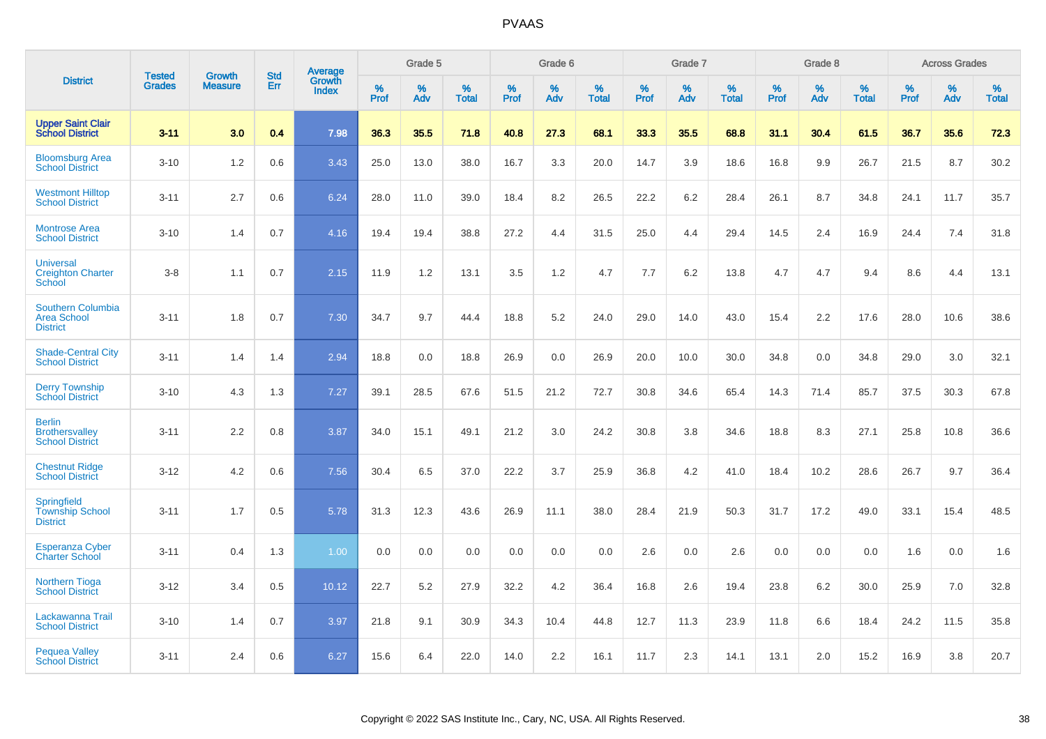|                                                                   | <b>Tested</b> | <b>Growth</b>  | <b>Std</b> | Average                |              | Grade 5  |                   |           | Grade 6  |                   |              | Grade 7  |                   |           | Grade 8  |                   |              | <b>Across Grades</b> |                   |
|-------------------------------------------------------------------|---------------|----------------|------------|------------------------|--------------|----------|-------------------|-----------|----------|-------------------|--------------|----------|-------------------|-----------|----------|-------------------|--------------|----------------------|-------------------|
| <b>District</b>                                                   | <b>Grades</b> | <b>Measure</b> | Err        | Growth<br><b>Index</b> | $\%$<br>Prof | %<br>Adv | %<br><b>Total</b> | %<br>Prof | %<br>Adv | %<br><b>Total</b> | $\%$<br>Prof | %<br>Adv | %<br><b>Total</b> | %<br>Prof | %<br>Adv | %<br><b>Total</b> | $\%$<br>Prof | %<br>Adv             | %<br><b>Total</b> |
| <b>Upper Saint Clair</b><br><b>School District</b>                | $3 - 11$      | 3.0            | 0.4        | 7.98                   | 36.3         | 35.5     | 71.8              | 40.8      | 27.3     | 68.1              | 33.3         | 35.5     | 68.8              | 31.1      | 30.4     | 61.5              | 36.7         | 35.6                 | 72.3              |
| <b>Bloomsburg Area</b><br><b>School District</b>                  | $3 - 10$      | 1.2            | 0.6        | 3.43                   | 25.0         | 13.0     | 38.0              | 16.7      | 3.3      | 20.0              | 14.7         | 3.9      | 18.6              | 16.8      | 9.9      | 26.7              | 21.5         | 8.7                  | 30.2              |
| <b>Westmont Hilltop</b><br><b>School District</b>                 | $3 - 11$      | 2.7            | 0.6        | 6.24                   | 28.0         | 11.0     | 39.0              | 18.4      | 8.2      | 26.5              | 22.2         | 6.2      | 28.4              | 26.1      | 8.7      | 34.8              | 24.1         | 11.7                 | 35.7              |
| <b>Montrose Area</b><br><b>School District</b>                    | $3 - 10$      | 1.4            | 0.7        | 4.16                   | 19.4         | 19.4     | 38.8              | 27.2      | 4.4      | 31.5              | 25.0         | 4.4      | 29.4              | 14.5      | 2.4      | 16.9              | 24.4         | 7.4                  | 31.8              |
| <b>Universal</b><br><b>Creighton Charter</b><br><b>School</b>     | $3 - 8$       | 1.1            | 0.7        | 2.15                   | 11.9         | 1.2      | 13.1              | 3.5       | 1.2      | 4.7               | 7.7          | 6.2      | 13.8              | 4.7       | 4.7      | 9.4               | 8.6          | 4.4                  | 13.1              |
| <b>Southern Columbia</b><br><b>Area School</b><br><b>District</b> | $3 - 11$      | 1.8            | 0.7        | 7.30                   | 34.7         | 9.7      | 44.4              | 18.8      | 5.2      | 24.0              | 29.0         | 14.0     | 43.0              | 15.4      | 2.2      | 17.6              | 28.0         | 10.6                 | 38.6              |
| <b>Shade-Central City</b><br><b>School District</b>               | $3 - 11$      | 1.4            | 1.4        | 2.94                   | 18.8         | 0.0      | 18.8              | 26.9      | 0.0      | 26.9              | 20.0         | 10.0     | 30.0              | 34.8      | 0.0      | 34.8              | 29.0         | 3.0                  | 32.1              |
| <b>Derry Township</b><br><b>School District</b>                   | $3 - 10$      | 4.3            | 1.3        | 7.27                   | 39.1         | 28.5     | 67.6              | 51.5      | 21.2     | 72.7              | 30.8         | 34.6     | 65.4              | 14.3      | 71.4     | 85.7              | 37.5         | 30.3                 | 67.8              |
| <b>Berlin</b><br><b>Brothersvalley</b><br><b>School District</b>  | $3 - 11$      | 2.2            | 0.8        | 3.87                   | 34.0         | 15.1     | 49.1              | 21.2      | 3.0      | 24.2              | 30.8         | 3.8      | 34.6              | 18.8      | 8.3      | 27.1              | 25.8         | 10.8                 | 36.6              |
| <b>Chestnut Ridge</b><br><b>School District</b>                   | $3 - 12$      | 4.2            | 0.6        | 7.56                   | 30.4         | 6.5      | 37.0              | 22.2      | 3.7      | 25.9              | 36.8         | 4.2      | 41.0              | 18.4      | 10.2     | 28.6              | 26.7         | 9.7                  | 36.4              |
| Springfield<br><b>Township School</b><br><b>District</b>          | $3 - 11$      | 1.7            | 0.5        | 5.78                   | 31.3         | 12.3     | 43.6              | 26.9      | 11.1     | 38.0              | 28.4         | 21.9     | 50.3              | 31.7      | 17.2     | 49.0              | 33.1         | 15.4                 | 48.5              |
| <b>Esperanza Cyber</b><br><b>Charter School</b>                   | $3 - 11$      | 0.4            | 1.3        | 1.00                   | 0.0          | 0.0      | 0.0               | 0.0       | 0.0      | 0.0               | 2.6          | 0.0      | 2.6               | 0.0       | 0.0      | 0.0               | 1.6          | 0.0                  | 1.6               |
| <b>Northern Tioga</b><br><b>School District</b>                   | $3 - 12$      | 3.4            | 0.5        | 10.12                  | 22.7         | 5.2      | 27.9              | 32.2      | 4.2      | 36.4              | 16.8         | 2.6      | 19.4              | 23.8      | 6.2      | 30.0              | 25.9         | 7.0                  | 32.8              |
| Lackawanna Trail<br><b>School District</b>                        | $3 - 10$      | 1.4            | 0.7        | 3.97                   | 21.8         | 9.1      | 30.9              | 34.3      | 10.4     | 44.8              | 12.7         | 11.3     | 23.9              | 11.8      | 6.6      | 18.4              | 24.2         | 11.5                 | 35.8              |
| <b>Pequea Valley</b><br><b>School District</b>                    | $3 - 11$      | 2.4            | 0.6        | 6.27                   | 15.6         | 6.4      | 22.0              | 14.0      | 2.2      | 16.1              | 11.7         | 2.3      | 14.1              | 13.1      | 2.0      | 15.2              | 16.9         | 3.8                  | 20.7              |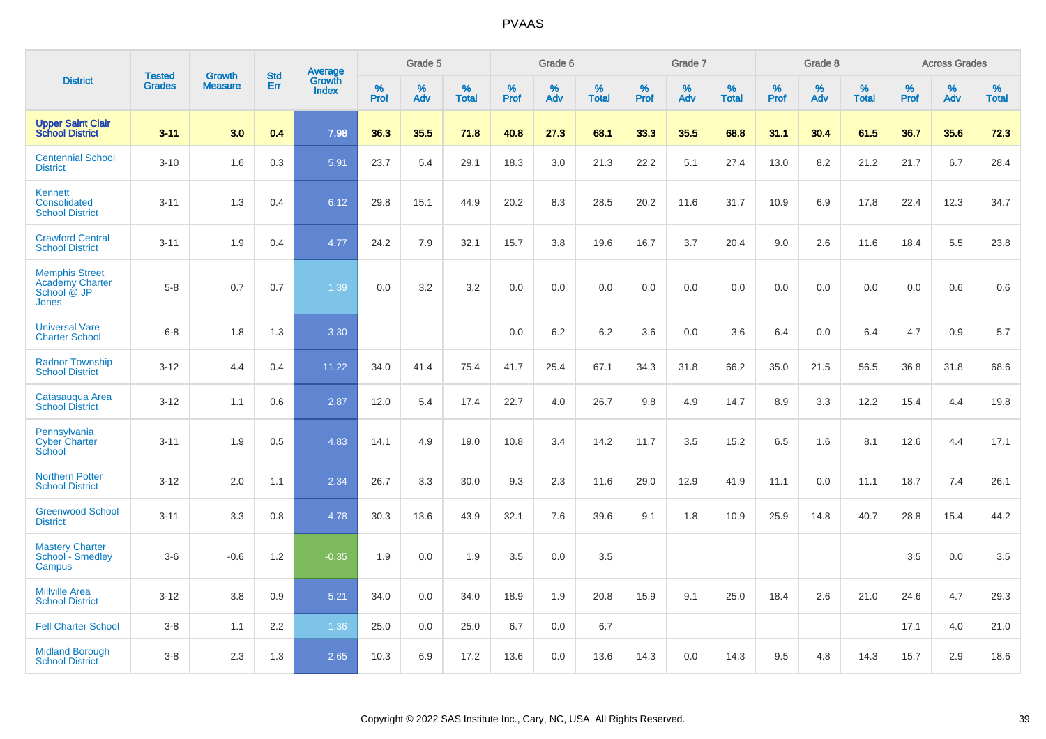|                                                                         |                                |                                 | <b>Std</b> | Average                |           | Grade 5  |                   |           | Grade 6  |                   |           | Grade 7  |                   |           | Grade 8  |                   |           | <b>Across Grades</b> |                   |
|-------------------------------------------------------------------------|--------------------------------|---------------------------------|------------|------------------------|-----------|----------|-------------------|-----------|----------|-------------------|-----------|----------|-------------------|-----------|----------|-------------------|-----------|----------------------|-------------------|
| <b>District</b>                                                         | <b>Tested</b><br><b>Grades</b> | <b>Growth</b><br><b>Measure</b> | <b>Err</b> | Growth<br><b>Index</b> | %<br>Prof | %<br>Adv | %<br><b>Total</b> | %<br>Prof | %<br>Adv | %<br><b>Total</b> | %<br>Prof | %<br>Adv | %<br><b>Total</b> | %<br>Prof | %<br>Adv | %<br><b>Total</b> | %<br>Prof | %<br>Adv             | %<br><b>Total</b> |
| <b>Upper Saint Clair</b><br><b>School District</b>                      | $3 - 11$                       | 3.0                             | 0.4        | 7.98                   | 36.3      | 35.5     | 71.8              | 40.8      | 27.3     | 68.1              | 33.3      | 35.5     | 68.8              | 31.1      | 30.4     | 61.5              | 36.7      | 35.6                 | 72.3              |
| <b>Centennial School</b><br><b>District</b>                             | $3 - 10$                       | 1.6                             | 0.3        | 5.91                   | 23.7      | 5.4      | 29.1              | 18.3      | 3.0      | 21.3              | 22.2      | 5.1      | 27.4              | 13.0      | 8.2      | 21.2              | 21.7      | 6.7                  | 28.4              |
| <b>Kennett</b><br>Consolidated<br><b>School District</b>                | $3 - 11$                       | 1.3                             | 0.4        | 6.12                   | 29.8      | 15.1     | 44.9              | 20.2      | 8.3      | 28.5              | 20.2      | 11.6     | 31.7              | 10.9      | 6.9      | 17.8              | 22.4      | 12.3                 | 34.7              |
| <b>Crawford Central</b><br><b>School District</b>                       | $3 - 11$                       | 1.9                             | 0.4        | 4.77                   | 24.2      | 7.9      | 32.1              | 15.7      | 3.8      | 19.6              | 16.7      | 3.7      | 20.4              | 9.0       | 2.6      | 11.6              | 18.4      | 5.5                  | 23.8              |
| <b>Memphis Street</b><br><b>Academy Charter</b><br>School @ JP<br>Jones | $5 - 8$                        | 0.7                             | 0.7        | 1.39                   | 0.0       | 3.2      | 3.2               | $0.0\,$   | 0.0      | 0.0               | 0.0       | 0.0      | 0.0               | 0.0       | 0.0      | 0.0               | 0.0       | 0.6                  | 0.6               |
| <b>Universal Vare</b><br><b>Charter School</b>                          | $6-8$                          | 1.8                             | 1.3        | 3.30                   |           |          |                   | 0.0       | 6.2      | 6.2               | 3.6       | 0.0      | 3.6               | 6.4       | 0.0      | 6.4               | 4.7       | 0.9                  | 5.7               |
| <b>Radnor Township</b><br><b>School District</b>                        | $3 - 12$                       | 4.4                             | 0.4        | 11.22                  | 34.0      | 41.4     | 75.4              | 41.7      | 25.4     | 67.1              | 34.3      | 31.8     | 66.2              | 35.0      | 21.5     | 56.5              | 36.8      | 31.8                 | 68.6              |
| Catasaugua Area<br><b>School District</b>                               | $3 - 12$                       | 1.1                             | 0.6        | 2.87                   | 12.0      | 5.4      | 17.4              | 22.7      | 4.0      | 26.7              | 9.8       | 4.9      | 14.7              | 8.9       | 3.3      | 12.2              | 15.4      | 4.4                  | 19.8              |
| Pennsylvania<br><b>Cyber Charter</b><br>School                          | $3 - 11$                       | 1.9                             | 0.5        | 4.83                   | 14.1      | 4.9      | 19.0              | 10.8      | 3.4      | 14.2              | 11.7      | 3.5      | 15.2              | 6.5       | 1.6      | 8.1               | 12.6      | 4.4                  | 17.1              |
| <b>Northern Potter</b><br><b>School District</b>                        | $3 - 12$                       | 2.0                             | 1.1        | 2.34                   | 26.7      | 3.3      | 30.0              | 9.3       | 2.3      | 11.6              | 29.0      | 12.9     | 41.9              | 11.1      | 0.0      | 11.1              | 18.7      | 7.4                  | 26.1              |
| <b>Greenwood School</b><br><b>District</b>                              | $3 - 11$                       | 3.3                             | 0.8        | 4.78                   | 30.3      | 13.6     | 43.9              | 32.1      | 7.6      | 39.6              | 9.1       | 1.8      | 10.9              | 25.9      | 14.8     | 40.7              | 28.8      | 15.4                 | 44.2              |
| <b>Mastery Charter</b><br>School - Smedley<br>Campus                    | $3-6$                          | $-0.6$                          | 1.2        | $-0.35$                | 1.9       | 0.0      | 1.9               | 3.5       | 0.0      | 3.5               |           |          |                   |           |          |                   | 3.5       | 0.0                  | 3.5               |
| <b>Millville Area</b><br><b>School District</b>                         | $3 - 12$                       | 3.8                             | 0.9        | 5.21                   | 34.0      | 0.0      | 34.0              | 18.9      | 1.9      | 20.8              | 15.9      | 9.1      | 25.0              | 18.4      | 2.6      | 21.0              | 24.6      | 4.7                  | 29.3              |
| <b>Fell Charter School</b>                                              | $3 - 8$                        | 1.1                             | 2.2        | 1.36                   | 25.0      | 0.0      | 25.0              | 6.7       | 0.0      | 6.7               |           |          |                   |           |          |                   | 17.1      | 4.0                  | 21.0              |
| <b>Midland Borough</b><br><b>School District</b>                        | $3 - 8$                        | 2.3                             | 1.3        | 2.65                   | 10.3      | 6.9      | 17.2              | 13.6      | 0.0      | 13.6              | 14.3      | 0.0      | 14.3              | 9.5       | 4.8      | 14.3              | 15.7      | 2.9                  | 18.6              |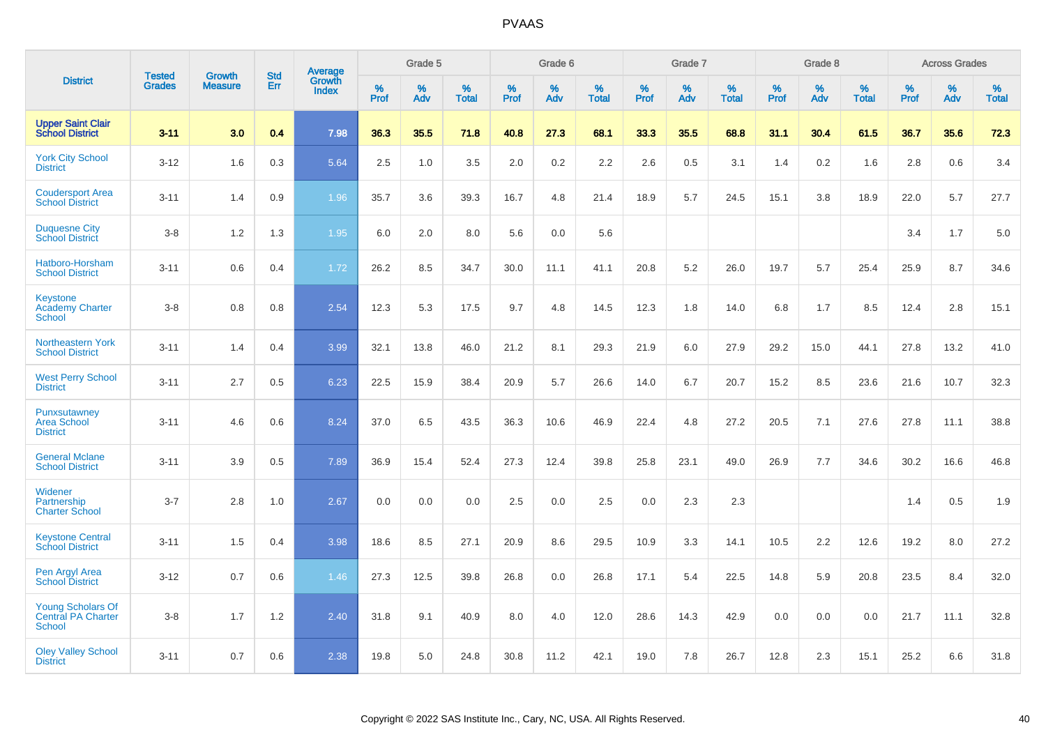|                                                          |                                | <b>Growth</b>  | <b>Std</b> | Average                |              | Grade 5  |                   |              | Grade 6  |                   |              | Grade 7  |                   |              | Grade 8  |                   |              | <b>Across Grades</b> |                   |
|----------------------------------------------------------|--------------------------------|----------------|------------|------------------------|--------------|----------|-------------------|--------------|----------|-------------------|--------------|----------|-------------------|--------------|----------|-------------------|--------------|----------------------|-------------------|
| <b>District</b>                                          | <b>Tested</b><br><b>Grades</b> | <b>Measure</b> | Err        | Growth<br><b>Index</b> | $\%$<br>Prof | %<br>Adv | %<br><b>Total</b> | $\%$<br>Prof | %<br>Adv | %<br><b>Total</b> | $\%$<br>Prof | %<br>Adv | %<br><b>Total</b> | $\%$<br>Prof | %<br>Adv | %<br><b>Total</b> | $\%$<br>Prof | %<br>Adv             | %<br><b>Total</b> |
| <b>Upper Saint Clair</b><br><b>School District</b>       | $3 - 11$                       | 3.0            | 0.4        | 7.98                   | 36.3         | 35.5     | 71.8              | 40.8         | 27.3     | 68.1              | 33.3         | 35.5     | 68.8              | 31.1         | 30.4     | 61.5              | 36.7         | 35.6                 | 72.3              |
| <b>York City School</b><br><b>District</b>               | $3 - 12$                       | 1.6            | 0.3        | 5.64                   | 2.5          | 1.0      | 3.5               | 2.0          | $0.2\,$  | 2.2               | 2.6          | 0.5      | 3.1               | 1.4          | 0.2      | 1.6               | 2.8          | 0.6                  | 3.4               |
| <b>Coudersport Area</b><br><b>School District</b>        | $3 - 11$                       | 1.4            | 0.9        | 1.96                   | 35.7         | 3.6      | 39.3              | 16.7         | 4.8      | 21.4              | 18.9         | 5.7      | 24.5              | 15.1         | 3.8      | 18.9              | 22.0         | 5.7                  | 27.7              |
| <b>Duquesne City</b><br><b>School District</b>           | $3-8$                          | 1.2            | 1.3        | 1.95                   | 6.0          | 2.0      | 8.0               | 5.6          | 0.0      | 5.6               |              |          |                   |              |          |                   | 3.4          | 1.7                  | 5.0               |
| Hatboro-Horsham<br><b>School District</b>                | $3 - 11$                       | 0.6            | 0.4        | 1.72                   | 26.2         | 8.5      | 34.7              | 30.0         | 11.1     | 41.1              | 20.8         | 5.2      | 26.0              | 19.7         | 5.7      | 25.4              | 25.9         | 8.7                  | 34.6              |
| Keystone<br><b>Academy Charter</b><br><b>School</b>      | $3 - 8$                        | 0.8            | 0.8        | 2.54                   | 12.3         | 5.3      | 17.5              | 9.7          | 4.8      | 14.5              | 12.3         | 1.8      | 14.0              | 6.8          | 1.7      | 8.5               | 12.4         | 2.8                  | 15.1              |
| <b>Northeastern York</b><br><b>School District</b>       | $3 - 11$                       | 1.4            | 0.4        | 3.99                   | 32.1         | 13.8     | 46.0              | 21.2         | 8.1      | 29.3              | 21.9         | 6.0      | 27.9              | 29.2         | 15.0     | 44.1              | 27.8         | 13.2                 | 41.0              |
| <b>West Perry School</b><br><b>District</b>              | $3 - 11$                       | 2.7            | 0.5        | 6.23                   | 22.5         | 15.9     | 38.4              | 20.9         | 5.7      | 26.6              | 14.0         | 6.7      | 20.7              | 15.2         | 8.5      | 23.6              | 21.6         | 10.7                 | 32.3              |
| Punxsutawney<br><b>Area School</b><br><b>District</b>    | $3 - 11$                       | 4.6            | 0.6        | 8.24                   | 37.0         | 6.5      | 43.5              | 36.3         | 10.6     | 46.9              | 22.4         | 4.8      | 27.2              | 20.5         | 7.1      | 27.6              | 27.8         | 11.1                 | 38.8              |
| <b>General Mclane</b><br><b>School District</b>          | $3 - 11$                       | 3.9            | 0.5        | 7.89                   | 36.9         | 15.4     | 52.4              | 27.3         | 12.4     | 39.8              | 25.8         | 23.1     | 49.0              | 26.9         | 7.7      | 34.6              | 30.2         | 16.6                 | 46.8              |
| Widener<br>Partnership<br><b>Charter School</b>          | $3 - 7$                        | 2.8            | 1.0        | 2.67                   | 0.0          | 0.0      | 0.0               | 2.5          | 0.0      | 2.5               | 0.0          | 2.3      | 2.3               |              |          |                   | 1.4          | 0.5                  | 1.9               |
| <b>Keystone Central</b><br><b>School District</b>        | $3 - 11$                       | 1.5            | 0.4        | 3.98                   | 18.6         | 8.5      | 27.1              | 20.9         | 8.6      | 29.5              | 10.9         | 3.3      | 14.1              | 10.5         | 2.2      | 12.6              | 19.2         | 8.0                  | 27.2              |
| Pen Argyl Area<br><b>School District</b>                 | $3 - 12$                       | 0.7            | 0.6        | 1.46                   | 27.3         | 12.5     | 39.8              | 26.8         | 0.0      | 26.8              | 17.1         | 5.4      | 22.5              | 14.8         | 5.9      | 20.8              | 23.5         | 8.4                  | 32.0              |
| <b>Young Scholars Of</b><br>Central PA Charter<br>School | $3-8$                          | 1.7            | 1.2        | 2.40                   | 31.8         | 9.1      | 40.9              | 8.0          | 4.0      | 12.0              | 28.6         | 14.3     | 42.9              | 0.0          | 0.0      | 0.0               | 21.7         | 11.1                 | 32.8              |
| <b>Oley Valley School</b><br><b>District</b>             | $3 - 11$                       | 0.7            | 0.6        | 2.38                   | 19.8         | 5.0      | 24.8              | 30.8         | 11.2     | 42.1              | 19.0         | 7.8      | 26.7              | 12.8         | 2.3      | 15.1              | 25.2         | 6.6                  | 31.8              |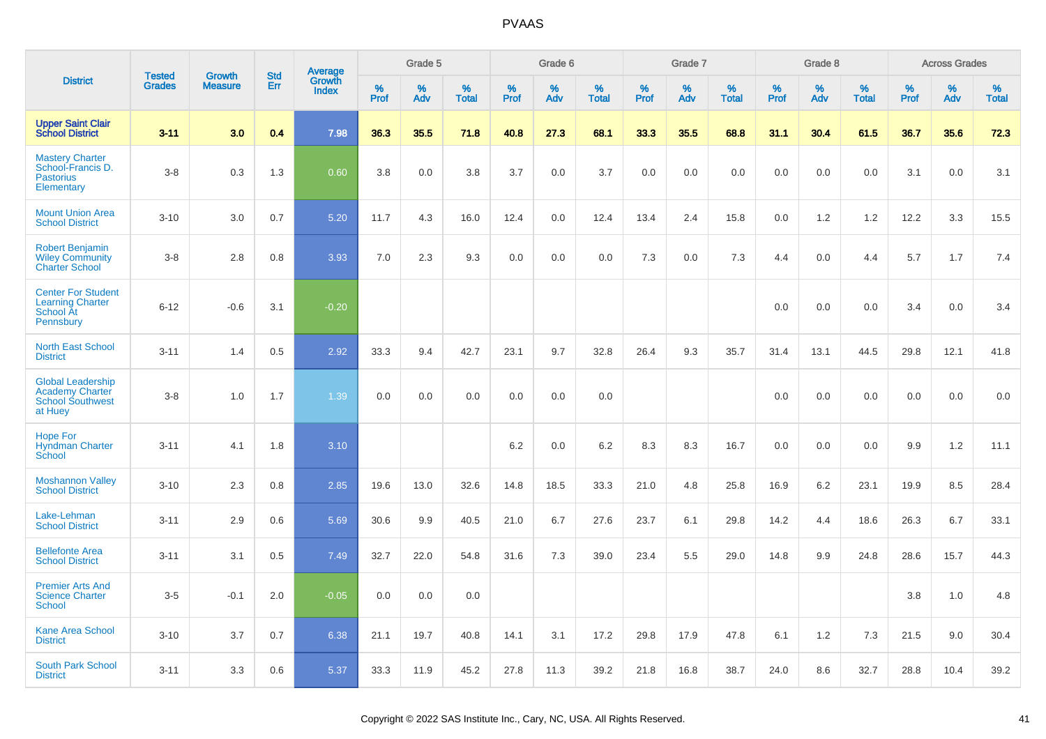|                                                                                          | <b>Tested</b> | <b>Growth</b>  | <b>Std</b> |                                          |              | Grade 5  |                   |              | Grade 6  |                   |              | Grade 7  |                   |              | Grade 8  |                   |              | <b>Across Grades</b> |                   |
|------------------------------------------------------------------------------------------|---------------|----------------|------------|------------------------------------------|--------------|----------|-------------------|--------------|----------|-------------------|--------------|----------|-------------------|--------------|----------|-------------------|--------------|----------------------|-------------------|
| <b>District</b>                                                                          | <b>Grades</b> | <b>Measure</b> | Err        | <b>Average</b><br>Growth<br><b>Index</b> | $\%$<br>Prof | %<br>Adv | %<br><b>Total</b> | $\%$<br>Prof | %<br>Adv | %<br><b>Total</b> | $\%$<br>Prof | %<br>Adv | %<br><b>Total</b> | $\%$<br>Prof | %<br>Adv | %<br><b>Total</b> | $\%$<br>Prof | %<br>Adv             | %<br><b>Total</b> |
| <b>Upper Saint Clair</b><br><b>School District</b>                                       | $3 - 11$      | 3.0            | 0.4        | 7.98                                     | 36.3         | 35.5     | 71.8              | 40.8         | 27.3     | 68.1              | 33.3         | 35.5     | 68.8              | 31.1         | 30.4     | 61.5              | 36.7         | 35.6                 | 72.3              |
| <b>Mastery Charter</b><br>School-Francis D.<br><b>Pastorius</b><br>Elementary            | $3 - 8$       | 0.3            | 1.3        | 0.60                                     | 3.8          | 0.0      | 3.8               | 3.7          | 0.0      | 3.7               | 0.0          | 0.0      | 0.0               | 0.0          | 0.0      | 0.0               | 3.1          | 0.0                  | 3.1               |
| <b>Mount Union Area</b><br><b>School District</b>                                        | $3 - 10$      | 3.0            | 0.7        | 5.20                                     | 11.7         | 4.3      | 16.0              | 12.4         | 0.0      | 12.4              | 13.4         | 2.4      | 15.8              | 0.0          | 1.2      | 1.2               | 12.2         | 3.3                  | 15.5              |
| <b>Robert Benjamin</b><br><b>Wiley Community</b><br><b>Charter School</b>                | $3 - 8$       | 2.8            | 0.8        | 3.93                                     | 7.0          | 2.3      | 9.3               | 0.0          | 0.0      | 0.0               | 7.3          | 0.0      | 7.3               | 4.4          | 0.0      | 4.4               | 5.7          | 1.7                  | 7.4               |
| <b>Center For Student</b><br><b>Learning Charter</b><br>School At<br>Pennsbury           | $6 - 12$      | $-0.6$         | 3.1        | $-0.20$                                  |              |          |                   |              |          |                   |              |          |                   | 0.0          | 0.0      | 0.0               | 3.4          | 0.0                  | 3.4               |
| <b>North East School</b><br><b>District</b>                                              | $3 - 11$      | 1.4            | 0.5        | 2.92                                     | 33.3         | 9.4      | 42.7              | 23.1         | 9.7      | 32.8              | 26.4         | 9.3      | 35.7              | 31.4         | 13.1     | 44.5              | 29.8         | 12.1                 | 41.8              |
| <b>Global Leadership</b><br><b>Academy Charter</b><br><b>School Southwest</b><br>at Huey | $3 - 8$       | 1.0            | 1.7        | 1.39                                     | 0.0          | 0.0      | 0.0               | 0.0          | 0.0      | 0.0               |              |          |                   | 0.0          | 0.0      | 0.0               | 0.0          | 0.0                  | 0.0               |
| <b>Hope For</b><br><b>Hyndman Charter</b><br>School                                      | $3 - 11$      | 4.1            | 1.8        | 3.10                                     |              |          |                   | 6.2          | 0.0      | 6.2               | 8.3          | 8.3      | 16.7              | 0.0          | 0.0      | 0.0               | 9.9          | $1.2$                | 11.1              |
| <b>Moshannon Valley</b><br><b>School District</b>                                        | $3 - 10$      | 2.3            | 0.8        | 2.85                                     | 19.6         | 13.0     | 32.6              | 14.8         | 18.5     | 33.3              | 21.0         | 4.8      | 25.8              | 16.9         | 6.2      | 23.1              | 19.9         | 8.5                  | 28.4              |
| Lake-Lehman<br><b>School District</b>                                                    | $3 - 11$      | 2.9            | 0.6        | 5.69                                     | 30.6         | 9.9      | 40.5              | 21.0         | 6.7      | 27.6              | 23.7         | 6.1      | 29.8              | 14.2         | 4.4      | 18.6              | 26.3         | 6.7                  | 33.1              |
| <b>Bellefonte Area</b><br><b>School District</b>                                         | $3 - 11$      | 3.1            | 0.5        | 7.49                                     | 32.7         | 22.0     | 54.8              | 31.6         | 7.3      | 39.0              | 23.4         | 5.5      | 29.0              | 14.8         | 9.9      | 24.8              | 28.6         | 15.7                 | 44.3              |
| <b>Premier Arts And</b><br><b>Science Charter</b><br>School                              | $3-5$         | $-0.1$         | 2.0        | $-0.05$                                  | 0.0          | 0.0      | 0.0               |              |          |                   |              |          |                   |              |          |                   | 3.8          | 1.0                  | 4.8               |
| Kane Area School<br><b>District</b>                                                      | $3 - 10$      | 3.7            | 0.7        | 6.38                                     | 21.1         | 19.7     | 40.8              | 14.1         | 3.1      | 17.2              | 29.8         | 17.9     | 47.8              | 6.1          | 1.2      | 7.3               | 21.5         | 9.0                  | 30.4              |
| <b>South Park School</b><br><b>District</b>                                              | $3 - 11$      | 3.3            | 0.6        | 5.37                                     | 33.3         | 11.9     | 45.2              | 27.8         | 11.3     | 39.2              | 21.8         | 16.8     | 38.7              | 24.0         | 8.6      | 32.7              | 28.8         | 10.4                 | 39.2              |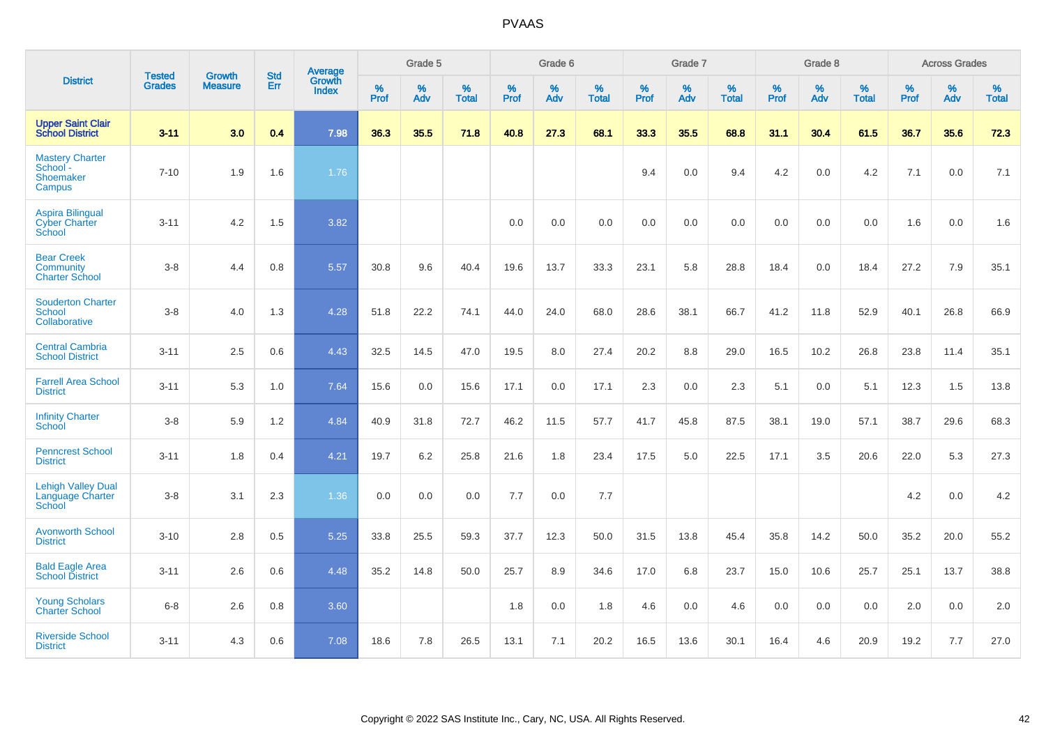|                                                                |                                | <b>Growth</b>  | <b>Std</b> | <b>Average</b>         |           | Grade 5  |                   |           | Grade 6  |                   |           | Grade 7  |                   |           | Grade 8  |                   |           | <b>Across Grades</b> |                   |
|----------------------------------------------------------------|--------------------------------|----------------|------------|------------------------|-----------|----------|-------------------|-----------|----------|-------------------|-----------|----------|-------------------|-----------|----------|-------------------|-----------|----------------------|-------------------|
| <b>District</b>                                                | <b>Tested</b><br><b>Grades</b> | <b>Measure</b> | Err        | Growth<br><b>Index</b> | %<br>Prof | %<br>Adv | %<br><b>Total</b> | %<br>Prof | %<br>Adv | %<br><b>Total</b> | %<br>Prof | %<br>Adv | %<br><b>Total</b> | %<br>Prof | %<br>Adv | %<br><b>Total</b> | %<br>Prof | %<br>Adv             | %<br><b>Total</b> |
| <b>Upper Saint Clair</b><br><b>School District</b>             | $3 - 11$                       | 3.0            | 0.4        | 7.98                   | 36.3      | 35.5     | 71.8              | 40.8      | 27.3     | 68.1              | 33.3      | 35.5     | 68.8              | 31.1      | 30.4     | 61.5              | 36.7      | 35.6                 | 72.3              |
| <b>Mastery Charter</b><br>School -<br>Shoemaker<br>Campus      | $7 - 10$                       | 1.9            | 1.6        | 1.76                   |           |          |                   |           |          |                   | 9.4       | 0.0      | 9.4               | 4.2       | 0.0      | 4.2               | 7.1       | 0.0                  | 7.1               |
| <b>Aspira Bilingual</b><br><b>Cyber Charter</b><br>School      | $3 - 11$                       | 4.2            | 1.5        | 3.82                   |           |          |                   | 0.0       | 0.0      | 0.0               | 0.0       | 0.0      | 0.0               | 0.0       | 0.0      | 0.0               | 1.6       | 0.0                  | 1.6               |
| <b>Bear Creek</b><br><b>Community</b><br><b>Charter School</b> | $3 - 8$                        | 4.4            | 0.8        | 5.57                   | 30.8      | 9.6      | 40.4              | 19.6      | 13.7     | 33.3              | 23.1      | 5.8      | 28.8              | 18.4      | 0.0      | 18.4              | 27.2      | 7.9                  | 35.1              |
| <b>Souderton Charter</b><br>School<br>Collaborative            | $3 - 8$                        | 4.0            | 1.3        | 4.28                   | 51.8      | 22.2     | 74.1              | 44.0      | 24.0     | 68.0              | 28.6      | 38.1     | 66.7              | 41.2      | 11.8     | 52.9              | 40.1      | 26.8                 | 66.9              |
| <b>Central Cambria</b><br><b>School District</b>               | $3 - 11$                       | 2.5            | 0.6        | 4.43                   | 32.5      | 14.5     | 47.0              | 19.5      | 8.0      | 27.4              | 20.2      | 8.8      | 29.0              | 16.5      | 10.2     | 26.8              | 23.8      | 11.4                 | 35.1              |
| <b>Farrell Area School</b><br><b>District</b>                  | $3 - 11$                       | 5.3            | 1.0        | 7.64                   | 15.6      | 0.0      | 15.6              | 17.1      | 0.0      | 17.1              | 2.3       | 0.0      | 2.3               | 5.1       | 0.0      | 5.1               | 12.3      | 1.5                  | 13.8              |
| <b>Infinity Charter</b><br><b>School</b>                       | $3-8$                          | 5.9            | 1.2        | 4.84                   | 40.9      | 31.8     | 72.7              | 46.2      | 11.5     | 57.7              | 41.7      | 45.8     | 87.5              | 38.1      | 19.0     | 57.1              | 38.7      | 29.6                 | 68.3              |
| <b>Penncrest School</b><br><b>District</b>                     | $3 - 11$                       | 1.8            | 0.4        | 4.21                   | 19.7      | 6.2      | 25.8              | 21.6      | 1.8      | 23.4              | 17.5      | 5.0      | 22.5              | 17.1      | 3.5      | 20.6              | 22.0      | 5.3                  | 27.3              |
| <b>Lehigh Valley Dual</b><br>Language Charter<br>School        | $3 - 8$                        | 3.1            | 2.3        | 1.36                   | 0.0       | 0.0      | 0.0               | 7.7       | 0.0      | 7.7               |           |          |                   |           |          |                   | 4.2       | 0.0                  | 4.2               |
| <b>Avonworth School</b><br><b>District</b>                     | $3 - 10$                       | 2.8            | 0.5        | 5.25                   | 33.8      | 25.5     | 59.3              | 37.7      | 12.3     | 50.0              | 31.5      | 13.8     | 45.4              | 35.8      | 14.2     | 50.0              | 35.2      | 20.0                 | 55.2              |
| <b>Bald Eagle Area</b><br><b>School District</b>               | $3 - 11$                       | 2.6            | 0.6        | 4.48                   | 35.2      | 14.8     | 50.0              | 25.7      | 8.9      | 34.6              | 17.0      | 6.8      | 23.7              | 15.0      | 10.6     | 25.7              | 25.1      | 13.7                 | 38.8              |
| <b>Young Scholars</b><br><b>Charter School</b>                 | $6 - 8$                        | 2.6            | 0.8        | 3.60                   |           |          |                   | 1.8       | 0.0      | 1.8               | 4.6       | 0.0      | 4.6               | 0.0       | 0.0      | 0.0               | 2.0       | 0.0                  | 2.0               |
| <b>Riverside School</b><br><b>District</b>                     | $3 - 11$                       | 4.3            | 0.6        | 7.08                   | 18.6      | 7.8      | 26.5              | 13.1      | 7.1      | 20.2              | 16.5      | 13.6     | 30.1              | 16.4      | 4.6      | 20.9              | 19.2      | 7.7                  | 27.0              |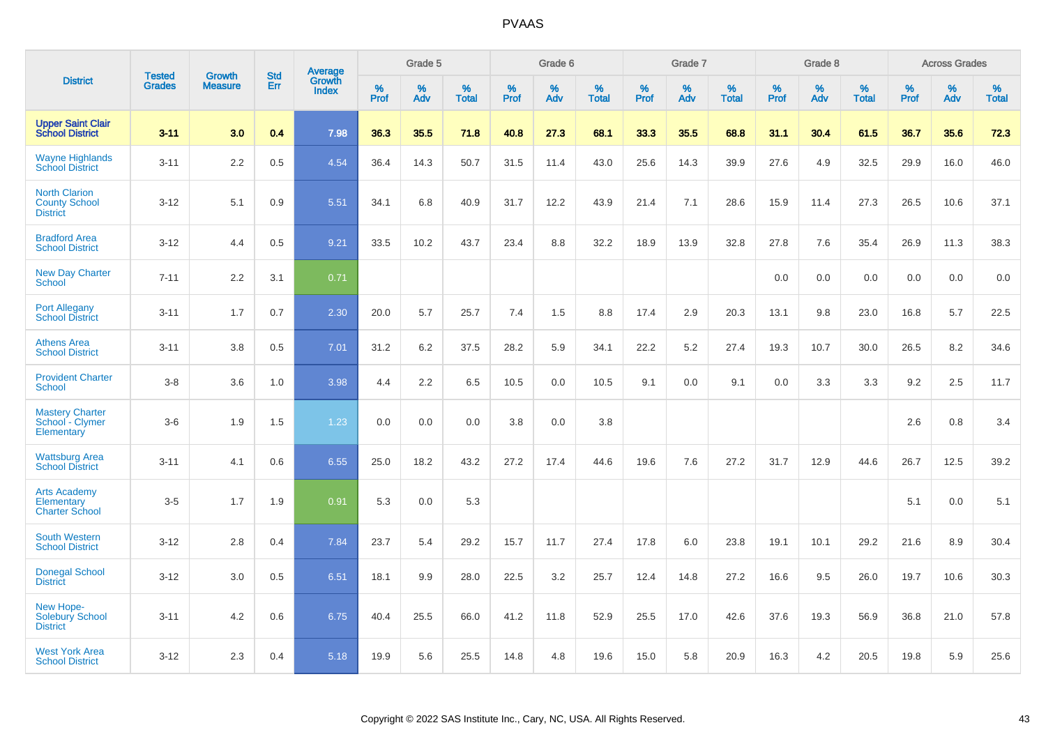|                                                                 |                                | <b>Growth</b>  | <b>Std</b> | Average                |              | Grade 5  |                   |           | Grade 6  |                   |           | Grade 7  |                   |           | Grade 8  |                   |           | <b>Across Grades</b> |                   |
|-----------------------------------------------------------------|--------------------------------|----------------|------------|------------------------|--------------|----------|-------------------|-----------|----------|-------------------|-----------|----------|-------------------|-----------|----------|-------------------|-----------|----------------------|-------------------|
| <b>District</b>                                                 | <b>Tested</b><br><b>Grades</b> | <b>Measure</b> | <b>Err</b> | Growth<br><b>Index</b> | $\%$<br>Prof | %<br>Adv | %<br><b>Total</b> | %<br>Prof | %<br>Adv | %<br><b>Total</b> | %<br>Prof | %<br>Adv | %<br><b>Total</b> | %<br>Prof | %<br>Adv | %<br><b>Total</b> | %<br>Prof | %<br>Adv             | %<br><b>Total</b> |
| <b>Upper Saint Clair</b><br><b>School District</b>              | $3 - 11$                       | 3.0            | 0.4        | 7.98                   | 36.3         | 35.5     | 71.8              | 40.8      | 27.3     | 68.1              | 33.3      | 35.5     | 68.8              | 31.1      | 30.4     | 61.5              | 36.7      | 35.6                 | 72.3              |
| <b>Wayne Highlands</b><br><b>School District</b>                | $3 - 11$                       | 2.2            | 0.5        | 4.54                   | 36.4         | 14.3     | 50.7              | 31.5      | 11.4     | 43.0              | 25.6      | 14.3     | 39.9              | 27.6      | 4.9      | 32.5              | 29.9      | 16.0                 | 46.0              |
| <b>North Clarion</b><br><b>County School</b><br><b>District</b> | $3 - 12$                       | 5.1            | 0.9        | 5.51                   | 34.1         | 6.8      | 40.9              | 31.7      | 12.2     | 43.9              | 21.4      | 7.1      | 28.6              | 15.9      | 11.4     | 27.3              | 26.5      | 10.6                 | 37.1              |
| <b>Bradford Area</b><br><b>School District</b>                  | $3 - 12$                       | 4.4            | 0.5        | 9.21                   | 33.5         | 10.2     | 43.7              | 23.4      | 8.8      | 32.2              | 18.9      | 13.9     | 32.8              | 27.8      | 7.6      | 35.4              | 26.9      | 11.3                 | 38.3              |
| <b>New Day Charter</b><br><b>School</b>                         | $7 - 11$                       | 2.2            | 3.1        | 0.71                   |              |          |                   |           |          |                   |           |          |                   | 0.0       | 0.0      | 0.0               | 0.0       | 0.0                  | 0.0               |
| <b>Port Allegany</b><br><b>School District</b>                  | $3 - 11$                       | 1.7            | 0.7        | 2.30                   | 20.0         | 5.7      | 25.7              | 7.4       | 1.5      | 8.8               | 17.4      | 2.9      | 20.3              | 13.1      | 9.8      | 23.0              | 16.8      | 5.7                  | 22.5              |
| <b>Athens Area</b><br><b>School District</b>                    | $3 - 11$                       | 3.8            | 0.5        | 7.01                   | 31.2         | 6.2      | 37.5              | 28.2      | 5.9      | 34.1              | 22.2      | 5.2      | 27.4              | 19.3      | 10.7     | 30.0              | 26.5      | 8.2                  | 34.6              |
| <b>Provident Charter</b><br><b>School</b>                       | $3 - 8$                        | 3.6            | 1.0        | 3.98                   | 4.4          | 2.2      | 6.5               | 10.5      | 0.0      | 10.5              | 9.1       | 0.0      | 9.1               | 0.0       | 3.3      | 3.3               | 9.2       | 2.5                  | 11.7              |
| <b>Mastery Charter</b><br>School - Clymer<br>Elementary         | $3-6$                          | 1.9            | 1.5        | 1.23                   | 0.0          | 0.0      | 0.0               | 3.8       | 0.0      | 3.8               |           |          |                   |           |          |                   | 2.6       | 0.8                  | 3.4               |
| <b>Wattsburg Area</b><br><b>School District</b>                 | $3 - 11$                       | 4.1            | 0.6        | 6.55                   | 25.0         | 18.2     | 43.2              | 27.2      | 17.4     | 44.6              | 19.6      | 7.6      | 27.2              | 31.7      | 12.9     | 44.6              | 26.7      | 12.5                 | 39.2              |
| <b>Arts Academy</b><br>Elementary<br><b>Charter School</b>      | $3-5$                          | 1.7            | 1.9        | 0.91                   | 5.3          | 0.0      | 5.3               |           |          |                   |           |          |                   |           |          |                   | 5.1       | 0.0                  | 5.1               |
| <b>South Western</b><br><b>School District</b>                  | $3 - 12$                       | 2.8            | 0.4        | 7.84                   | 23.7         | 5.4      | 29.2              | 15.7      | 11.7     | 27.4              | 17.8      | 6.0      | 23.8              | 19.1      | 10.1     | 29.2              | 21.6      | 8.9                  | 30.4              |
| <b>Donegal School</b><br><b>District</b>                        | $3 - 12$                       | 3.0            | 0.5        | 6.51                   | 18.1         | 9.9      | 28.0              | 22.5      | 3.2      | 25.7              | 12.4      | 14.8     | 27.2              | 16.6      | 9.5      | 26.0              | 19.7      | 10.6                 | 30.3              |
| New Hope-<br><b>Solebury School</b><br><b>District</b>          | $3 - 11$                       | 4.2            | 0.6        | 6.75                   | 40.4         | 25.5     | 66.0              | 41.2      | 11.8     | 52.9              | 25.5      | 17.0     | 42.6              | 37.6      | 19.3     | 56.9              | 36.8      | 21.0                 | 57.8              |
| <b>West York Area</b><br><b>School District</b>                 | $3 - 12$                       | 2.3            | 0.4        | 5.18                   | 19.9         | 5.6      | 25.5              | 14.8      | 4.8      | 19.6              | 15.0      | 5.8      | 20.9              | 16.3      | 4.2      | 20.5              | 19.8      | 5.9                  | 25.6              |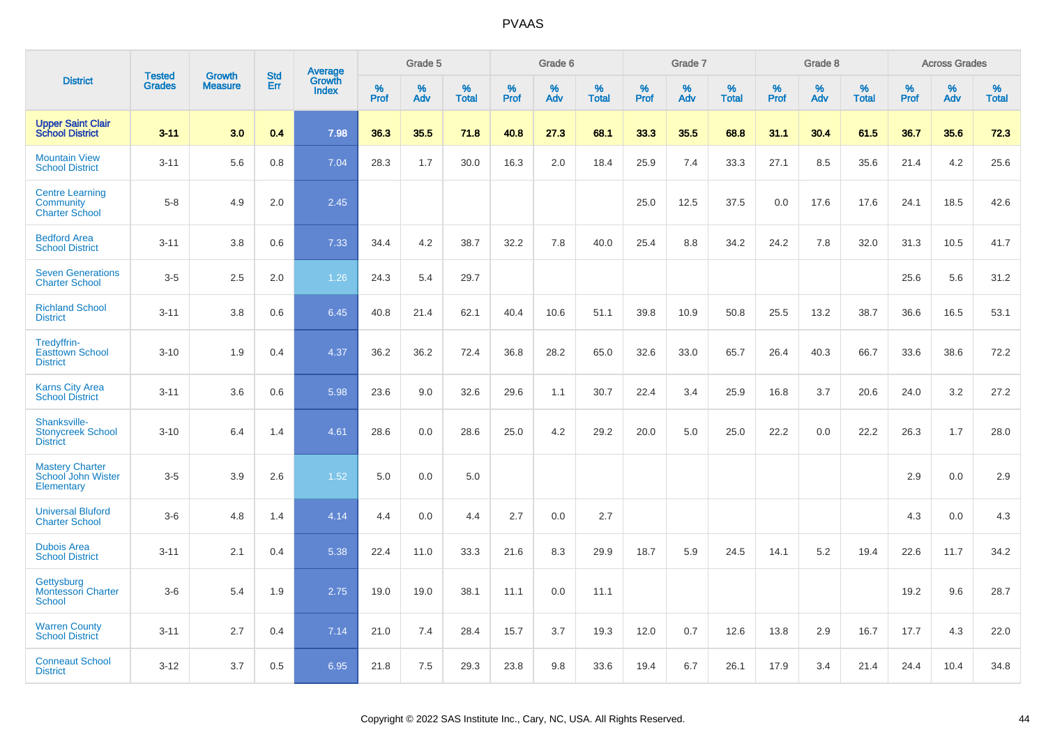|                                                              |                                |                                 | <b>Std</b> |                            |                     | Grade 5  |                   |                     | Grade 6  |                   |              | Grade 7  |                   |                     | Grade 8  |                   |              | <b>Across Grades</b> |                      |
|--------------------------------------------------------------|--------------------------------|---------------------------------|------------|----------------------------|---------------------|----------|-------------------|---------------------|----------|-------------------|--------------|----------|-------------------|---------------------|----------|-------------------|--------------|----------------------|----------------------|
| <b>District</b>                                              | <b>Tested</b><br><b>Grades</b> | <b>Growth</b><br><b>Measure</b> | Err        | Average<br>Growth<br>Index | $\%$<br><b>Prof</b> | %<br>Adv | %<br><b>Total</b> | $\%$<br><b>Prof</b> | %<br>Adv | %<br><b>Total</b> | $\%$<br>Prof | %<br>Adv | %<br><b>Total</b> | $\%$<br><b>Prof</b> | %<br>Adv | %<br><b>Total</b> | $\%$<br>Prof | %<br>Adv             | $\%$<br><b>Total</b> |
| <b>Upper Saint Clair</b><br><b>School District</b>           | $3 - 11$                       | 3.0                             | 0.4        | 7.98                       | 36.3                | 35.5     | 71.8              | 40.8                | 27.3     | 68.1              | 33.3         | 35.5     | 68.8              | 31.1                | 30.4     | 61.5              | 36.7         | 35.6                 | 72.3                 |
| <b>Mountain View</b><br><b>School District</b>               | $3 - 11$                       | 5.6                             | 0.8        | 7.04                       | 28.3                | 1.7      | 30.0              | 16.3                | 2.0      | 18.4              | 25.9         | 7.4      | 33.3              | 27.1                | 8.5      | 35.6              | 21.4         | 4.2                  | 25.6                 |
| <b>Centre Learning</b><br>Community<br><b>Charter School</b> | $5 - 8$                        | 4.9                             | 2.0        | 2.45                       |                     |          |                   |                     |          |                   | 25.0         | 12.5     | 37.5              | 0.0                 | 17.6     | 17.6              | 24.1         | 18.5                 | 42.6                 |
| <b>Bedford Area</b><br><b>School District</b>                | $3 - 11$                       | 3.8                             | 0.6        | 7.33                       | 34.4                | 4.2      | 38.7              | 32.2                | 7.8      | 40.0              | 25.4         | 8.8      | 34.2              | 24.2                | 7.8      | 32.0              | 31.3         | 10.5                 | 41.7                 |
| <b>Seven Generations</b><br><b>Charter School</b>            | $3-5$                          | 2.5                             | 2.0        | 1.26                       | 24.3                | 5.4      | 29.7              |                     |          |                   |              |          |                   |                     |          |                   | 25.6         | 5.6                  | 31.2                 |
| <b>Richland School</b><br><b>District</b>                    | $3 - 11$                       | 3.8                             | 0.6        | 6.45                       | 40.8                | 21.4     | 62.1              | 40.4                | 10.6     | 51.1              | 39.8         | 10.9     | 50.8              | 25.5                | 13.2     | 38.7              | 36.6         | 16.5                 | 53.1                 |
| Tredyffrin-<br><b>Easttown School</b><br><b>District</b>     | $3 - 10$                       | 1.9                             | 0.4        | 4.37                       | 36.2                | 36.2     | 72.4              | 36.8                | 28.2     | 65.0              | 32.6         | 33.0     | 65.7              | 26.4                | 40.3     | 66.7              | 33.6         | 38.6                 | 72.2                 |
| <b>Karns City Area</b><br><b>School District</b>             | $3 - 11$                       | 3.6                             | 0.6        | 5.98                       | 23.6                | 9.0      | 32.6              | 29.6                | 1.1      | 30.7              | 22.4         | 3.4      | 25.9              | 16.8                | 3.7      | 20.6              | 24.0         | 3.2                  | 27.2                 |
| Shanksville-<br><b>Stonycreek School</b><br><b>District</b>  | $3 - 10$                       | 6.4                             | 1.4        | 4.61                       | 28.6                | 0.0      | 28.6              | 25.0                | 4.2      | 29.2              | 20.0         | 5.0      | 25.0              | 22.2                | 0.0      | 22.2              | 26.3         | 1.7                  | 28.0                 |
| <b>Mastery Charter</b><br>School John Wister<br>Elementary   | $3-5$                          | 3.9                             | 2.6        | 1.52                       | 5.0                 | 0.0      | 5.0               |                     |          |                   |              |          |                   |                     |          |                   | 2.9          | 0.0                  | 2.9                  |
| <b>Universal Bluford</b><br><b>Charter School</b>            | $3-6$                          | 4.8                             | 1.4        | 4.14                       | 4.4                 | 0.0      | 4.4               | 2.7                 | 0.0      | 2.7               |              |          |                   |                     |          |                   | 4.3          | 0.0                  | 4.3                  |
| <b>Dubois Area</b><br><b>School District</b>                 | $3 - 11$                       | 2.1                             | 0.4        | 5.38                       | 22.4                | 11.0     | 33.3              | 21.6                | 8.3      | 29.9              | 18.7         | 5.9      | 24.5              | 14.1                | 5.2      | 19.4              | 22.6         | 11.7                 | 34.2                 |
| Gettysburg<br><b>Montessori Charter</b><br>School            | $3-6$                          | 5.4                             | 1.9        | 2.75                       | 19.0                | 19.0     | 38.1              | 11.1                | 0.0      | 11.1              |              |          |                   |                     |          |                   | 19.2         | 9.6                  | 28.7                 |
| <b>Warren County</b><br><b>School District</b>               | $3 - 11$                       | 2.7                             | 0.4        | 7.14                       | 21.0                | 7.4      | 28.4              | 15.7                | 3.7      | 19.3              | 12.0         | 0.7      | 12.6              | 13.8                | 2.9      | 16.7              | 17.7         | 4.3                  | 22.0                 |
| <b>Conneaut School</b><br><b>District</b>                    | $3 - 12$                       | 3.7                             | 0.5        | 6.95                       | 21.8                | 7.5      | 29.3              | 23.8                | 9.8      | 33.6              | 19.4         | 6.7      | 26.1              | 17.9                | 3.4      | 21.4              | 24.4         | 10.4                 | 34.8                 |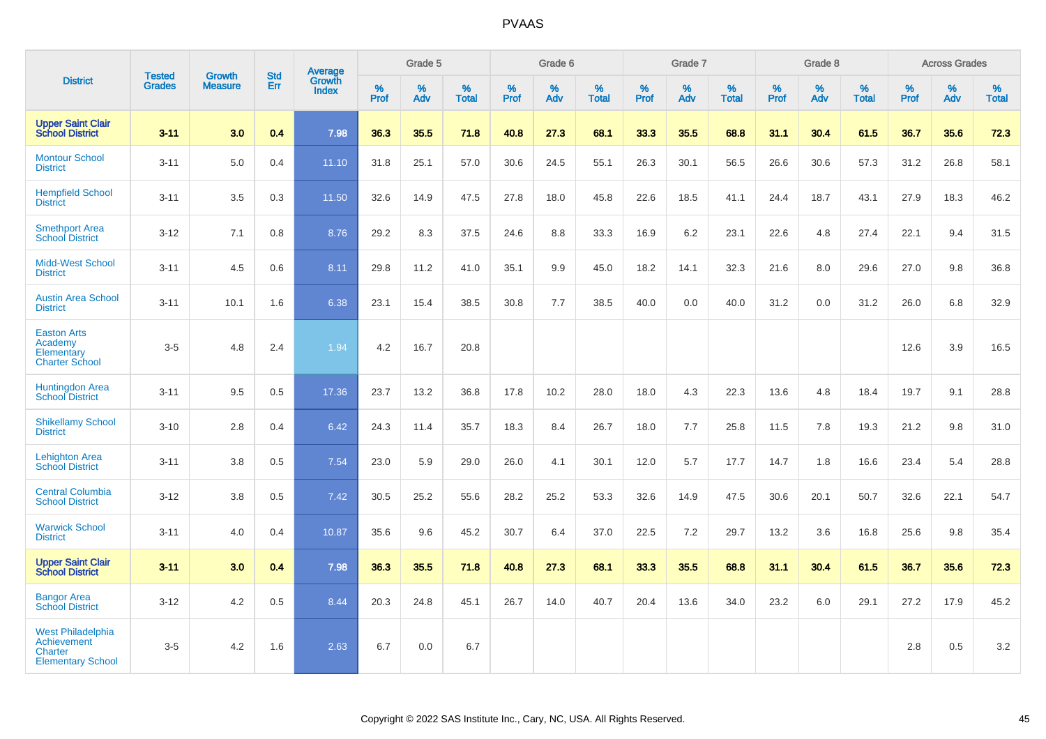|                                                                                       |                                |                                 |                   | <b>Average</b>         |           | Grade 5  |                   |           | Grade 6  |                   |           | Grade 7  |                   |           | Grade 8  |                   |           | <b>Across Grades</b> |                   |
|---------------------------------------------------------------------------------------|--------------------------------|---------------------------------|-------------------|------------------------|-----------|----------|-------------------|-----------|----------|-------------------|-----------|----------|-------------------|-----------|----------|-------------------|-----------|----------------------|-------------------|
| <b>District</b>                                                                       | <b>Tested</b><br><b>Grades</b> | <b>Growth</b><br><b>Measure</b> | <b>Std</b><br>Err | Growth<br><b>Index</b> | %<br>Prof | %<br>Adv | %<br><b>Total</b> | %<br>Prof | %<br>Adv | %<br><b>Total</b> | %<br>Prof | %<br>Adv | %<br><b>Total</b> | %<br>Prof | %<br>Adv | %<br><b>Total</b> | %<br>Prof | %<br>Adv             | %<br><b>Total</b> |
| <b>Upper Saint Clair</b><br><b>School District</b>                                    | $3 - 11$                       | 3.0                             | 0.4               | 7.98                   | 36.3      | 35.5     | 71.8              | 40.8      | 27.3     | 68.1              | 33.3      | 35.5     | 68.8              | 31.1      | 30.4     | 61.5              | 36.7      | 35.6                 | 72.3              |
| <b>Montour School</b><br><b>District</b>                                              | $3 - 11$                       | 5.0                             | 0.4               | 11.10                  | 31.8      | 25.1     | 57.0              | 30.6      | 24.5     | 55.1              | 26.3      | 30.1     | 56.5              | 26.6      | 30.6     | 57.3              | 31.2      | 26.8                 | 58.1              |
| <b>Hempfield School</b><br><b>District</b>                                            | $3 - 11$                       | 3.5                             | 0.3               | 11.50                  | 32.6      | 14.9     | 47.5              | 27.8      | 18.0     | 45.8              | 22.6      | 18.5     | 41.1              | 24.4      | 18.7     | 43.1              | 27.9      | 18.3                 | 46.2              |
| <b>Smethport Area</b><br><b>School District</b>                                       | $3 - 12$                       | 7.1                             | 0.8               | 8.76                   | 29.2      | 8.3      | 37.5              | 24.6      | 8.8      | 33.3              | 16.9      | $6.2\,$  | 23.1              | 22.6      | 4.8      | 27.4              | 22.1      | 9.4                  | 31.5              |
| Midd-West School<br><b>District</b>                                                   | $3 - 11$                       | 4.5                             | 0.6               | 8.11                   | 29.8      | 11.2     | 41.0              | 35.1      | 9.9      | 45.0              | 18.2      | 14.1     | 32.3              | 21.6      | 8.0      | 29.6              | 27.0      | 9.8                  | 36.8              |
| <b>Austin Area School</b><br><b>District</b>                                          | $3 - 11$                       | 10.1                            | 1.6               | 6.38                   | 23.1      | 15.4     | 38.5              | 30.8      | 7.7      | 38.5              | 40.0      | 0.0      | 40.0              | 31.2      | 0.0      | 31.2              | 26.0      | 6.8                  | 32.9              |
| <b>Easton Arts</b><br>Academy<br>Elementary<br><b>Charter School</b>                  | $3-5$                          | 4.8                             | 2.4               | 1.94                   | 4.2       | 16.7     | 20.8              |           |          |                   |           |          |                   |           |          |                   | 12.6      | 3.9                  | 16.5              |
| <b>Huntingdon Area</b><br><b>School District</b>                                      | $3 - 11$                       | 9.5                             | 0.5               | 17.36                  | 23.7      | 13.2     | 36.8              | 17.8      | 10.2     | 28.0              | 18.0      | 4.3      | 22.3              | 13.6      | 4.8      | 18.4              | 19.7      | 9.1                  | 28.8              |
| <b>Shikellamy School</b><br><b>District</b>                                           | $3 - 10$                       | 2.8                             | 0.4               | 6.42                   | 24.3      | 11.4     | 35.7              | 18.3      | 8.4      | 26.7              | 18.0      | 7.7      | 25.8              | 11.5      | 7.8      | 19.3              | 21.2      | 9.8                  | 31.0              |
| <b>Lehighton Area</b><br><b>School District</b>                                       | $3 - 11$                       | 3.8                             | 0.5               | 7.54                   | 23.0      | 5.9      | 29.0              | 26.0      | 4.1      | 30.1              | 12.0      | 5.7      | 17.7              | 14.7      | 1.8      | 16.6              | 23.4      | 5.4                  | 28.8              |
| <b>Central Columbia</b><br><b>School District</b>                                     | $3 - 12$                       | 3.8                             | 0.5               | 7.42                   | 30.5      | 25.2     | 55.6              | 28.2      | 25.2     | 53.3              | 32.6      | 14.9     | 47.5              | 30.6      | 20.1     | 50.7              | 32.6      | 22.1                 | 54.7              |
| <b>Warwick School</b><br><b>District</b>                                              | $3 - 11$                       | 4.0                             | 0.4               | 10.87                  | 35.6      | 9.6      | 45.2              | 30.7      | 6.4      | 37.0              | 22.5      | 7.2      | 29.7              | 13.2      | 3.6      | 16.8              | 25.6      | 9.8                  | 35.4              |
| <b>Upper Saint Clair</b><br><b>School District</b>                                    | $3 - 11$                       | 3.0                             | 0.4               | 7.98                   | 36.3      | 35.5     | 71.8              | 40.8      | 27.3     | 68.1              | 33.3      | 35.5     | 68.8              | 31.1      | 30.4     | 61.5              | 36.7      | 35.6                 | 72.3              |
| <b>Bangor Area</b><br><b>School District</b>                                          | $3 - 12$                       | 4.2                             | 0.5               | 8.44                   | 20.3      | 24.8     | 45.1              | 26.7      | 14.0     | 40.7              | 20.4      | 13.6     | 34.0              | 23.2      | 6.0      | 29.1              | 27.2      | 17.9                 | 45.2              |
| <b>West Philadelphia</b><br>Achievement<br><b>Charter</b><br><b>Elementary School</b> | $3-5$                          | 4.2                             | 1.6               | 2.63                   | 6.7       | 0.0      | 6.7               |           |          |                   |           |          |                   |           |          |                   | 2.8       | 0.5                  | 3.2               |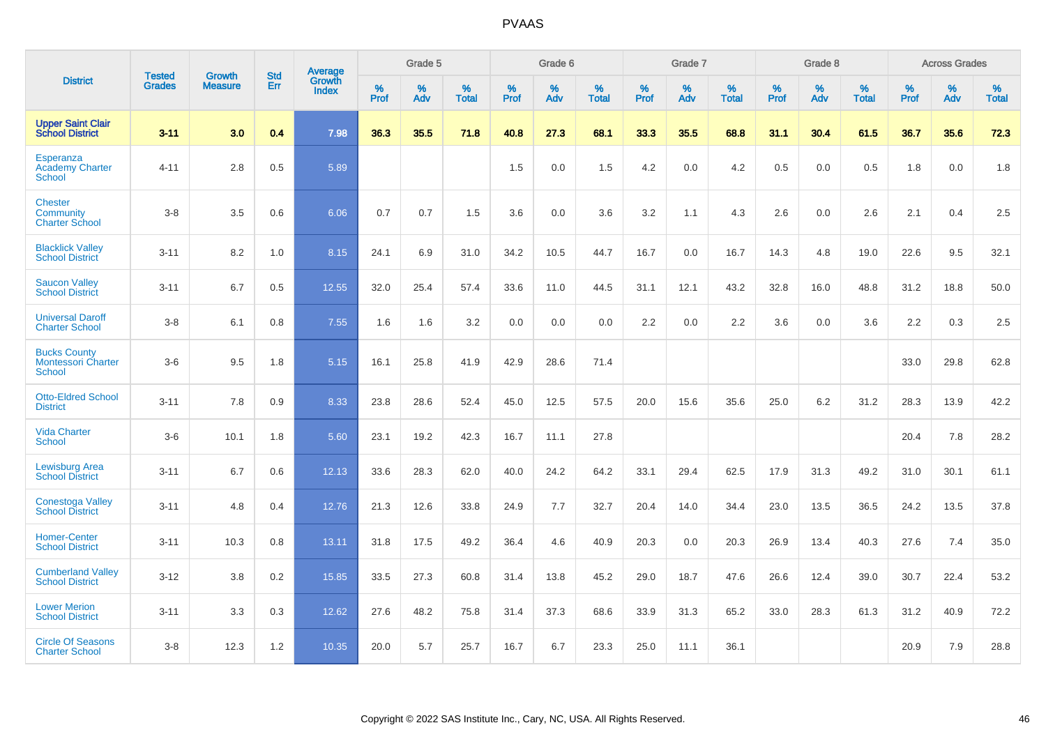|                                                                   | <b>Tested</b> | <b>Growth</b>  | <b>Std</b> | Average                       |           | Grade 5  |                   |           | Grade 6  |                   |           | Grade 7  |                   |           | Grade 8  |                   |           | <b>Across Grades</b> |                   |
|-------------------------------------------------------------------|---------------|----------------|------------|-------------------------------|-----------|----------|-------------------|-----------|----------|-------------------|-----------|----------|-------------------|-----------|----------|-------------------|-----------|----------------------|-------------------|
| <b>District</b>                                                   | <b>Grades</b> | <b>Measure</b> | Err        | <b>Growth</b><br><b>Index</b> | %<br>Prof | %<br>Adv | %<br><b>Total</b> | %<br>Prof | %<br>Adv | %<br><b>Total</b> | %<br>Prof | %<br>Adv | %<br><b>Total</b> | %<br>Prof | %<br>Adv | %<br><b>Total</b> | %<br>Prof | %<br>Adv             | %<br><b>Total</b> |
| <b>Upper Saint Clair</b><br><b>School District</b>                | $3 - 11$      | 3.0            | 0.4        | 7.98                          | 36.3      | 35.5     | 71.8              | 40.8      | 27.3     | 68.1              | 33.3      | 35.5     | 68.8              | 31.1      | 30.4     | 61.5              | 36.7      | 35.6                 | 72.3              |
| Esperanza<br><b>Academy Charter</b><br><b>School</b>              | $4 - 11$      | 2.8            | 0.5        | 5.89                          |           |          |                   | 1.5       | 0.0      | 1.5               | 4.2       | 0.0      | 4.2               | 0.5       | 0.0      | 0.5               | 1.8       | 0.0                  | 1.8               |
| <b>Chester</b><br>Community<br><b>Charter School</b>              | $3 - 8$       | 3.5            | 0.6        | 6.06                          | 0.7       | 0.7      | 1.5               | 3.6       | 0.0      | 3.6               | 3.2       | 1.1      | 4.3               | 2.6       | 0.0      | 2.6               | 2.1       | 0.4                  | $2.5\,$           |
| <b>Blacklick Valley</b><br><b>School District</b>                 | $3 - 11$      | 8.2            | 1.0        | 8.15                          | 24.1      | 6.9      | 31.0              | 34.2      | 10.5     | 44.7              | 16.7      | 0.0      | 16.7              | 14.3      | 4.8      | 19.0              | 22.6      | 9.5                  | 32.1              |
| <b>Saucon Valley</b><br><b>School District</b>                    | $3 - 11$      | 6.7            | 0.5        | 12.55                         | 32.0      | 25.4     | 57.4              | 33.6      | 11.0     | 44.5              | 31.1      | 12.1     | 43.2              | 32.8      | 16.0     | 48.8              | 31.2      | 18.8                 | 50.0              |
| <b>Universal Daroff</b><br><b>Charter School</b>                  | $3 - 8$       | 6.1            | 0.8        | 7.55                          | 1.6       | 1.6      | 3.2               | 0.0       | 0.0      | 0.0               | 2.2       | 0.0      | 2.2               | 3.6       | 0.0      | 3.6               | 2.2       | 0.3                  | 2.5               |
| <b>Bucks County</b><br><b>Montessori Charter</b><br><b>School</b> | $3-6$         | 9.5            | 1.8        | 5.15                          | 16.1      | 25.8     | 41.9              | 42.9      | 28.6     | 71.4              |           |          |                   |           |          |                   | 33.0      | 29.8                 | 62.8              |
| <b>Otto-Eldred School</b><br><b>District</b>                      | $3 - 11$      | 7.8            | 0.9        | 8.33                          | 23.8      | 28.6     | 52.4              | 45.0      | 12.5     | 57.5              | 20.0      | 15.6     | 35.6              | 25.0      | 6.2      | 31.2              | 28.3      | 13.9                 | 42.2              |
| <b>Vida Charter</b><br><b>School</b>                              | $3-6$         | 10.1           | 1.8        | 5.60                          | 23.1      | 19.2     | 42.3              | 16.7      | 11.1     | 27.8              |           |          |                   |           |          |                   | 20.4      | 7.8                  | 28.2              |
| <b>Lewisburg Area</b><br><b>School District</b>                   | $3 - 11$      | 6.7            | 0.6        | 12.13                         | 33.6      | 28.3     | 62.0              | 40.0      | 24.2     | 64.2              | 33.1      | 29.4     | 62.5              | 17.9      | 31.3     | 49.2              | 31.0      | 30.1                 | 61.1              |
| <b>Conestoga Valley</b><br><b>School District</b>                 | $3 - 11$      | 4.8            | 0.4        | 12.76                         | 21.3      | 12.6     | 33.8              | 24.9      | 7.7      | 32.7              | 20.4      | 14.0     | 34.4              | 23.0      | 13.5     | 36.5              | 24.2      | 13.5                 | 37.8              |
| <b>Homer-Center</b><br><b>School District</b>                     | $3 - 11$      | 10.3           | 0.8        | 13.11                         | 31.8      | 17.5     | 49.2              | 36.4      | 4.6      | 40.9              | 20.3      | 0.0      | 20.3              | 26.9      | 13.4     | 40.3              | 27.6      | 7.4                  | 35.0              |
| <b>Cumberland Valley</b><br><b>School District</b>                | $3 - 12$      | 3.8            | 0.2        | 15.85                         | 33.5      | 27.3     | 60.8              | 31.4      | 13.8     | 45.2              | 29.0      | 18.7     | 47.6              | 26.6      | 12.4     | 39.0              | 30.7      | 22.4                 | 53.2              |
| <b>Lower Merion</b><br><b>School District</b>                     | $3 - 11$      | 3.3            | 0.3        | 12.62                         | 27.6      | 48.2     | 75.8              | 31.4      | 37.3     | 68.6              | 33.9      | 31.3     | 65.2              | 33.0      | 28.3     | 61.3              | 31.2      | 40.9                 | 72.2              |
| <b>Circle Of Seasons</b><br><b>Charter School</b>                 | $3 - 8$       | 12.3           | 1.2        | 10.35                         | 20.0      | 5.7      | 25.7              | 16.7      | 6.7      | 23.3              | 25.0      | 11.1     | 36.1              |           |          |                   | 20.9      | 7.9                  | 28.8              |